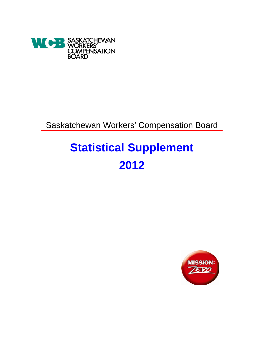

Saskatchewan Workers' Compensation Board

# **Statistical Supplement 2012**

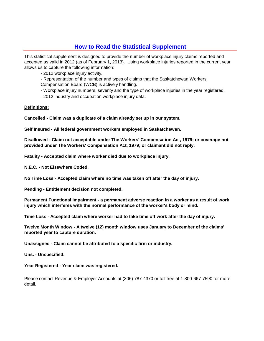# **How to Read the Statistical Supplement**

This statistical supplement is designed to provide the number of workplace injury claims reported and accepted as valid in 2012 (as of February 1, 2013). Using workplace injuries reported in the current year allows us to capture the following information:

- 2012 workplace injury activity.

- Representation of the number and types of claims that the Saskatchewan Workers'

Compensation Board (WCB) is actively handling.

- Workplace injury numbers, severity and the type of workplace injuries in the year registered.

- 2012 industry and occupation workplace injury data.

### **Definitions:**

**Cancelled - Claim was a duplicate of a claim already set up in our system.**

**Self Insured - All federal government workers employed in Saskatchewan.**

**Disallowed - Claim not acceptable under The Workers' Compensation Act, 1979; or coverage not provided under The Workers' Compensation Act, 1979; or claimant did not reply.**

**Fatality - Accepted claim where worker died due to workplace injury.**

**N.E.C. - Not Elsewhere Coded.**

**No Time Loss - Accepted claim where no time was taken off after the day of injury.**

**Pending - Entitlement decision not completed.**

**Permanent Functional Impairment - a permanent adverse reaction in a worker as a result of work injury which interferes with the normal performance of the worker's body or mind.**

**Time Loss - Accepted claim where worker had to take time off work after the day of injury.**

**Twelve Month Window - A twelve (12) month window uses January to December of the claims' reported year to capture duration.**

**Unassigned - Claim cannot be attributed to a specific firm or industry.**

**Uns. - Unspecified.**

**Year Registered - Year claim was registered.**

Please contact Revenue & Employer Accounts at (306) 787-4370 or toll free at 1-800-667-7590 for more detail.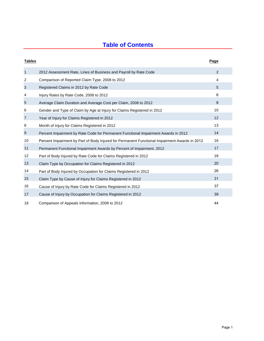# **Table of Contents**

| <b>Tables</b>     |                                                                                               | Page |  |
|-------------------|-----------------------------------------------------------------------------------------------|------|--|
| $\mathbf{1}$      | 2012 Assessment Rate, Lines of Business and Payroll by Rate Code                              | 2    |  |
| 2                 | Comparison of Reported Claim Type, 2008 to 2012                                               | 4    |  |
| 3                 | Registered Claims in 2012 by Rate Code                                                        | 5    |  |
| 4                 | Injury Rates by Rate Code, 2008 to 2012                                                       | 6    |  |
| 5                 | Average Claim Duration and Average Cost per Claim, 2008 to 2012                               | 8    |  |
| 6                 | Gender and Type of Claim by Age at Injury for Claims Registered in 2012                       | 10   |  |
| $\overline{7}$    | Year of Injury for Claims Registered in 2012                                                  | 12   |  |
| 8                 | Month of Injury for Claims Registered in 2012                                                 | 13   |  |
| 9                 | Percent Impairment by Rate Code for Permanent Functional Impairment Awards in 2012            | 14   |  |
| 10                | Percent Impairment by Part of Body Injured for Permanent Functional Impairment Awards in 2012 | 16   |  |
| 11                | Permanent Functional Impairment Awards by Percent of Impairment, 2012                         | 17   |  |
| $12 \overline{ }$ | Part of Body Injured by Rate Code for Claims Registered in 2012                               | 18   |  |
| 13                | Claim Type by Occupation for Claims Registered in 2012                                        | 20   |  |
| 14                | Part of Body Injured by Occupation for Claims Registered in 2012                              | 26   |  |
| 15                | Claim Type by Cause of Injury for Claims Registered in 2012                                   | 31   |  |
| 16                | Cause of Injury by Rate Code for Claims Registered in 2012                                    | 37   |  |
| 17                | Cause of Injury by Occupation for Claims Registered in 2012                                   | 39   |  |
| 18                | Comparison of Appeals Information, 2008 to 2012                                               | 44   |  |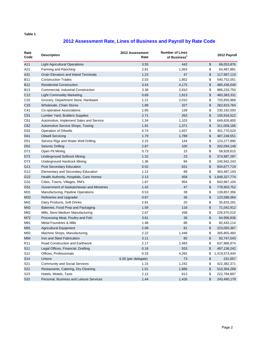# **2012 Assessment Rate, Lines of Business and Payroll by Rate Code**

| Rate<br>Code     | <b>Description</b>                        | 2012 Assessment<br>Rate | <b>Number of Lines</b><br>of Business <sup>1</sup> | 2012 Payroll        |
|------------------|-------------------------------------------|-------------------------|----------------------------------------------------|---------------------|
| A11              | Light Agricultural Operations             | 3.55                    | 442                                                | \$<br>68,053,876    |
| A21              | Farming and Ranching                      | 2.81                    | 1,063                                              | \$<br>64,487,881    |
| A31              | Grain Elevators and Inland Terminals      | 1.23                    | 47                                                 | \$<br>117,997,110   |
| <b>B11</b>       | <b>Construction Trades</b>                | 2.03                    | 1,852                                              | \$<br>540,752,051   |
| <b>B12</b>       | <b>Residential Construction</b>           | 3.54                    | 4,175                                              | \$<br>485,436,649   |
| <b>B13</b>       | Commercial, Industrial Construction       | 3.38                    | 2,810                                              | \$<br>886,233,750   |
| C <sub>12</sub>  | <b>Light Commodity Marketing</b>          | 0.69                    | 1,813                                              | \$<br>483,383,331   |
| C32              | Grocery, Department Store, Hardware       | 1.21                    | 2,010                                              | \$<br>725,855,968   |
| C <sub>33</sub>  | Wholesale, Chain Stores                   | 1.89                    | 327                                                | \$<br>262,815,764   |
| C41              | Co-operative Associations                 | 1.65                    | 139                                                | \$<br>230, 192, 593 |
| C <sub>51</sub>  | Lumber Yard, Builders Supplies            | 2.71                    | 263                                                | \$<br>155,916,522   |
| C61              | Automotive, Implement Sales and Service   | 1.34                    | 1,103                                              | \$<br>649,826,800   |
| C62              | Automotive Service Shops, Towing          | 1.91                    | 1,371                                              | \$<br>311,059,166   |
| D32              | <b>Operation of Oilwells</b>              | 0.74                    | 1,837                                              | \$<br>301,770,524   |
| D41              | <b>Oilwell Servicing</b>                  | 1.79                    | 1,789                                              | \$<br>487,248,551   |
| D51              | Service Rigs and Water Well Drilling      | 2.15                    | 144                                                | \$<br>123,277,890   |
| D <sub>52</sub>  | Seismic Drilling                          | 2.87                    | 100                                                | \$<br>202,094,148   |
| D71              | Open Pit Mining                           | 0.73                    | 15                                                 | \$<br>58,928,615    |
| D72              | <b>Underground Softrock Mining</b>        | 1.32                    | 23                                                 | \$<br>374,987,287   |
| D73              | <b>Underground Hardrock Mining</b>        | 1.36                    | 84                                                 | \$<br>245,942,243   |
| G11              | Post Secondary Education                  | 0.52                    | 631                                                | \$<br>504,677,719   |
| G12              | <b>Elementary and Secondary Education</b> | 1.12                    | 89                                                 | \$<br>363,467,193   |
| G22              | Health Authority, Hospitals, Care Homes   | 2.13                    | 458                                                | \$<br>1,848,327,774 |
| G31              | Cities, Towns, Villages, RM's             | 1.67                    | 954                                                | \$<br>643,967,104   |
| G51              | Government of Saskatchewan and Ministries | 1.42                    | 47                                                 | \$<br>778,903,752   |
| M31              | Manufacturing, Pipeline Operations        | 0.53                    | 39                                                 | \$<br>139,857,356   |
| M33              | Refineries and Upgrader                   | 0.87                    | 36                                                 | \$<br>123,586,064   |
| M41              | Dairy Products, Soft Drinks               | 2.81                    | 20                                                 | \$<br>35,833,291    |
| M42              | Bakeries, Food Prep and Packaging         | 1.59                    | 118                                                | \$<br>71,042,912    |
| M62              | Mills, Semi Medium Manufacturing          | 2.67                    | 438                                                | \$<br>226,970,510   |
| M72              | Processing Meat, Poultry and Fish         | 3.61                    | 39                                                 | \$<br>64,956,836    |
| M81              | <b>Metal Foundries &amp; Mills</b>        | 1.48                    | 86                                                 | \$<br>82,443,114    |
| M91              | <b>Agricultural Equipment</b>             | 2.09                    | 81                                                 | \$<br>223,055,367   |
| M92              | Machine Shops, Manufacturing              | 2.22                    | 1,448                                              | \$<br>365,855,460   |
| M94              | Iron and Steel Fabrication                | 3.11                    | 85                                                 | \$<br>92,747,043    |
| R <sub>11</sub>  | Road Construction and Earthwork           | 2.17                    | 2,483                                              | \$<br>637,968,974   |
| S11              | Legal Offices, Financial, Drafting        | 0.18                    | 553                                                | \$<br>487,136,242   |
| S12              | Offices, Professionals                    | 0.33                    | 4,265                                              | \$<br>1,419,573,444 |
| S14              | Unions                                    | 6.00 (per delegate)     | 73                                                 | \$<br>231,657       |
| S21              | <b>Community and Social Services</b>      | 1.15                    | 1,242                                              | \$<br>422,382,371   |
| S22              | Restaurants, Catering, Dry Cleaning       | 1.01                    | 1,886                                              | \$<br>510,394,289   |
| S <sub>2</sub> 3 | Hotels, Motels, Taxis                     | 2.12                    | 813                                                | \$<br>222,794,897   |
| S32              | Personal, Business and Leisure Services   | 1.44                    | 1,426                                              | \$<br>243,490,179   |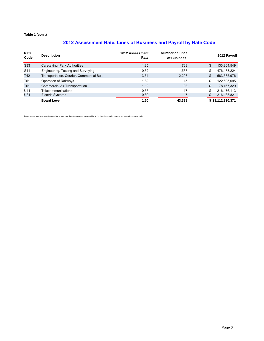# **2012 Assessment Rate, Lines of Business and Payroll by Rate Code**

| Rate<br>Code    | <b>Description</b>                      | 2012 Assessment<br>Rate | <b>Number of Lines</b><br>of Business <sup>1</sup> | 2012 Payroll      |
|-----------------|-----------------------------------------|-------------------------|----------------------------------------------------|-------------------|
| S <sub>33</sub> | Caretaking, Park Authorities            | 1.35                    | 763                                                | \$<br>133,804,549 |
| S41             | Engineering, Testing and Surveying      | 0.32                    | 1.568                                              | \$<br>476,183,224 |
| T42             | Transportation, Courier, Commercial Bus | 3.64                    | 2,208                                              | \$<br>583,535,976 |
| T <sub>51</sub> | Operation of Railways                   | 1.82                    | 15                                                 | \$<br>122,605,095 |
| T61             | Commercial Air Transportation           | 1.12                    | 93                                                 | \$<br>78,467,329  |
| U11             | Telecommunications                      | 0.55                    | 17                                                 | 216, 176, 113     |
| U31             | <b>Electric Systems</b>                 | 0.80                    |                                                    | 216, 133, 821     |
|                 | <b>Board Level</b>                      | 1.60                    | 43.388                                             | \$18,112,830,371  |

1 An employer may have more than one line of business, therefore numbers shown will be higher than the actual number of employers in each rate code.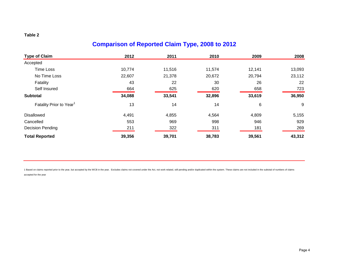# **Comparison of Reported Claim Type, 2008 to 2012**

| <b>Type of Claim</b>                | 2012   | 2011   | 2010   | 2009   | 2008   |
|-------------------------------------|--------|--------|--------|--------|--------|
| Accepted                            |        |        |        |        |        |
| Time Loss                           | 10,774 | 11,516 | 11,574 | 12,141 | 13,093 |
| No Time Loss                        | 22,607 | 21,378 | 20,672 | 20,794 | 23,112 |
| Fatality                            | 43     | 22     | 30     | 26     | 22     |
| Self Insured                        | 664    | 625    | 620    | 658    | 723    |
| <b>Subtotal</b>                     | 34,088 | 33,541 | 32,896 | 33,619 | 36,950 |
| Fatality Prior to Year <sup>1</sup> | 13     | 14     | 14     | 6      | 9      |
| <b>Disallowed</b>                   | 4,491  | 4,855  | 4,564  | 4,809  | 5,155  |
| Cancelled                           | 553    | 969    | 998    | 946    | 929    |
| <b>Decision Pending</b>             | 211    | 322    | 311    | 181    | 269    |
| <b>Total Reported</b>               | 39,356 | 39,701 | 38,783 | 39,561 | 43,312 |

1 Based on claims reported prior to the year, but accepted by the WCB in the year. Excludes claims not covered under the Act, not work related, still pending and/or duplicated within the system. These claims are not includ accepted for the year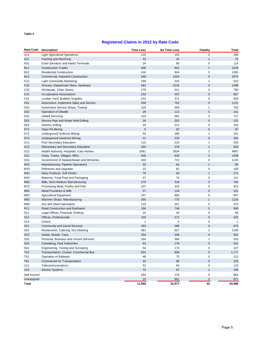### **Registered Claims in 2012 by Rate Code**

| <b>Rate Code</b> | <b>Description</b>                        | <b>Time Loss</b> | No Time Loss | <b>Fatality</b>         | Total  |
|------------------|-------------------------------------------|------------------|--------------|-------------------------|--------|
| A11              | <b>Light Agricultural Operations</b>      | 135              | 155          | 0                       | 290    |
| A21              | Farming and Ranching                      | 32               | 42           | $\mathbf{1}$            | 75     |
| A31              | Grain Elevators and Inland Terminals      | 24               | 90           | 0                       | 114    |
| <b>B11</b>       | <b>Construction Trades</b>                | 306              | 922          | $\mathbf{1}$            | 1229   |
| B12              | <b>Residential Construction</b>           | 416              | 944          | 5                       | 1365   |
| <b>B13</b>       | Commercial, Industrial Construction       | 346              | 1324         | 5                       | 1675   |
| C12              | <b>Light Commodity Marketing</b>          | 199              | 315          | 1                       | 515    |
| C32              | Grocery, Department Store, Hardware       | 482              | 1016         | $\mathbf 0$             | 1498   |
| C33              | Wholesale, Chain Stores                   | 279              | 511          | 0                       | 790    |
| C41              | Co-operative Associations                 | 230              | 437          | $\mathbf 0$             | 667    |
| C51              | Lumber Yard, Builders Supplies            | 232              | 371          | $\mathbf 0$             | 603    |
| C61              | Automotive, Implement Sales and Service   | 359              | 762          | $\mathbf 0$             | 1121   |
| C62              | Automotive Service Shops, Towing          | 218              | 563          | $\mathbf{1}$            | 782    |
| D32              | <b>Operation of Oilwells</b>              | 29               | 112          | $\mathbf 0$             | 141    |
| D41              | <b>Oilwell Servicing</b>                  | 133              | 581          | 3                       | 717    |
| D <sub>51</sub>  | Service Rigs and Water Well Drilling      | 29               | 202          | $\mathbf 0$             | 231    |
| D52              | Seismic Drilling                          | 20               | 212          | 0                       | 232    |
| D71              | Open Pit Mining                           | 5                | 92           | $\mathbf 0$             | 97     |
| D72              | <b>Underground Softrock Mining</b>        | 50               | 280          | 1                       | 331    |
| D73              | <b>Underground Hardrock Mining</b>        | 31               | 233          | $\mathbf 0$             | 264    |
| G11              | Post Secondary Education                  | 115              | 210          | 1                       | 326    |
| G12              | <b>Elementary and Secondary Education</b> | 250              | 378          | $\mathbf{1}$            | 629    |
| G22              | Health Authority, Hospitals, Care Homes   | 2061             | 2834         | 2                       | 4897   |
| G31              | Cities, Towns, Villages, RM's             | 505              | 830          | $\overline{\mathbf{4}}$ | 1339   |
| G51              | Government of Saskatchewan and Ministries | 433              | 712          | $\mathbf 0$             | 1145   |
| M31              | Manufacturing, Pipeline Operations        | 20               | 64           | $\mathbf{1}$            | 85     |
| M33              | Refineries and Upgrader                   | 23               | 82           | $\mathbf 0$             | 105    |
| M41              | Dairy Products, Soft Drinks               | 78               | 93           | $\mathbf{1}$            | 172    |
| M42              | Bakeries, Food Prep and Packaging         | 47               | 74           | $\mathbf 0$             | 121    |
| M62              | Mills, Semi Medium Manufacturing          | 276              | 518          | $\mathbf 0$             | 794    |
| M72              | Processing Meat, Poultry and Fish         | 107              | 315          | $\mathbf 0$             | 422    |
| M81              | <b>Metal Foundries &amp; Mills</b>        | 37               | 124          | $\mathbf 0$             | 161    |
| M91              | <b>Agricultural Equipment</b>             | 247              | 600          | 0                       | 847    |
| M92              | Machine Shops, Manufacturing              | 350              | 775          | $\mathbf{1}$            | 1126   |
| M94              | Iron and Steel Fabrication                | 119              | 351          | $\mathbf 0$             | 470    |
| R <sub>11</sub>  | Road Construction and Earthwork           | 194              | 749          | 5                       | 948    |
| S11              | Legal Offices, Financial, Drafting        | 24               | 44           | 0                       | 68     |
| S <sub>12</sub>  | Offices, Professionals                    | 150              | 272          | $\pmb{0}$               | 422    |
| S14              | Unions                                    | 1                | $\mathbf 0$  | $\mathbf 0$             | 1      |
| S21              | <b>Community and Social Services</b>      | 293              | 586          | $\mathbf 0$             | 879    |
| S22              | Restaurants, Catering, Dry Cleaning       | 361              | 827          | 2                       | 1190   |
| S23              | Hotels, Motels, Taxis                     | 203              | 358          | $\mathbf 0$             | 561    |
| S32              | Personal, Business and Leisure Services   | 164              | 368          | 1                       | 533    |
| S33              | Caretaking, Park Authorities              | 63               | 178          | $\pmb{0}$               | 241    |
| S41              | Engineering, Testing and Surveying        | 54               | 173          | $\mathbf 0$             | 227    |
| T42              | Transportation, Courier, Commercial Bus   | 834              | 938          | $\sqrt{5}$              | 1,777  |
| T51              | Operation of Railways                     | 48               | 73           | 0                       | 121    |
| T61              | Commercial Air Transportation             | 30               | 95           | $\pmb{0}$               | 125    |
| U11              | Telecommunications                        | 52               | 64           | $\mathbf 0$             | 116    |
| U31              | <b>Electric Systems</b>                   | 70               | 97           | $\mathbf{1}$            | 168    |
| Self Insured     |                                           | 294              | 370          | $\pmb{0}$               | 664    |
| Unassigned       |                                           | 10               | 661          | $\pmb{0}$               | 671    |
| Total            |                                           | 11,068           | 22,977       | 43                      | 34,088 |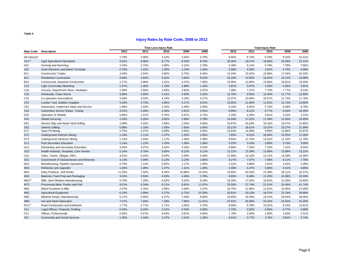### **Injury Rates by Rate Code, 2008 to 2012**

|                    |                                           |        |       | <b>Time Loss Injury Rate</b> |        |        |        |        | <b>Total Injury Rate</b> |        |        |
|--------------------|-------------------------------------------|--------|-------|------------------------------|--------|--------|--------|--------|--------------------------|--------|--------|
| Rate Code          | <b>Description</b>                        | 2012   | 2011  | 2010                         | 2009   | 2008   | 2012   | 2011   | 2010                     | 2009   | 2008   |
| All Classes*       |                                           | 2.79%  | 3.05% | 3.12%                        | 3.44%  | 3.70%  | 8.65%  | 8.73%  | 8.70%                    | 9.32%  | 10.21% |
| A11**              | <b>Light Agricultural Operations</b>      | 9.31%  | 6.96% | 8.77%                        | 8.20%  | 9.74%  | 20.00% | 16.07% | 18.96%                   | 20.28% | 22.12% |
| A21                | Farming and Ranching                      | 2.33%  | 2.73% | 2.59%                        | 4.12%  | 2.79%  | 5.39%  | 6.14%  | 6.76%                    | 7.79%  | 7.66%  |
| A31                | Grain Elevators and Inland Terminals      | 0.75%  | 1.01% | 1.36%                        | 1.23%  | 1.34%  | 3.58%  | 4.00%  | 4.52%                    | 4.75%  | 4.09%  |
| <b>B11</b>         | <b>Construction Trades</b>                | 3.29%  | 3.54% | 4.60%                        | 5.75%  | 6.46%  | 13.19% | 15.02% | 15.66%                   | 17.64% | 20.33% |
| <b>B12</b>         | <b>Residential Construction</b>           | 4.98%  | 4.84% | 5.52%                        | 5.84%  | 8.23%  | 16.28% | 14.60% | 16.02%                   | 16.12% | 23.98% |
| <b>B13</b>         | Commercial, Industrial Construction       | 2.27%  | 2.96% | 3.31%                        | 4.37%  | 7.38%  | 10.95% | 13.05% | 14.56%                   | 16.62% | 24.40% |
| C <sub>12</sub>    | <b>Light Commodity Marketing</b>          | 1.47%  | 1.45% | 1.19%                        | 1.88%  | 1.44%  | 3.81%  | 3.67%  | 3.33%                    | 4.36%  | 3.81%  |
| C32                | Grocery, Department Store, Hardware       | 2.38%  | 2.56% | 2.93%                        | 2.82%  | 2.87%  | 7.39%  | 7.27%  | 7.75%                    | 7.77%  | 8.13%  |
| C33                | Wholesale, Chain Stores                   | 3.80%  | 4.00% | 4.41%                        | 4.83%  | 5.33%  | 10.76% | 9.65%  | 10.40%                   | 11.77% | 12.69% |
| C41                | Co-operative Associations                 | 3.58%  | 4.02% | 4.14%                        | 4.19%  | 4.27%  | 10.37% | 10.08% | 10.57%                   | 11.75% | 11.76% |
| C <sub>51</sub>    | Lumber Yard, Builders Supplies            | 5.33%  | 4.73% | 4.96%                        | 4.17%  | 6.01%  | 13.85% | 11.89% | 11.91%                   | 11.73% | 14.80% |
| C61                | Automotive, Implement Sales and Service   | 1.98%  | 2.43% | 2.10%                        | 2.49%  | 2.35%  | 6.18%  | 6.60%  | 5.75%                    | 6.38%  | 6.78%  |
| C62                | Automotive Service Shops, Towing          | 2.51%  | 2.43% | 2.36%                        | 2.91%  | 3.31%  | 8.99%  | 8.01%  | 8.77%                    | 9.44%  | 10.49% |
| D32                | <b>Operation of Oilwells</b>              | 0.85%  | 1.21% | 0.76%                        | 0.97%  | 0.73%  | 4.16%  | 4.28%  | 3.81%                    | 4.22%  | 3.12%  |
| D41                | <b>Oilwell Servicing</b>                  | 2.43%  | 3.33% | 3.82%                        | 2.98%  | 3.78%  | 13.04% | 17.01% | 17.49%                   | 13.30% | 15.40% |
| D <sub>51</sub>    | Service Rigs and Water Well Drilling      | 2.09%  | 4.22% | 2.96%                        | 2.20%  | 4.90%  | 16.67% | 25.63% | 18.16%                   | 16.57% | 21.80% |
| D <sub>52</sub>    | Seismic Drilling                          | 0.88%  | 2.18% | 1.93%                        | 1.60%  | 3.45%  | 10.21% | 18.61% | 15.07%                   | 10.27% | 21.99% |
| D71                | Open Pit Mining                           | 0.75%  | 0.47% | 0.69%                        | 0.50%  | 0.93%  | 14.64% | 14.58% | 9.95%                    | 13.86% | 10.87% |
| D72                | <b>Underground Softrock Mining</b>        | 1.19%  | 1.11% | 1.27%                        | 1.62%  | 2.05%  | 7.83%  | 9.01%  | 10.94%                   | 10.35% | 11.55% |
| D73                | <b>Underground Hardrock Mining</b>        | 1.12%  | 1.54% | 1.17%                        | 1.36%  | 2.38%  | 9.55%  | 11.73% | 12.52%                   | 11.10% | 11.78% |
| G11                | Post Secondary Education                  | 1.14%  | 1.13% | 1.33%                        | 1.38%  | 1.36%  | 3.23%  | 3.43%  | 3.80%                    | 3.70%  | 3.66%  |
| G12                | Elementary and Secondary Education        | 3.45%  | 3.07% | 3.16%                        | 3.19%  | 3.53%  | 8.68%  | 7.53%  | 7.15%                    | 7.41%  | 8.04%  |
| G22                | Health Authority, Hospitals, Care Homes   | 5.14%  | 5.79% | 5.85%                        | 6.12%  | 6.12%  | 12.21% | 12.39% | 12.60%                   | 13.08% | 13.21% |
| G31                | Cities, Towns, Villages, RM's             | 4.41%  | 5.03% | 5.04%                        | 5.59%  | 5.28%  | 11.66% | 12.10% | 12.11%                   | 14.18% | 14.36% |
| G51                | Government of Saskatchewan and Ministries | 3.13%  | 3.09% | 3.13%                        | 3.23%  | 3.05%  | 8.27%  | 7.67%  | 7.58%                    | 8.11%  | 7.79%  |
| M31                | Manufacturing, Pipeline Operations        | 0.79%  | 1.14% | 0.82%                        | 1.17%  | 1.95%  | 3.31%  | 3.88%  | 2.91%                    | 3.43%  | 4.38%  |
| M33                | Refineries and Upgrader                   | 1.02%  | 1.06% | 1.37%                        | 1.31%  | 1.46%  | 4.68%  | 4.47%  | 5.58%                    | 4.51%  | 4.89%  |
| M41                | Dairy Products, Soft Drinks               | 11.25% | 7.02% | 8.44%                        | 10.88% | 14.01% | 24.65% | 20.53% | 21.38%                   | 26.11% | 22.57% |
| M42                | Bakeries, Food Prep and Packaging         | 3.42%  | 3.04% | 4.03%                        | 4.46%  | 2.78%  | 8.80%  | 8.08%  | 11.03%                   | 13.38% | 10.34% |
| M62**              | Mills, Semi Medium Manufacturing          | 6.70%  | 7.29% | 6.62%                        | 9.22%  | 9.19%  | 19.26% | 17.63% | 16.62%                   | 21.03% | 23.83% |
| M72                | Processing Meat, Poultry and Fish         | 8.51%  | 6.34% | 6.11%                        | 6.91%  | 11.97% | 33.56% | 27.74% | 21.51%                   | 24.46% | 41.74% |
| M81                | Metal Foundries & Mills                   | 2.47%  | 2.16% | 2.58%                        | 2.00%  | 2.37%  | 10.75% | 11.86% | 11.01%                   | 10.56% | 13.36% |
| M91                | Agricultural Equipment                    | 6.10%  | 5.99% | 5.27%                        | 6.72%  | 10.30% | 20.91% | 20.23% | 18.57%                   | 22.19% | 29.89% |
| M92                | Machine Shops, Manufacturing              | 5.27%  | 5.94% | 6.37%                        | 7.28%  | 9.59%  | 16.93% | 18.49% | 19.12%                   | 20.64% | 28.56% |
| M94                | Iron and Steel Fabrication                | 7.07%  | 7.94% | 7.18%                        | 7.96%  | 11.01% | 27.91% | 25.58% | 24.22%                   | 24.02% | 41.26% |
| R <sub>11</sub> ** | Road Construction and Earthwork           | 1.77%  | 2.71% | 2.71%                        | 2.05%  | 3.79%  | 8.59%  | 9.78%  | 10.01%                   | 8.15%  | 12.61% |
| S <sub>11</sub>    | Legal Offices, Financial, Drafting        | 0.26%  | 0.20% | 0.31%                        | 0.32%  | 0.38%  | 0.73%  | 0.82%  | 0.59%                    | 0.77%  | 0.89%  |
| S <sub>12</sub>    | Offices, Professionals                    | 0.63%  | 0.67% | 0.64%                        | 0.61%  | 0.68%  | 1.78%  | 2.04%  | 1.80%                    | 1.83%  | 2.01%  |
| S <sub>21</sub>    | <b>Community and Social Services</b>      | 1.30%  | 1.44% | 1.47%                        | 1.51%  | 1.39%  | 3.91%  | 3.77%  | 3.75%                    | 3.81%  | 3.74%  |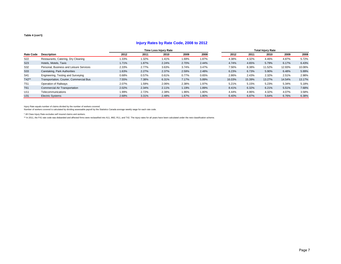### **Injury Rates by Rate Code, 2008 to 2012**

|                  |                                         | <b>Time Loss Injury Rate</b> |       |       |       |       |        | <b>Total Injury Rate</b> |        |        |        |
|------------------|-----------------------------------------|------------------------------|-------|-------|-------|-------|--------|--------------------------|--------|--------|--------|
| <b>Rate Code</b> | <b>Description</b>                      | 2012                         | 2011  | 2010  | 2009  | 2008  | 2012   | 2011                     | 2010   | 2009   | 2008   |
| S <sub>22</sub>  | Restaurants, Catering, Dry Cleaning     | 1.33%                        | 1.32% | 1.41% | 1.69% | 1.87% | 4.38%  | 4.32%                    | 4.46%  | 4.87%  | 5.72%  |
| S <sub>23</sub>  | Hotels, Motels, Taxis                   | 1.71%                        | 1.87% | 2.24% | 2.70% | 2.44% | 4.74%  | 4.65%                    | 5.79%  | 6.17%  | 6.43%  |
| S32              | Personal, Business and Leisure Services | 2.33%                        | 2.77% | 3.63% | 3.74% | 3.47% | 7.56%  | 8.38%                    | 11.52% | 12.93% | 10.06% |
| <b>S33</b>       | Caretaking, Park Authorities            | 1.63%                        | 2.27% | 2.37% | 2.59% | 2.48% | 6.23%  | 6.73%                    | 5.90%  | 6.48%  | 5.99%  |
| S41              | Engineering, Testing and Surveying      | 0.68%                        | 0.57% | 0.61% | 0.77% | 0.65% | 2.86%  | 2.43%                    | 2.32%  | 2.51%  | 2.98%  |
| T42**            | Transportation, Courier, Commercial Bus | 7.55%                        | 7.38% | 6.31% | 7.17% | 5.89% | 16.03% | 15.39%                   | 13.27% | 14.54% | 13.17% |
| T <sub>51</sub>  | Operation of Railways                   | 2.07%                        | 1.59% | 2.06% | 2.38% | 1.97% | 5.21%  | 5.15%                    | 5.23%  | 5.34%  | 5.18%  |
| T61              | <b>Commercial Air Transportation</b>    | 2.02%                        | 2.34% | 2.11% | 1.19% | 1.89% | 8.41%  | 6.32%                    | 6.21%  | 5.51%  | 7.68%  |
| U11              | Telecommunications                      | 1.99%                        | 2.72% | 2.38% | 1.96% | 1.80% | 4.44%  | 4.96%                    | 4.32%  | 4.07%  | 3.58%  |
| U31              | <b>Electric Systems</b>                 | 2.68%                        | 3.31% | 2.48% | 1.67% | 1.80% | 6.40%  | 6.87%                    | 5.64%  | 6.76%  | 6.38%  |

Injury Rate equals number of claims divided by the number of workers covered.<br>Number of workers covered is calculated by dividing assessable payroll by the Statistics Canada average weekly wage for each rate code.

\* All Class Injury Rate excludes self insured claims and workers.

\*\* In 2011, the F41 rate code was disbanded and affected firms were reclassified into A11, M62, R11, and T42. The injury rates for all years have been calculated under the new classification scheme.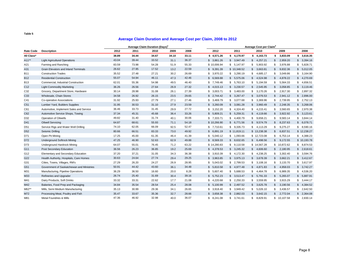### **Average Claim Duration and Average Cost per Claim, 2008 to 2012**

|                  |                                           | Average Claim Duration (Days) <sup>1</sup> |       |       |       |       |                          |             | Average Cost per Claim <sup>2</sup> |                |             |
|------------------|-------------------------------------------|--------------------------------------------|-------|-------|-------|-------|--------------------------|-------------|-------------------------------------|----------------|-------------|
| <b>Rate Code</b> | <b>Description</b>                        | 2012                                       | 2011  | 2010  | 2009  | 2008  | 2012                     | 2011        | 2010                                | 2009           | 2008        |
| All Class*       |                                           | 38.89                                      | 34.44 | 34.67 | 34.10 | 33.11 | \$4,571.26               | \$4,170.97  | \$4,163.73                          | 3,833.09<br>\$ | \$3,616.35  |
| $A11**$          | <b>Light Agricultural Operations</b>      | 43.04                                      | 39.44 | 33.52 | 31.1  | 36.37 | \$3,861.26               | \$3,947.49  | \$4,257.21                          | 2,959.20<br>\$ | \$3,394.16  |
| A21              | Farming and Ranching                      | 83.59                                      | 73.98 | 54.28 | 51.9  | 55.33 | \$10,006.94              | \$5,147.97  | \$5,903.92                          | 3,976.88<br>\$ | \$5,828.71  |
| A31              | Grain Elevators and Inland Terminals      | 26.62                                      | 27.95 | 17.52 | 13.2  | 22.59 | \$9,391.39               | \$10,348.52 | \$3,663.81                          | 9,832.36<br>\$ | \$5,012.05  |
| <b>B11</b>       | <b>Construction Trades</b>                | 35.52                                      | 27.48 | 27.21 | 30.2  | 26.69 | 3,970.22<br>\$           | \$3,290.19  | \$4,685.17                          | 3,049.86<br>\$ | \$3,164.90  |
| <b>B12</b>       | <b>Residential Construction</b>           | 55.07                                      | 54.94 | 46.11 | 47.3  | 42.46 | \$<br>6,569.88           | \$5,575.06  | \$4,524.98                          | 4,878.22<br>\$ | \$4,270.69  |
| B13              | Commercial, Industrial Construction       | 62.01                                      | 55.36 | 54.98 | 49.5  | 46.40 | \$<br>7,749.46           | \$5,763.10  | \$5,194.59                          | \$<br>5,564.33 | \$4,656.51  |
| C <sub>12</sub>  | <b>Light Commodity Marketing</b>          | 36.26                                      | 26.56 | 27.64 | 26.9  | 27.32 | 4,015.13<br>\$           | \$3,230.57  | \$2,545.95                          | 3,058.85<br>\$ | \$3,119.46  |
| C32              | Grocery, Department Store, Hardware       | 30.14                                      | 28.98 | 31.08 | 26.1  | 27.39 | 3,003.71<br>\$           | \$3,483.00  | \$3,170.26                          | 2,917.30<br>\$ | \$2,897.32  |
| C <sub>33</sub>  | Wholesale, Chain Stores                   | 34.58                                      | 26.92 | 26.15 | 23.5  | 29.65 | 2,744.42<br>$\mathbb{S}$ | \$3,267.47  | \$3,076.53                          | \$<br>2,941.12 | \$2,896.00  |
| C41              | Co-operative Associations                 | 31.92                                      | 25.93 | 27.79 | 27.1  | 27.46 | 3,469.79<br>\$           | \$3,077.68  | \$3,369.96                          | 2,739.95<br>\$ | \$2,752.13  |
| C <sub>51</sub>  | Lumber Yard, Builders Supplies            | 31.95                                      | 30.53 | 31.10 | 27.9  | 23.59 | 3,260.09<br>\$           | \$3,081.28  | \$3.960.49                          | 2.248.35<br>\$ | \$3,268.06  |
| C61              | Automotive, Implement Sales and Service   | 36.46                                      | 33.73 | 31.45 | 29.9  | 27.72 | \$<br>3,152.20           | \$4,324.40  | \$4,215.41                          | 3,560.65<br>\$ | \$2,970.38  |
| C62              | Automotive Service Shops, Towing          | 37.34                                      | 45.31 | 45.68 | 36.4  | 33.26 | 5,809.21<br>$\mathbb{S}$ | \$5,259.31  | \$4,119.66                          | 3,922.92<br>\$ | \$3,123.61  |
| D32              | Operation of Oilwells                     | 49.82                                      | 31.40 | 31.74 | 40.1  | 30.06 | \$7,333.71               | \$4,400.79  | \$9,658.21                          | 9,583.14<br>\$ | \$3,844.14  |
| D41              | <b>Oilwell Servicing</b>                  | 64.87                                      | 68.61 | 55.93 | 71.1  | 54.18 | \$10,266.90              | \$6,771.56  | \$9,574.79                          | 8,237.63<br>\$ | \$6,078.71  |
| D <sub>51</sub>  | Service Rigs and Water Well Drilling      | 74.10                                      | 62.05 | 66.09 | 92.5  | 52.47 | \$7,710.61               | \$9,335.73  | \$4,113.29                          | 9,275.27<br>\$ | \$8,590.16  |
| D <sub>52</sub>  | Seismic Drilling                          | 80.66                                      | 66.51 | 83.33 | 73.0  | 49.92 | \$6,891.19               | \$11,819.11 | \$13,238.38                         | 6,837.51<br>\$ | \$12,238.27 |
| D71              | Open Pit Mining                           | 17.25                                      | 45.00 | 61.35 | 46.4  | 41.39 | \$<br>5,040.12           | \$1,093.66  | \$12,723.08                         | \$<br>6,753.14 | \$4,388.23  |
| D72              | <b>Underground Softrock Mining</b>        | 47.25                                      | 46.90 | 52.63 | 62.9  | 49.88 | \$8,569.33               | \$8,632.65  | \$6,498.56                          | 9,172.55<br>\$ | \$10,193.78 |
| D73              | <b>Underground Hardrock Mining</b>        | 64.07                                      | 55.01 | 76.45 | 71.2  | 63.22 | \$14,280.83              | \$9,110.58  | \$14,567.28                         | \$10,872.62    | \$8,874.53  |
| G11              | Post Secondary Education                  | 36.56                                      | 26.23 | 36.85 | 19.2  | 25.69 | \$4,378.53               | \$3,245.32  | \$4,606.60                          | 2,180.95<br>\$ | \$2,618.61  |
| G12              | Elementary and Secondary Education        | 37.20                                      | 37.21 | 31.05 | 34.3  | 36.38 | 3,910.39<br>\$           | \$4,172.30  | \$4,238.25                          | 3,302.40<br>\$ | \$3,594.76  |
| G22              | Health Authority, Hospitals, Care Homes   | 30.63                                      | 24.64 | 27.74 | 29.4  | 29.25 | $\mathbb{S}$<br>3,963.85 | \$3,975.13  | \$3,678.39                          | 3,662.21<br>\$ | \$3,412.67  |
| G31              | Cities, Towns, Villages, RM's             | 27.29                                      | 26.20 | 24.27 | 26.9  | 28.95 | 5,043.02<br>\$           | \$2,799.53  | \$3,108.16                          | 3.133.70<br>\$ | \$3,617.97  |
| G51              | Government of Saskatchewan and Ministries | 50.91                                      | 44.42 | 43.60 | 36.1  | 34.48 | $\mathbb{S}$<br>5,810.58 | \$4,977.48  | \$4,871.83                          | 4,958.03<br>\$ | \$3,742.27  |
| M31              | Manufacturing, Pipeline Operations        | 36.29                                      | 36.50 | 16.60 | 20.0  | 8.28  | \$<br>5,607.40           | \$5,688.53  | \$4,464.78                          | \$<br>6,989.35 | \$4,536.20  |
| M33              | Refineries and Upgrader                   | 26.74                                      | 25.40 | 31.69 | 30.4  | 39.16 | 5,752.23<br>$\mathbb{S}$ | \$3,513.47  | \$5,791.33                          | 5,265.07<br>\$ | \$5,887.91  |
| M41              | Dairy Products, Soft Drinks               | 33.32                                      | 33.31 | 22.62 | 17.7  | 21.08 | 4,220.68<br>\$           | \$2,250.33  | \$3,559.95                          | 3,915.29<br>\$ | \$3,444.17  |
| M42              | Bakeries, Food Prep and Packaging         | 34.84                                      | 35.54 | 28.54 | 25.4  | 28.08 | \$<br>5,100.99           | \$2,497.52  | \$3,625.78                          | 3,190.56<br>\$ | \$4,384.52  |
| M62**            | Mills, Semi Medium Manufacturing          | 35.13                                      | 30.99 | 29.36 | 34.1  | 26.65 | 3,918.40<br>\$           | \$3,949.42  | \$5,026.10                          | 3,436.57<br>\$ | \$2,642.50  |
| M72              | Processing Meat, Poultry and Fish         | 35.47                                      | 33.67 | 35.36 | 32.7  | 28.66 | 3,658.38<br>\$           | \$2,882.03  | \$3,642.15                          | 2,772.04<br>\$ | \$2,364.08  |
| M81              | Metal Foundries & Mills                   | 47.36                                      | 46.92 | 32.98 | 40.0  | 36.07 | \$8,241.08               | \$3,741.61  | \$8,829.91                          | \$10,107.58    | \$2,830.14  |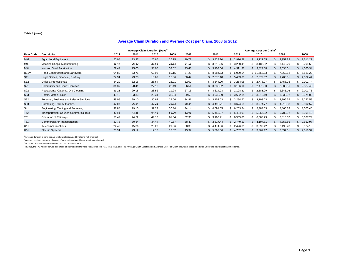### **Average Claim Duration and Average Cost per Claim, 2008 to 2012**

|                    |                                         | Average Claim Duration (Days) <sup>1</sup> |       |       |       |       | Average Cost per Claim <sup>2</sup> |                |                 |                |                |  |
|--------------------|-----------------------------------------|--------------------------------------------|-------|-------|-------|-------|-------------------------------------|----------------|-----------------|----------------|----------------|--|
| <b>Rate Code</b>   | <b>Description</b>                      | 2012                                       | 2011  | 2010  | 2009  | 2008  | 2012                                | 2011           | 2010            | 2009           | 2008           |  |
| M91                | <b>Agricultural Equipment</b>           | 20.08                                      | 23.97 | 25.66 | 25.75 | 19.77 | \$3,427.20                          | 2,976.88<br>\$ | 3,222.55        | 2,952.88       | 2,611.29       |  |
| M92                | Machine Shops, Manufacturing            | 31.47                                      | 25.80 | 27.63 | 28.63 | 24.16 | \$3,816.26                          | 3,290.41<br>\$ | 3,186.62<br>SS. | 3,146.70<br>-S | 2,794.50<br>S. |  |
| M94                | Iron and Steel Fabrication              | 29.49                                      | 25.05 | 38.06 | 32.52 | 23.48 | \$3,103.66                          | 4,311.37<br>\$ | 3,829.08        | 2,538.01       | 4,080.34       |  |
| R <sub>11</sub> ** | Road Construction and Earthwork         | 64.89                                      | 63.71 | 60.93 | 59.15 | 54.23 | \$8,584.53                          | \$6,999.54     | \$11,658.83     | 7,368.52<br>-S | \$6,881.29     |  |
| S <sub>11</sub>    | Legal Offices, Financial, Drafting      | 24.31                                      | 23.78 | 18.69 | 16.86 | 30.47 | \$2,670.10                          | \$5,453.03     | \$2,379.52      | ,780.51        | \$4,102.44     |  |
| S <sub>12</sub>    | Offices, Professionals                  | 34.29                                      | 32.16 | 28.64 | 28.01 | 32.00 | \$3,344.90                          | \$3,254.08     | \$2,778.97      | 2,458.25       | \$2,902.74     |  |
| S <sub>21</sub>    | <b>Community and Social Services</b>    | 31.37                                      | 28.41 | 27.18 | 23.49 | 26.54 | \$3,333.82                          | \$3,166.96     | \$2,470.60      | 2,585.86       | \$2,887.49     |  |
| S <sub>22</sub>    | Restaurants, Catering, Dry Cleaning     | 31.21                                      | 29.18 | 28.52 | 29.24 | 27.16 | \$3,614.03                          | \$2,198.31     | \$2,581.09      | 2,645.06       | \$2,001.75     |  |
| <b>S23</b>         | Hotels, Motels, Taxis                   | 43.18                                      | 33.33 | 29.31 | 32.84 | 39.59 | \$4,032.39                          | \$3,692.14     | \$3,213.19      | 3,238.52       | \$3,374.02     |  |
| S32                | Personal, Business and Leisure Services | 48.08                                      | 29.10 | 30.62 | 28.06 | 34.81 | \$3,153.03                          | \$3,284.52     | \$3,193.03      | 2,706.55       | \$3,223.58     |  |
| S33                | Caretaking, Park Authorities            | 39.87                                      | 26.24 | 30.21 | 38.83 | 38.34 | \$4,498.71                          | \$3,674.69     | \$3,774.77      | 4,216.58       | \$2,592.57     |  |
| S41                | Engineering, Testing and Surveying      | 31.88                                      | 29.15 | 39.24 | 36.34 | 34.14 | \$4,691.55                          | \$6,253.24     | \$5,383.03      | 8,865.78       | \$3,053.40     |  |
| T42                | Transportation, Courier, Commercial Bus | 47.83                                      | 43.25 | 54.42 | 51.20 | 52.91 | \$5,455.07                          | 5,494.91<br>\$ | 5,356.22<br>S.  | 5,789.52       | \$5,391.13     |  |
| T <sub>51</sub>    | Operation of Railways                   | 58.42                                      | 74.52 | 49.10 | 61.04 | 52.30 | \$3,163.71                          | \$6,505.83     | \$6,503.29      | 6,816.57       | \$6,027.29     |  |
| T61                | Commercial Air Transportation           | 32.76                                      | 30.84 | 34.44 | 49.67 | 38.47 | \$2,617.44                          | 2,749.53<br>\$ | 4,197.81<br>\$  | 4,753.86       | 2,652.97       |  |
| U11                | Telecommunications                      | 24.49                                      | 15.36 | 23.27 | 21.66 | 30.35 | \$4,474.56                          | 2,426.31<br>\$ | 3,599.42        | 2,496.43       | 3,924.10       |  |
| U31                | <b>Electric Systems</b>                 | 25.91                                      | 23.12 | 17.12 | 19.62 | 19.97 | \$5,362.66                          | 4,782.26       | 3,967.17        | 2,634.01       | 4,019.94       |  |

1 Average duration in days equals total days lost divided by claims with time lost

 $2$  Average cost per claim equals costs of new claims divided by new claims registered

\* All Class Durations excludes self insured claims and workers

"In 2011, the F41 rate code was disbanded and affected firms were reclassified into A11, M62, R11, and T42. Average Claim Durations and Average Cost Per Claim shown are those calculated under the new classification scheme.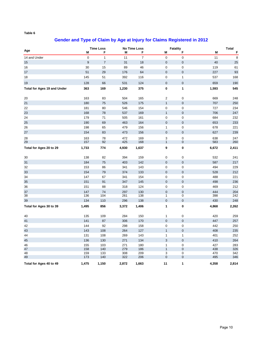### **Gender and Type of Claim by Age at Injury for Claims Registered in 2012**

|                                    |                  | <b>Time Loss</b> |            | <b>No Time Loss</b> |                           | <b>Fatality</b>            |            | <b>Total</b> |
|------------------------------------|------------------|------------------|------------|---------------------|---------------------------|----------------------------|------------|--------------|
| Age                                | M                | F                | M          | F                   | M                         | F                          | M          | F            |
| 14 and Under                       | $\mathsf 0$      | $\mathbf{1}$     | 11         | $\overline{7}$      | $\mathbf 0$               | $\pmb{0}$                  | 11         | 8            |
| 15                                 | $\boldsymbol{9}$ | $\boldsymbol{7}$ | 31         | 18                  | $\mathbf 0$               | $\pmb{0}$                  | 40         | 25           |
| 16                                 | 30               | 15               | 89         | 46                  | $\mathbf 0$               | $\mathbf 0$                | 119        | 61           |
| 17                                 | 51               | 29               | 176        | 64                  | $\mathbf 0$               | $\pmb{0}$                  | 227        | 93           |
| 18                                 | 145              | 51               | 392        | 116                 | $\pmb{0}$                 | $\mathbf{1}$               | 537        | 168          |
| 19                                 | 128              | 66               | 531        | 124                 | $\mathbf 0$               | $\mathbf 0$                | 659        | 190          |
| <b>Total for Ages 19 and Under</b> | 363              | 169              | 1,230      | 375                 | $\pmb{0}$                 | $\mathbf{1}$               | 1,593      | 545          |
| 20                                 | 163              | 83               | 504        | 165                 | 2                         | $\mathbf 0$                | 669        | 248          |
| 21                                 | 180              | 75               | 526        | 175                 | $\mathbf{1}$              | $\mathbf 0$                | 707        | 250          |
| 22                                 | 181              | 80               | 546        | 154                 | $\mathbf 0$               | $\mathbf 0$                | 727        | 234          |
| 23                                 | 168              | 78               | 537        | 169                 | $\mathbf{1}$              | $\pmb{0}$                  | 706        | 247          |
| 24                                 | 179              | 71               | 505        | 161                 | $\mathbf 0$               | $\mathbf 0$                | 684        | 232          |
| 25                                 | 190              | 69               | 463        | 164                 | $\mathbf 0$               | $\pmb{0}$                  | 653        | 233          |
| 26                                 | 198              | 65               | 479        | 156                 | $\mathbf{1}$              | $\mathbf 0$                | 678        | 221          |
| 27                                 | 154              | 83               | 473        | 156                 | $\mathbf 0$               | $\pmb{0}$                  | 627        | 239          |
| 28                                 | 163              | 78               | 472        | 169                 | 3                         | $\pmb{0}$                  | 638        | 247          |
| 29                                 | 157              | 92               | 425        | 168                 | $\mathbf{1}$              | $\pmb{0}$                  | 583        | 260          |
| Total for Ages 20 to 29            | 1,733            | 774              | 4,930      | 1,637               | 9                         | 0                          | 6,672      | 2,411        |
| 30                                 | 138              | 82               | 394        | 159                 | $\mathbf 0$               | 0                          | 532        | 241          |
| 31                                 | 184              | 75               | 403        | 142                 | $\mathbf 0$               | $\mathbf 0$                | 587        | 217          |
| 32                                 | 153              | 86               | 341        | 143                 | $\mathbf 0$               | 0                          | 494        | 229          |
| 33                                 | 154              | 79               | 374        | 133                 | $\pmb{0}$                 | $\pmb{0}$                  | 528        | 212          |
| 34                                 | 147              | 67               | 341        | 154                 | $\boldsymbol{0}$          | $\pmb{0}$                  | 488        | 221          |
| 35                                 | 151              | 91               | 347        | 145                 | $\pmb{0}$                 | $\pmb{0}$                  | 498        | 236          |
| 36                                 | 151              | 88               | 318        | 124                 | $\pmb{0}$                 | $\pmb{0}$                  | 469        | 212          |
| 37                                 | 147              | 74               | 297        | 130                 | $\mathbf 0$               | $\mathbf 0$                | 444        | 204          |
| 38                                 | 136              | 104              | 261        | 138                 | $\mathbf{1}$              | 0                          | 398        | 242          |
| 39                                 | 134              | 110              | 296        | 138                 | $\pmb{0}$                 | $\pmb{0}$                  | 430        | 248          |
| Total for Ages 30 to 39            | 1,495            | 856              | 3,372      | 1,406               | 1                         | 0                          | 4,868      | 2,262        |
| 40                                 | 135              | 109              | 284        | 150                 | $\mathbf{1}$              | 0                          | 420        | 259          |
| 41                                 | 141              | 87               | 306        | 170                 | $\mathbf 0$               | $\mathbf 0$                | 447        | 257          |
| 42                                 | 144              | 92               | 298        | 158                 | $\mathbf 0$               | 0                          | 442        | 250          |
| 43                                 | 143              | 108              | 264        | 127                 | $\mathbf{1}$              | $\mathbf 0$                | 408        | 235          |
| 44                                 | 131              | 108              | 269        | 143                 | $\mathbf{1}$              | $\mathbf{1}$               | 401        | 252          |
| 45                                 | 136              | 130              | 271        | 134                 | $\ensuremath{\mathsf{3}}$ | $\pmb{0}$                  | 410        | 264          |
| 46                                 | 155              | 103              | 271        | 180                 | $\mathbf{1}$              | $\pmb{0}$                  | 427        | 283          |
| 47                                 | 158              | 140              | 279        | 186                 | $\mathbf{1}$              | $\mathbf 0$                | 438        | 326          |
| 48<br>49                           | 159<br>173       | 133<br>140       | 308<br>322 | 209<br>206          | 3<br>$\mathbf 0$          | $\mathbf 0$<br>$\mathbf 0$ | 470<br>495 | 342<br>346   |
| Total for Ages 40 to 49            | 1,475            | 1,150            | 2,872      | 1,663               | 11                        | 1                          | 4,358      | 2,814        |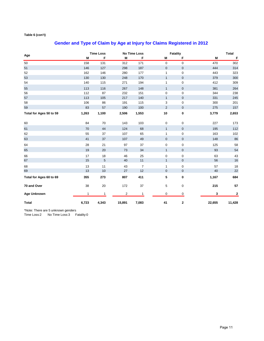# **Gender and Type of Claim by Age at Injury for Claims Registered in 2012**

|                         |       | <b>Time Loss</b> |                | <b>No Time Loss</b> |                | <b>Fatality</b> |        | <b>Total</b> |
|-------------------------|-------|------------------|----------------|---------------------|----------------|-----------------|--------|--------------|
| Age                     | M     | F                | M              | F                   | M              | F               | M      | $\mathsf F$  |
| 50                      | 158   | 131              | 312            | 171                 | 0              | $\mathbf 0$     | 470    | 302          |
| 51                      | 146   | 127              | 298            | 187                 | $\pmb{0}$      | $\mathbf 0$     | 444    | 314          |
| 52                      | 162   | 146              | 280            | 177                 | $\mathbf{1}$   | $\mathbf 0$     | 443    | 323          |
| 53                      | 130   | 130              | 248            | 170                 | $\mathbf{1}$   | $\mathbf{0}$    | 379    | 300          |
| 54                      | 140   | 115              | 271            | 194                 | $\mathbf{1}$   | $\mathbf 0$     | 412    | 309          |
| 55                      | 113   | 116              | 267            | 148                 | $\mathbf{1}$   | $\mathbf 0$     | 381    | 264          |
| 56                      | 112   | 87               | 232            | 151                 | $\mathbf 0$    | $\mathbf 0$     | 344    | 238          |
| 57                      | 113   | 105              | 217            | 140                 | $\mathbf{1}$   | $\mathbf 0$     | 331    | 245          |
| 58                      | 106   | 86               | 191            | 115                 | 3              | $\mathbf 0$     | 300    | 201          |
| 59                      | 83    | 57               | 190            | 100                 | $\overline{2}$ | $\mathbf{0}$    | 275    | 157          |
| Total for Ages 50 to 59 | 1,263 | 1,100            | 2,506          | 1,553               | 10             | 0               | 3,779  | 2,653        |
| 60                      | 84    | 70               | 143            | 103                 | 0              | 0               | 227    | 173          |
| 61                      | 70    | 44               | 124            | 68                  | $\mathbf{1}$   | $\mathbf{0}$    | 195    | 112          |
| 62                      | 55    | 37               | 107            | 65                  | 1              | $\mathbf 0$     | 163    | 102          |
| 63                      | 41    | 37               | 107            | 49                  | $\mathbf 0$    | $\mathbf 0$     | 148    | 86           |
| 64                      | 28    | 21               | 97             | 37                  | 0              | 0               | 125    | 58           |
| 65                      | 19    | 20               | 73             | 34                  | $\mathbf{1}$   | $\mathbf 0$     | 93     | 54           |
| 66                      | 17    | 18               | 46             | 25                  | 0              | 0               | 63     | 43           |
| 67                      | 15    | 5                | 40             | 11                  | $\mathbf{1}$   | $\mathbf 0$     | 56     | 16           |
| 68                      | 13    | 11               | 43             | $\overline{7}$      | $\mathbf{1}$   | $\mathbf 0$     | 57     | 18           |
| 69                      | 13    | 10               | 27             | 12                  | $\mathbf 0$    | $\mathbf 0$     | 40     | 22           |
| Total for Ages 60 to 69 | 355   | 273              | 807            | 411                 | 5              | 0               | 1,167  | 684          |
| 70 and Over             | 38    | 20               | 172            | 37                  | 5              | 0               | 215    | 57           |
| <b>Age Unknown</b>      | 1     | 1                | $\overline{2}$ | $\mathbf{1}$        | $\mathbf 0$    | 0               | 3      | 2            |
| <b>Total</b>            | 6,723 | 4,343            | 15,891         | 7,083               | 41             | $\mathbf 2$     | 22,655 | 11,428       |

\*Note: There are 5 unknown genders

Time Loss:2 No Time Loss:3 Fatality:0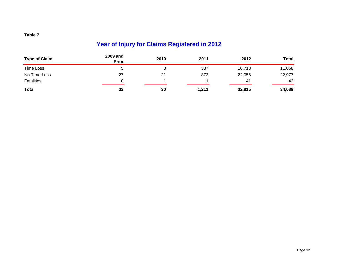# **Year of Injury for Claims Registered in 2012**

| <b>Type of Claim</b> | <b>2009 and</b><br><b>Prior</b> | 2010 | 2011  | 2012   | Total  |
|----------------------|---------------------------------|------|-------|--------|--------|
| <b>Time Loss</b>     |                                 |      | 337   | 10,718 | 11,068 |
| No Time Loss         | 27                              | 21   | 873   | 22,056 | 22,977 |
| <b>Fatalities</b>    |                                 |      |       | 41     | 43     |
| <b>Total</b>         | 32                              | 30   | 1,211 | 32,815 | 34,088 |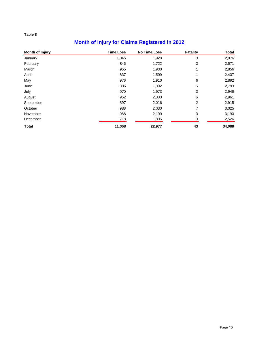# **Month of Injury for Claims Registered in 2012**

| <b>Month of Injury</b> | <b>Time Loss</b> | <b>No Time Loss</b> | Fatality | <b>Total</b> |
|------------------------|------------------|---------------------|----------|--------------|
| January                | 1,045            | 1,928               | 3        | 2,976        |
| February               | 846              | 1,722               | 3        | 2,571        |
| March                  | 955              | 1,900               | 1        | 2,856        |
| April                  | 837              | 1,599               |          | 2,437        |
| May                    | 976              | 1,910               | 6        | 2,892        |
| June                   | 896              | 1,892               | 5        | 2,793        |
| July                   | 970              | 1,973               | 3        | 2,946        |
| August                 | 952              | 2,003               | 6        | 2,961        |
| September              | 897              | 2,016               | 2        | 2,915        |
| October                | 988              | 2,030               | 7        | 3,025        |
| November               | 988              | 2,199               | 3        | 3,190        |
| December               | 718              | 1,805               | 3        | 2,526        |
| <b>Total</b>           | 11,068           | 22,977              | 43       | 34,088       |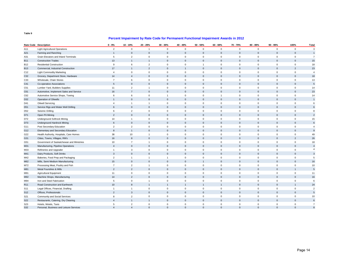### **Percent Impairment by Rate Code for Permanent Functional Impairment Awards in 2012**

|                 | Rate Code Description                     | $0 - 9%$       | 10 - 19%       | 20 - 29%            | 30 - 39%       | 40 - 49%       | 50 - 59%            | 60 - 69%            | 70 - 79%     | 80 - 89%     | $90 - 99%$   | 100%                | Total          |
|-----------------|-------------------------------------------|----------------|----------------|---------------------|----------------|----------------|---------------------|---------------------|--------------|--------------|--------------|---------------------|----------------|
| A11             | <b>Light Agricultural Operations</b>      | $\overline{2}$ | $\mathbf 0$    | $\mathbf{1}$        | $\mathsf 0$    | $\mathsf 0$    | $\mathsf{O}\xspace$ | $\mathsf 0$         | $\mathbf 0$  | $\mathbf 0$  | $\mathsf 0$  | $\mathsf 0$         | $\mathbf{3}$   |
| A21             | Farming and Ranching                      | $\overline{1}$ | $\Omega$       | $\mathbf{0}$        | $\Omega$       | $\mathbf{0}$   | $\Omega$            | $\mathbf 0$         | $\mathbf{0}$ | $\mathbf{0}$ | $\Omega$     | $\mathbf{0}$        | $\mathbf{1}$   |
| A31             | Grain Elevators and Inland Terminals      | 5              | $\overline{2}$ | $\mathsf 0$         | $\mathbf 0$    | $\mathsf 0$    | 0                   | $\mathsf 0$         | $\mathsf 0$  | $\mathbf 0$  | $\mathbf 0$  | $\mathbf 0$         | $\overline{7}$ |
| <b>B11</b>      | <b>Construction Trades</b>                | 13             | $\overline{1}$ | $\mathbf{1}$        | $\Omega$       | $\mathbf{0}$   | $\Omega$            | $\mathsf 0$         | $\mathbf{0}$ | $\Omega$     | $\Omega$     | $\Omega$            | 15             |
| <b>B12</b>      | <b>Residential Construction</b>           | 9              | 6              | $\sqrt{2}$          | $\mathbf 0$    | $\mathbf 0$    | 1                   | $\mathsf 0$         | $\mathbf 0$  | $\mathbf 0$  | $\mathbf 0$  | $\mathsf 0$         | 18             |
| <b>B13</b>      | Commercial, Industrial Construction       | 17             | $\overline{1}$ | $\overline{2}$      | $\Omega$       | $\overline{1}$ | $\mathbf 0$         | $\mathbf{0}$        | $\mathbf{0}$ | $\mathbf{0}$ | $\Omega$     | $\overline{2}$      | 23             |
| C12             | <b>Light Commodity Marketing</b>          | $\overline{4}$ | $\mathbf 0$    | $\mathbf 0$         | $\mathbf 0$    | $\mathbf 0$    | 0                   | $\mathbf 0$         | $\mathbf 0$  | $\mathbf 0$  | $\mathbf 0$  | $\mathbf 0$         | $\overline{4}$ |
| C32             | Grocery, Department Store, Hardware       | 14             | $\overline{4}$ | $\mathsf 0$         | $\mathbf{0}$   | $\mathbf{0}$   | $\mathbf{0}$        | $\mathsf 0$         | $\mathbf{0}$ | $\mathbf{0}$ | $\mathbf{0}$ | $\mathsf{O}\xspace$ | 18             |
| C33             | Wholesale, Chain Stores                   | $\overline{7}$ | 6              | $\mathsf 0$         | $\mathbf 0$    | $\mathbf 0$    | 0                   | $\mathsf 0$         | $\mathbf 0$  | $\mathbf 0$  | $\mathbf 0$  | $\mathsf 0$         | 13             |
| C41             | Co-operative Associations                 | 5              | $\mathbf{0}$   | $\mathsf 0$         | $\mathbf{0}$   | $\mathbf{0}$   | $\mathbf{0}$        | $\mathbf 0$         | $\mathbf{0}$ | $\mathbf{0}$ | $\Omega$     | $\mathbf{0}$        | $\,$ 5 $\,$    |
| C51             | Lumber Yard, Builders Supplies            | 11             | $\overline{2}$ | $\mathbf{1}$        | $\mathbf 0$    | $\mathsf 0$    | 0                   | $\mathsf 0$         | $\mathbf 0$  | $\mathbf 0$  | $\mathbf 0$  | $\mathsf 0$         | 14             |
| C61             | Automotive, Implement Sales and Service   | 16             | $\overline{7}$ | $\mathbf 0$         | $\Omega$       | $\mathbf{0}$   | $\Omega$            | $\mathbf 0$         | $\mathbf{0}$ | $\mathbf{0}$ | $\Omega$     | $\mathbf{0}$        | 23             |
| C62             | Automotive Service Shops, Towing          | 6              | 6              | $\mathbf 0$         | $\mathbf{1}$   | $\mathbf 0$    | $\mathbf{0}$        | $\mathbf{1}$        | $\mathbf 0$  | $\mathbf 0$  | $\mathbf 0$  | $\mathbf 0$         | 14             |
| D32             | Operation of Oilwells                     |                | $\mathbf{0}$   | $\mathbf 0$         | $\mathbf{0}$   | $\mathbf{0}$   | $\Omega$            | $\mathbf{0}$        | $\mathbf{0}$ | $\mathbf{0}$ | $\Omega$     | $\mathbf{0}$        | $\mathbf{1}$   |
| D41             | <b>Oilwell Servicing</b>                  | $\overline{4}$ | $\overline{1}$ | $\mathbf{1}$        | $\mathbf 0$    | $\mathbf 0$    | 0                   | $\mathbf 0$         | $\mathbf 0$  | $\mathbf 0$  | $\mathbf 0$  | $\mathbf{0}$        | 6              |
| D <sub>51</sub> | Service Rigs and Water Well Drilling      | 6              | $\mathbf 0$    | $\mathsf 0$         | $\mathbf{0}$   | $\mathbf 0$    | $\mathbf{0}$        | $\mathsf 0$         | $\mathbf{0}$ | $\mathbf{0}$ | $\mathbf{0}$ | $\mathsf{O}\xspace$ | 6              |
| D <sub>52</sub> | Seismic Drilling                          | 6              | $\overline{2}$ | $\mathsf 0$         | $\mathbf 0$    | $\mathbf 0$    | 0                   | $\mathsf 0$         | $\mathbf 0$  | $\mathbf 0$  | $\mathbf 0$  | $\mathsf 0$         | 8              |
| D71             | Open Pit Mining                           | $\overline{2}$ | $\mathbf{0}$   | $\mathsf{O}\xspace$ | $\Omega$       | $\mathbf{0}$   | $\Omega$            | $\mathbf 0$         | $\mathbf{0}$ | $\mathbf{0}$ | $\Omega$     | $\mathbf{0}$        | 2              |
| D72             | <b>Underground Softrock Mining</b>        | 14             | $\overline{1}$ | $\mathsf 0$         | $\mathbf 0$    | $\mathsf 0$    | 0                   | $\mathsf 0$         | $\mathsf 0$  | $\mathbf 0$  | 0            | $\mathsf 0$         | 15             |
| D73             | Underground Hardrock Mining               | 6              | $\mathbf{0}$   | $\mathbf{0}$        | $\mathbf{0}$   | $\mathbf{0}$   | $\Omega$            | $\mathsf 0$         | $\mathbf{0}$ | $\mathbf{0}$ | $\mathbf{0}$ | $\mathbf{0}$        | 6              |
| G11             | Post Secondary Education                  | $\overline{2}$ | $\overline{2}$ | $\mathbf 0$         | $\mathbf 0$    | $\mathbf 0$    | $\mathbf{0}$        | $\mathbf 0$         | $\mathbf 0$  | $\mathbf 0$  | $\mathbf 0$  | $\mathbf 0$         | $\overline{A}$ |
| G12             | Elementary and Secondary Education        | 8              |                | $\mathbf{0}$        | $\Omega$       | $\Omega$       | $\Omega$            | $\mathbf{0}$        | $\mathbf{0}$ | $\mathbf{0}$ | $\Omega$     | $\mathbf{0}$        | 9              |
| G22             | Health Authority, Hospitals, Care Homes   | 38             | 10             | $\mathbf{1}$        | $\mathbf 0$    | $\mathsf 0$    | $\mathbf{0}$        | $\mathsf 0$         | $\mathbf 0$  | $\mathbf 0$  | $\mathbf 0$  | $\mathbf 0$         | 49             |
| G31             | Cities, Towns, Villages, RM's             | 16             | 8              | $\mathbf{0}$        | $\Omega$       | $\mathbf 0$    | $\Omega$            | $\mathsf 0$         | $\mathbf{0}$ | $\mathbf{0}$ | $\mathbf{0}$ | $\overline{2}$      | 26             |
| G51             | Government of Saskatchewan and Ministries | 10             | $\overline{7}$ | $\mathbf{1}$        | $\mathbf 0$    | $\mathbf 0$    | 0                   | $\mathsf 0$         | $\mathbf 0$  | $\mathbf 0$  | $\mathbf 0$  | $\mathsf 0$         | 18             |
| M31             | Manufacturing, Pipeline Operations        | $\overline{4}$ | $\mathbf{0}$   | $\mathsf 0$         | $\Omega$       | $\mathbf{0}$   | $\Omega$            | $\mathbf 0$         | $\mathbf{0}$ | $\mathbf{0}$ | $\Omega$     | $\mathbf{0}$        | $\overline{4}$ |
| M33             | Refineries and Upgrader                   | $\mathbf{1}$   | 3              | $\mathsf 0$         | $\mathbf 0$    | $\mathsf 0$    | 0                   | $\mathsf 0$         | $\mathsf 0$  | $\mathbf 0$  | $\mathbf 0$  | $\mathbf 0$         | $\overline{4}$ |
| M41             | Dairy Products, Soft Drinks               | 3              | $\mathbf{0}$   | $\mathbf 0$         | $\mathbf{0}$   | $\mathbf{0}$   | $\mathbf{0}$        | $\mathbf 0$         | $\mathbf{0}$ | $\mathbf{0}$ | $\mathbf{0}$ | $\mathbf{0}$        | 3              |
| M42             | Bakeries, Food Prep and Packaging         | $\overline{2}$ | $\overline{1}$ | $\mathbf{1}$        | $\overline{1}$ | $\mathsf 0$    | 0                   | $\mathsf 0$         | $\mathbf 0$  | $\mathbf 0$  | $\mathbf 0$  | $\mathsf 0$         | 5              |
| M62             | Mills, Semi Medium Manufacturing          | 15             | $\mathbf{0}$   | $\mathbf{0}$        | $\mathbf{0}$   | $\mathbf{0}$   |                     | $\mathbf{0}$        | $\mathbf{0}$ | $\mathbf{0}$ | $\Omega$     | $\mathbf{0}$        | 16             |
| M72             | Processing Meat, Poultry and Fish         | $\overline{7}$ | $\overline{2}$ | $\mathbf{1}$        | $\mathsf 0$    | $\mathsf 0$    | 0                   | $\mathsf 0$         | $\mathsf 0$  | $\mathbf 0$  | $\mathbf 0$  | $\mathsf 0$         | 10             |
| M81             | Metal Foundries & Mills                   | $\overline{2}$ | 2              | $\mathbf{0}$        | $\mathbf{0}$   | $\mathbf{0}$   | $\overline{0}$      | $\mathbf{0}$        | $\mathbf{0}$ | $\mathbf{0}$ | $\mathbf{0}$ | $\overline{1}$      | 5              |
| M91             | <b>Agricultural Equipment</b>             | 11             | $\mathbf 0$    | $\mathsf 0$         | $\mathbf 0$    | $\mathsf 0$    | 0                   | $\mathsf 0$         | $\mathbf 0$  | $\mathbf 0$  | $\mathbf 0$  | $\mathsf 0$         | 11             |
| M92             | Machine Shops, Manufacturing              | 14             | $\overline{2}$ | $\mathsf 0$         | $\Omega$       | $\mathbf{0}$   | $\mathbf 0$         | $\mathbf 0$         | $\mathbf{0}$ | $\mathbf 0$  | $\mathbf{0}$ | $\mathsf{O}\xspace$ | 16             |
| M94             | Iron and Steel Fabrication                | 5              | $\mathbf 0$    | $\mathbf{1}$        | $\mathsf 0$    | $\mathsf 0$    | $\mathbf{0}$        | $\mathsf 0$         | $\mathsf 0$  | $\mathbf 0$  | $\mathbf 0$  | $\mathsf 0$         | 6              |
| R <sub>11</sub> | Road Construction and Earthwork           | 10             | 8              | $\overline{1}$      | $\overline{1}$ | $\overline{1}$ | $\overline{1}$      | $\mathbf{1}$        | $\mathbf{0}$ | $\mathbf{0}$ | $\mathbf{0}$ | $\overline{1}$      | 24             |
| S11             | Legal Offices, Financial, Drafting        | $\mathbf{1}$   | $\overline{1}$ | $\mathsf 0$         | $\mathbf 0$    | $\mathsf 0$    | 0                   | $\mathsf 0$         | $\mathbf 0$  | $\mathbf 0$  | 0            | $\mathsf 0$         | $\overline{2}$ |
| S <sub>12</sub> | Offices, Professionals                    | $\overline{2}$ | $\overline{3}$ | $\mathsf 0$         | $\mathbf{0}$   | $\mathbf{0}$   | $\mathbf{0}$        | $\mathsf{O}\xspace$ | $\mathbf{0}$ | $\mathbf 0$  | $\mathbf{0}$ | $\mathbf{0}$        | 5              |
| S21             | Community and Social Services             | 8              | $\overline{2}$ | $\mathbf 0$         | $\mathbf 0$    | $\mathbf 0$    | $\mathbf{0}$        | $\mathsf 0$         | $\mathbf 0$  | $\mathbf 0$  | $\mathbf 0$  | $\mathsf 0$         | 10             |
| <b>S22</b>      | Restaurants, Catering, Dry Cleaning       | $\overline{4}$ | $\overline{1}$ | $\mathbf{1}$        | $\mathbf{0}$   | $\mathbf{0}$   | $\mathbf{0}$        | $\mathbf 0$         | $\mathbf{0}$ | $\mathbf{0}$ | $\mathbf{0}$ | $\mathbf{0}$        | 6              |
| S <sub>23</sub> | Hotels, Motels, Taxis                     | 5              | $\overline{2}$ | $\mathbf 0$         | $\mathbf 0$    | $\mathbf 0$    | 0                   | $\mathsf 0$         | $\mathbf 0$  | $\mathbf 0$  | $\mathbf 0$  | $\mathbf 0$         | $\overline{7}$ |
| S32             | Personal, Business and Leisure Services   | $\overline{4}$ | $\overline{4}$ | $\Omega$            | $\Omega$       | $\Omega$       | $\Omega$            | $\Omega$            | $\Omega$     | $\Omega$     | $\Omega$     | $\Omega$            | $\mathbf{8}$   |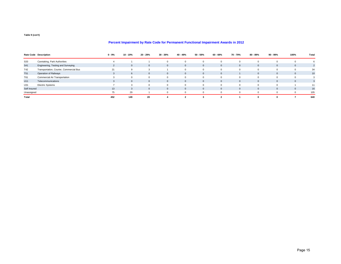### **Percent Impairment by Rate Code for Permanent Functional Impairment Awards in 2012**

|              | Rate Code Description                   | $0 - 9%$ | 10 - 19%     | 20 - 29%     | 30 - 39%     | 40 - 49%     | 50 - 59%     | 60 - 69%     | 70 - 79% | 80 - 89%     | 90 - 99%     | 100%           | Total |
|--------------|-----------------------------------------|----------|--------------|--------------|--------------|--------------|--------------|--------------|----------|--------------|--------------|----------------|-------|
| S33          | Caretaking, Park Authorities            |          |              |              |              | $\Omega$     |              |              |          |              |              |                |       |
| <b>S41</b>   | Engineering, Testing and Surveying      |          | $\Omega$     | $\Omega$     | $\Omega$     | $\mathbf{0}$ | $\Omega$     | $\Omega$     |          | $\mathbf{0}$ | $\Omega$     | $\Omega$       |       |
| T42          | Transportation, Courier, Commercial Bus | 21       |              |              |              | $\Omega$     |              |              |          |              |              |                | 34    |
| <b>T51</b>   | Operation of Railways                   |          | 6            | $\Omega$     | $\Omega$     | $\mathbf{0}$ | $\Omega$     | $\Omega$     |          | $\mathbf{0}$ | $\Omega$     | $\Omega$       | 10    |
| T61          | Commercial Air Transportation           |          | $\Omega$     | $\mathbf 0$  |              | $\mathbf 0$  | 0            | $\Omega$     |          | $\Omega$     | $\Omega$     | $\Omega$       |       |
| U11          | Telecommunications                      |          | $\mathbf{0}$ | $\mathbf{0}$ | $\mathbf{0}$ | $\mathbf{0}$ | $\mathbf{0}$ | $\mathbf{0}$ |          | $\mathbf{0}$ | $\mathbf{0}$ | $\overline{0}$ |       |
| U31          | <b>Electric Systems</b>                 |          | 3            | 0            |              | $\mathbf 0$  | 0            |              |          | 0            | $\Omega$     |                | 11    |
| Self Insured |                                         | 13       | 3            | $\mathbf{0}$ | $\Omega$     | $\mathbf{0}$ | $\mathbf{0}$ | $\mathbf{0}$ |          | $\mathbf{0}$ | $\Omega$     | $\Omega$       | 16    |
| Unassigned   |                                         | 75       | 29           |              |              | $\Omega$     |              | $\Omega$     |          |              | $\Omega$     | $\Omega$       | 105   |
| Total        |                                         | 452      | 149          | 20           |              |              |              |              |          |              |              |                | 640   |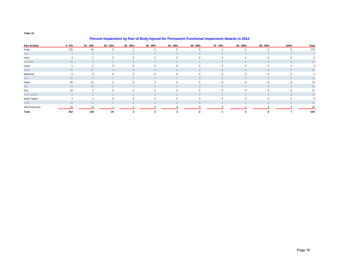|               | <b>1 Credit impairment by Fart Of Doug injured for Fermanent Functional impairment Awards in ZVTZ</b> |                |             |                |              |              |          |          |           |          |             |       |  |  |
|---------------|-------------------------------------------------------------------------------------------------------|----------------|-------------|----------------|--------------|--------------|----------|----------|-----------|----------|-------------|-------|--|--|
| Part of Body  | $0 - 9%$                                                                                              | 10 - 19%       | 20 - 29%    | 30 - 39%       | 40 - 49%     | 50 - 59%     | 60 - 69% | 70 - 79% | 80 - 89%  | 90 - 99% | 100%        | Total |  |  |
| head          | 125                                                                                                   | 45             | $\mathbf 0$ |                | $\Omega$     | $\mathbf 0$  | $\Omega$ |          | $\Omega$  |          | $\mathbf 0$ | 172   |  |  |
| eye           | $\mathcal{E}$                                                                                         | $\overline{0}$ |             | $\overline{0}$ | $\Omega$     | $\Omega$     | $\Omega$ | $\Omega$ | $\bigcap$ | $\Omega$ | $\circ$     |       |  |  |
| neck          |                                                                                                       |                | $\Omega$    | $\mathbf 0$    | $\Omega$     | $\mathbf 0$  |          |          | $\Omega$  |          | $\mathbf 0$ |       |  |  |
| shoulder      | 51                                                                                                    | 8              | $\Omega$    | $\Omega$       | $\Omega$     | $\Omega$     |          |          | $\Omega$  | $\cap$   | $\circ$     | 62    |  |  |
| chest         |                                                                                                       |                | 0           | $\mathbf 0$    | $\mathbf{0}$ | $\mathbf{0}$ | $\Omega$ | $\Omega$ | 0         | $\Omega$ |             |       |  |  |
| back          | 24                                                                                                    | 27             |             | $\Omega$       |              | $\bigcap$    |          |          | $\Omega$  |          | $\circ$     | 54    |  |  |
| abdomen       | $\overline{2}$                                                                                        | 0              | $\Omega$    | 0              | $\Omega$     | $\Omega$     | $\Omega$ |          | $\Omega$  |          | $\mathbf 0$ |       |  |  |
| arm           | 41                                                                                                    |                |             | $\Omega$       |              |              |          |          | $\cap$    |          | $\circ$     | 51    |  |  |
| hand          | 60                                                                                                    | 11             |             | $\mathbf 0$    | $\Omega$     | $\Omega$     |          |          | $\Omega$  |          | $\mathbf 0$ | 75    |  |  |
| leg           | 61                                                                                                    | 15             |             |                |              | $\cap$       |          |          | $\Omega$  |          | $\Omega$    | 81    |  |  |
| foot          | 15                                                                                                    | 2              | $\Omega$    | $\Omega$       |              | $\Omega$     |          |          |           |          | $\Omega$    | 17    |  |  |
| body system   | 3                                                                                                     |                | $\cap$      |                | $\Omega$     | $\Omega$     |          |          | $\Omega$  | $\cap$   | 6           | 18    |  |  |
| pelvic region | 4                                                                                                     |                |             | $\mathbf 0$    | $\mathbf 0$  | $\mathbf 0$  |          |          |           |          | $\mathbf 0$ |       |  |  |
| multi         | 33                                                                                                    | 11             |             | $\Omega$       |              | $\Omega$     |          |          | $\Omega$  |          | $\circ$     | 51    |  |  |
| other/Unknown | 25                                                                                                    | 14             |             |                |              |              |          |          |           |          |             | 40    |  |  |
| Total         | 452                                                                                                   | 149            | 20          |                |              |              |          |          |           |          |             | 640   |  |  |

#### **Percent Impairment by Part of Body Injured for Permanent Functional Impairment Awards in 2012**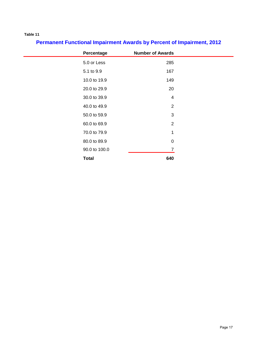# **Permanent Functional Impairment Awards by Percent of Impairment, 2012**

| Percentage    | <b>Number of Awards</b> |
|---------------|-------------------------|
| 5.0 or Less   | 285                     |
| 5.1 to 9.9    | 167                     |
| 10.0 to 19.9  | 149                     |
| 20.0 to 29.9  | 20                      |
| 30.0 to 39.9  | $\overline{4}$          |
| 40.0 to 49.9  | $\overline{2}$          |
| 50.0 to 59.9  | 3                       |
| 60.0 to 69.9  | $\overline{2}$          |
| 70.0 to 79.9  | 1                       |
| 80.0 to 89.9  | $\mathbf 0$             |
| 90.0 to 100.0 | 7                       |
| <b>Total</b>  | 640                     |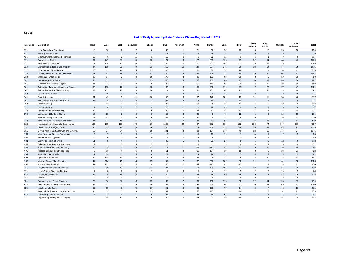#### **Part of Body Injured by Rate Code for Claims Registered in 2012**

| <b>Rate Code</b> | <b>Description</b>                        | Head           | Eyes           | <b>Neck</b>    | Shoulder       | Chest                | <b>Back</b> | Abdomen        | <b>Arms</b>      | Hands          | Legs         | Feet           | Body<br>System  | Pelvic<br>Region | <b>Multiple</b> | Other/<br>Unknown | <b>Total</b>   |
|------------------|-------------------------------------------|----------------|----------------|----------------|----------------|----------------------|-------------|----------------|------------------|----------------|--------------|----------------|-----------------|------------------|-----------------|-------------------|----------------|
| A11              | <b>Light Agricultural Operations</b>      | 18             | 18             | $\overline{2}$ | 12             | 6                    | 40          | $\mathbf{1}$   | 21               | 50             | 52           | 18             | $\overline{4}$  | $\overline{7}$   | 25              | 16                | 290            |
| A21              | Farming and Ranching                      | 5              | 5              | $\Omega$       | 5              |                      | 12          | $\Omega$       | 5                | 18             | 12           | $\overline{2}$ | $\mathbf{0}$    | $\overline{1}$   | $6\overline{6}$ | 3                 | 75             |
| A31              | Grain Elevators and Inland Terminals      | 10             | 9              | $\overline{2}$ | 11             | $\mathbf{1}$         | 12          | $\mathbf 0$    | 6                | 22             | 16           | $\overline{1}$ | 6               | $\overline{1}$   | 9               | 8                 | 114            |
| <b>B11</b>       | <b>Construction Trades</b>                | 67             | 147            | 20             | 45             | 10                   | 171         | $\mathbf{g}$   | 127              | 353            | 123          | 25             | 32              | 14               | 44              | 42                | 1229           |
| <b>B12</b>       | <b>Residential Construction</b>           | 72             | 138            | 13             | 58             | 31                   | 165         | 6              | 121              | 365            | 181          | 52             | 19              | 17               | 76              | 51                | 1365           |
| <b>B13</b>       | Commercial, Industrial Construction       | 84             | 168            | 25             | 90             | 33                   | 252         | 10             | 140              | 374            | 247          | 65             | 18              | 34               | 77              | 58                | 1675           |
| C12              | <b>Light Commodity Marketing</b>          | 26             | 13             | 12             | 35             | 11                   | 106         | $\overline{2}$ | 52               | 84             | 70           | 29             | $\mathbf{1}$    | $\overline{7}$   | 55              | 12                | 515            |
| C32              | Grocery, Department Store, Hardware       | 101            | 41             | 18             | 113            | 32                   | 269         | $\mathbf{g}$   | 162              | 308            | 176          | 84             | 20              | 19               | 105             | 42                | 1498           |
| C33              | Wholesale, Chain Stores                   | 29             | 14             | 9              | 54             | 18                   | 178         | $\overline{4}$ | 96               | 163            | 98           | 35             | 8               | 6                | 50              | 28                | 790            |
| C41              | Co-operative Associations                 | 44             | 12             | 5              | 47             | 12                   | 145         | $\overline{3}$ | 67               | 105            | 80           | 25             | 10              | 17               | 65              | 30 <sup>°</sup>   | 667            |
| C <sub>51</sub>  | Lumber Yard, Builders Supplies            | 34             | 34             | 9              | 37             | 8                    | 138         | 5              | 51               | 111            | 84           | 25             | $\overline{2}$  | 10               | 39              | 16                | 603            |
| C61              | Automotive, Implement Sales and Service   | 100            | 103            | 12             | 64             | 18                   | 166         | 9              | 106              | 250            | 110          | 29             | $\overline{7}$  | 23               | 77              | 47                | 1121           |
| C62              | Automotive Service Shops, Towing          | 63             | 113            | 13             | 33             | 18                   | 117         | 6              | 62               | 182            | 80           | 21             | $\overline{2}$  | 16               | 28              | 28                | 782            |
| D32              | Operation of Oilwells                     | 15             | 10             | $\overline{2}$ | 10             | $\overline{1}$       | 13          | $\Omega$       | 15               | 32             | 17           | $\overline{4}$ | $\overline{2}$  | $\overline{2}$   | 8               | 10                | 141            |
| D41              | Oilwell Servicing                         | 61             | 42             | $_{9}$         | 41             | 26                   | 92          | 6              | 57               | 142            | 106          | 18             | 11              | 11               | 55              | 40                | 717            |
| D51              | Service Rigs and Water Well Drilling      | 23             | 6              | $\mathbf{0}$   | 14             | $\overline{7}$       | 27          | 6              | 18               | 54             | 34           | 14             | $\overline{7}$  | $\overline{4}$   | 8               | 9                 | 231            |
| D <sub>52</sub>  | Seismic Drilling                          | 18             | 13             | $\overline{2}$ | 15             | $\overline{4}$       | 23          | $\mathbf{1}$   | 19               | 68             | 26           | 12             | $\overline{7}$  | $\overline{2}$   | 13              | 9                 | 232            |
| D71              | Open Pit Mining                           | $\overline{4}$ | $\overline{4}$ | $\overline{1}$ | $\overline{2}$ | $\overline{2}$       | 29          | 2              | $\overline{1}$   | 12             | 20           | $\mathbf{3}$   | $\mathbf{0}$    | $\overline{1}$   | 8               | 8                 | 97             |
| D72              | <b>Underground Softrock Mining</b>        | 30             | 21             | 9              | 17             | 6                    | 49          | $\mathbf{0}$   | 22               | 67             | 44           | 13             | 17              | 6                | 12              | 18                | 331            |
| D73              | <b>Underground Hardrock Mining</b>        | 17             | 23             | $\overline{2}$ | 13             | $\mathbf{8}$         | 50          | $\overline{2}$ | 23               | 42             | 42           | 12             | $\mathbf{1}$    | $\mathbf{3}$     | 13              | 13                | 264            |
| G11              | Post Secondary Education                  | 22             | 21             | 6              | 25             | 8                    | 53          | $\mathbf 0$    | 30               | 64             | 26           | 6              | 9               | 6                | 35              | 15                | 326            |
| G12              | Elementary and Secondary Education        | 38             | 17             | 16             | 47             | 13                   | 119         | 3              | 53               | 73             | 92           | 21             | 5               | 13               | 78              | 41                | 629            |
| G22              | Health Authority, Hospitals, Care Homes   | 165            | 175            | 100            | 473            | 60                   | 1132        | 22             | 437              | 682            | 388          | 102            | 294             | 74               | 543             | 250               | 4897           |
| G31              | Cities, Towns, Villages, RM's             | 90             | 59             | 28             | 73             | 16                   | 240         | 11             | 114              | 140            | 229          | 36             | 38              | 29               | 143             | 93                | 1339           |
| G51              | Government of Saskatchewan and Ministries | 55             | 37             | 24             | 76             | 15                   | 201         | $\overline{4}$ | 89               | 157            | 170          | 40             | 32              | 25               | 146             | 74                | 1145           |
| M31              | Manufacturing, Pipeline Operations        | 6              | $\overline{7}$ | $\mathbf{1}$   | 6              |                      | 12          |                | 10               | 13             | 10           | $\mathbf{1}$   | $\overline{4}$  | $\overline{1}$   | $\overline{7}$  | 5                 | 85             |
| M33              | Refineries and Upgrader                   | 6              | 6              | $\mathbf 0$    | 10             | $\overline{4}$       | 19          | $\mathbf 0$    | $_{9}$           | 8              | 19           | $\overline{2}$ | 9               | $\overline{2}$   | $\overline{4}$  | $\overline{7}$    | 105            |
| M41              | Dairy Products, Soft Drinks               | 11             | 5              | $\overline{4}$ | 14             | $\overline{4}$       | 45          | 5              | $\boldsymbol{8}$ | 23             | 26           | $\overline{5}$ | $\overline{1}$  | $\mathbf{0}$     | 12              | $\overline{9}$    | 172            |
| M42              | Bakeries, Food Prep and Packaging         | 12             | 3              | $\mathsf 0$    | 5              | 3                    | 18          | $\mathbf{1}$   | 10               | 41             | 6            | $\overline{4}$ | $\mathbf{3}$    | $\overline{2}$   | 9               | $\overline{4}$    | 121            |
| M62              | Mills, Semi Medium Manufacturing          | 36             | 59             | 5              | 43             | 17                   | 117         | $\overline{7}$ | 68               | 221            | 99           | 31             | $6\overline{6}$ | 18               | 39              | 28                | 794            |
| M72              | Processing Meat, Poultry and Fish         | 9              | 18             | $\overline{4}$ | 36             | 5                    | 61          | $\overline{4}$ | 65               | 104            | 39           | 15             | $\overline{2}$  | 6                | 33              | 21                | 422            |
| M81              | <b>Metal Foundries &amp; Mills</b>        | 17             | 24             | $\overline{3}$ | $\mathbf{8}$   | $\mathbf{8}$         | 13          |                | 19               | 28             | 17           | $\overline{7}$ | $\overline{4}$  | $\overline{4}$   | $\mathbf{3}$    | $\overline{5}$    | 161            |
| M91              | <b>Agricultural Equipment</b>             | 52             | 138            | 13             | 30             | 9                    | 117         | 8              | 65               | 228            | 72           | 26             | 13              | 10               | 33              | 33                | 847            |
| M92              | Machine Shops, Manufacturing              | 44             | 224            | 13             | 48             | 19                   | 147         | $\overline{7}$ | 87               | 300            | 107          | 32             | 11              | 8                | 41              | 38                | 1126           |
| M94              | Iron and Steel Fabrication                | 32             | 133            | 6              | 14             | $\Delta$             | 45          | $\overline{2}$ | 34               | 117            | 42           | 12             | $\mathbf{1}$    | $_{9}$           | 8               | 11                | 470            |
| R <sub>11</sub>  | Road Construction and Earthwork           | 69             | 88             | 17             | 47             | 21                   | 134         | $\overline{5}$ | 69               | 183            | 157          | 22             | 12              | 17               | 51              | 56                | 948            |
| S <sub>11</sub>  | Legal Offices, Financial, Drafting        | $\overline{7}$ | $\Omega$       | $\overline{2}$ | 3              | $\ddot{\phantom{1}}$ | 11          | $\mathbf 0$    | 5                | $\overline{4}$ | 11           | 3              | $\overline{2}$  | $\mathbf 0$      | 14              | 5                 | 68             |
| S <sub>12</sub>  | Offices, Professionals                    | 32             | $\mathbf{q}$   | 14             | 26             | $\overline{7}$       | 80          |                | 38               | 66             | 50           | 15             | 9               | 5                | 41              | 29                | 422            |
| S14              | Unions                                    | $\mathbf 0$    | $\mathbf 0$    | $\mathbf{0}$   | $\overline{1}$ | $\mathbf 0$          | $\mathbf 0$ | $\mathbf 0$    | $\overline{0}$   | $\mathbf 0$    | $\mathbf{0}$ | $\mathbf 0$    | $\mathbf 0$     | $\mathbf 0$      | $\mathbf 0$     | $\mathbf 0$       | $\overline{1}$ |
| <b>S21</b>       | <b>Community and Social Services</b>      | 73             | 18             | 27             | 46             | 13                   | 139         | $\overline{2}$ | 83               | 150            | 114          | 32             | 12 <sup>2</sup> | 14               | 123             | 33                | 879            |
| S22              | Restaurants, Catering, Dry Cleaning       | 47             | 23             | $\mathsf g$    | 32             | 19                   | 126         | 12             | 145              | 494            | 107          | 47             | 9               | 17               | 60              | 43                | 1190           |
| <b>S23</b>       | Hotels, Motels, Taxis                     | 38             | 15             | $\overline{3}$ | 33             | 10                   | 91          | $\overline{2}$ | 63               | 138            | 78           | 14             | $\mathbf{8}$    | $\overline{7}$   | 42              | 19                | 561            |
| S32              | Personal, Business and Leisure Services   | 34             | 19             | 5              | 30             | 12                   | 62          | 3              | 57               | 137            | 71           | 30             | $\overline{7}$  | 8                | 37              | 21                | 533            |
| <b>S33</b>       | Caretaking, Park Authorities              | 17             | 12             | $\overline{3}$ | 11             | 6                    | 46          |                | 24               | 36             | 51           | 5              |                 | $\overline{3}$   | 13              | 12                | 241            |
| S41              | Engineering, Testing and Surveying        | 9              | 12             | 10             | 13             | $\overline{5}$       | 36          | $\overline{2}$ | 24               | 37             | 33           | 10             | 5               | $\Delta$         | 21              | 6                 | 227            |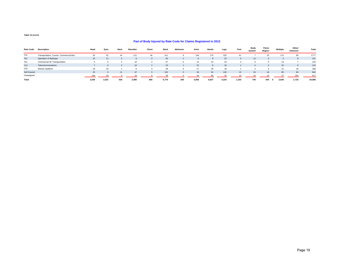#### **Part of Body Injured by Rate Code for Claims Registered in 2012**

| <b>Rate Code</b> | <b>Description</b>                      | Head  | Eyes  | <b>Neck</b> | Shoulder        | Chest    | <b>Back</b> | Abdomen | Arms  | Hands | Legs  | Feet  | Body<br>System | Pelvic<br>Region | <b>Multiple</b> | Other/<br><b>Unknown</b> | Total  |
|------------------|-----------------------------------------|-------|-------|-------------|-----------------|----------|-------------|---------|-------|-------|-------|-------|----------------|------------------|-----------------|--------------------------|--------|
| T42              | Transportation, Courier, Commercial Bus | 93    | 62    | 34          | 121             | 46       | 411         |         | 149   | 179   | 325   | 61    |                | 25               | 175             | 80                       | 1777   |
| <b>T51</b>       | Operation of Railways                   | 15    | 11    |             |                 | $\Omega$ | 20          |         |       |       | 22    |       | 12             |                  |                 |                          | 121    |
| T61              | Commercial Air Transportation           |       |       |             | 10              |          | 27          |         | 12    | 10    | 23    |       |                |                  | 13              |                          | 125    |
| U11              | Telecommunications                      |       |       |             | 10 <sup>1</sup> |          | 24          |         | 15    |       | 16    |       |                |                  | 15              |                          | 116    |
| U31              | <b>Electric Systems</b>                 | 19    |       |             |                 |          | 29          |         |       | 25    | 19    |       |                |                  | 12              | 16                       | 168    |
| Self Insured     |                                         | 25    |       | 11          | 47              |          | 102         |         | 36    | 54    | 145   | 15    | 24             | 18               | 85              | 83                       | 664    |
| Unassigned       |                                         | 130   | 43    |             |                 |          | 39          |         | 44    | 96    |       |       |                |                  | 27              | 184                      | 671    |
| Total            |                                         | 2,036 | 2,201 | 535         | 2,080           | 600      | 5,770       | 200     | 3,056 | 6,627 | 4.224 | 1,103 | 740            | 544              | 2,639           | 1,733                    | 34,088 |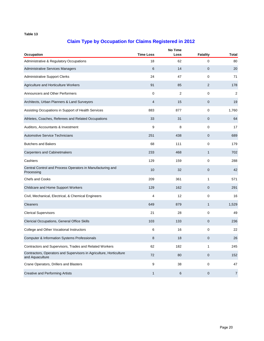| <b>Occupation</b>                                                                      | <b>Time Loss</b> | Loss           | Fatality     | <b>Total</b>   |
|----------------------------------------------------------------------------------------|------------------|----------------|--------------|----------------|
| Administrative & Regulatory Occupations                                                | 18               | 62             | 0            | 80             |
| Administrative Services Managers                                                       | 6                | 14             | $\mathbf 0$  | 20             |
| <b>Administrative Support Clerks</b>                                                   | 24               | 47             | 0            | 71             |
| Agriculture and Horticulture Workers                                                   | 91               | 85             | 2            | 178            |
| Announcers and Other Performers                                                        | 0                | $\overline{2}$ | 0            | 2              |
| Architects, Urban Planners & Land Surveyors                                            | 4                | 15             | 0            | 19             |
| Assisting Occupations in Support of Health Services                                    | 883              | 877            | 0            | 1,760          |
| Athletes, Coaches, Referees and Related Occupations                                    | 33               | 31             | 0            | 64             |
| Auditors, Accountants & Investment                                                     | 9                | 8              | 0            | 17             |
| <b>Automotive Service Technicians</b>                                                  | 251              | 438            | 0            | 689            |
| <b>Butchers and Bakers</b>                                                             | 68               | 111            | 0            | 179            |
| <b>Carpenters and Cabinetmakers</b>                                                    | 233              | 468            | 1            | 702            |
| Cashiers                                                                               | 129              | 159            | 0            | 288            |
| Central Control and Process Operators in Manufacturing and<br>Processing               | 10               | 32             | $\mathbf 0$  | 42             |
| <b>Chefs and Cooks</b>                                                                 | 209              | 361            | 1            | 571            |
| Childcare and Home Support Workers                                                     | 129              | 162            | $\pmb{0}$    | 291            |
| Civil, Mechanical, Electrical, & Chemical Engineers                                    | 4                | 12             | 0            | 16             |
| Cleaners                                                                               | 649              | 879            | $\mathbf{1}$ | 1,529          |
| <b>Clerical Supervisors</b>                                                            | 21               | 28             | 0            | 49             |
| Clericial Occupations, General Office Skills                                           | 103              | 133            | $\pmb{0}$    | 236            |
| College and Other Vocational Instructors                                               | 6                | 16             | 0            | 22             |
| <b>Computer &amp; Information Systems Professionals</b>                                | 8                | 18             | 0            | 26             |
| Contractors and Supervisors, Trades and Related Workers                                | 62               | 182            | 1            | 245            |
| Contractors, Operators and Supervisors in Agriculture, Horticulture<br>and Aquaculture | 72               | 80             | $\pmb{0}$    | 152            |
| Crane Operators, Drillers and Blasters                                                 | 9                | 38             | 0            | 47             |
| <b>Creative and Performing Artists</b>                                                 | 1                | 6              | $\pmb{0}$    | $\overline{7}$ |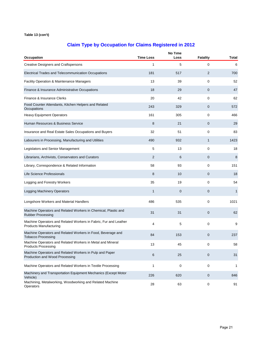| Occupation                                                                                        | <b>Time Loss</b> | <b>No Time</b><br>Loss | <b>Fatality</b> | Total |
|---------------------------------------------------------------------------------------------------|------------------|------------------------|-----------------|-------|
| <b>Creative Designers and Craftspersons</b>                                                       | 1                | 5                      | 0               | 6     |
| Electrical Trades and Telecommunication Occupations                                               | 181              | 517                    | 2               | 700   |
| Facility Operation & Maintenance Managers                                                         | 13               | 39                     | 0               | 52    |
| Finance & Insurance Administrative Occupations                                                    | 18               | 29                     | 0               | 47    |
| Finance & Insurance Clerks                                                                        | 20               | 42                     | 0               | 62    |
| Food Counter Attendants, Kitchen Helpers and Related<br>Occupations                               | 243              | 329                    | 0               | 572   |
| <b>Heavy Equipment Operators</b>                                                                  | 161              | 305                    | 0               | 466   |
| Human Resources & Business Service                                                                | 8                | 21                     | 0               | 29    |
| Insurance and Real Estate Sales Occupations and Buyers                                            | 32               | 51                     | 0               | 83    |
| Labourers in Processing, Manufacturing and Utilities                                              | 490              | 932                    | $\mathbf{1}$    | 1423  |
| Legislators and Senior Management                                                                 | 5                | 13                     | 0               | 18    |
| Librarians, Archivists, Conservators and Curators                                                 | 2                | 6                      | 0               | 8     |
| Library, Correspondence & Related Information                                                     | 58               | 93                     | 0               | 151   |
| Life Science Professionals                                                                        | 8                | 10                     | 0               | 18    |
| Logging and Forestry Workers                                                                      | 35               | 19                     | 0               | 54    |
| <b>Logging Machinery Operators</b>                                                                | 1                | $\mathbf 0$            | 0               | 1     |
| Longshore Workers and Material Handlers                                                           | 486              | 535                    | 0               | 1021  |
| Machine Operators and Related Workers in Chemical, Plastic and<br><b>Rubber Processing</b>        | 31               | 31                     | 0               | 62    |
| Machine Operators and Related Workers in Fabric, Fur and Leather<br><b>Products Manufacturing</b> | 4                | 5                      | 0               | 9     |
| Machine Operators and Related Workers in Food, Beverage and<br><b>Tobacco Processing</b>          | 84               | 153                    | 0               | 237   |
| Machine Operators and Related Workers in Metal and Mineral<br><b>Products Processing</b>          | 13               | 45                     | 0               | 58    |
| Machine Operators and Related Workers in Pulp and Paper<br>Production and Wood Processing         | 6                | 25                     | $\pmb{0}$       | 31    |
| Machine Operators and Related Workers in Textile Processing                                       | 1                | 0                      | 0               | 1     |
| Machinery and Transportation Equipment Mechanics (Except Motor<br>Vehicle)                        | 226              | 620                    | 0               | 846   |
| Machining, Metalworking, Woodworking and Related Machine<br>Operators                             | 28               | 63                     | 0               | 91    |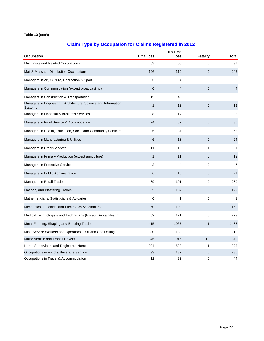| Occupation                                                                       | <b>Time Loss</b> | Loss           | <b>Fatality</b> | <b>Total</b>   |
|----------------------------------------------------------------------------------|------------------|----------------|-----------------|----------------|
| Machinists and Related Occupations                                               | 39               | 60             | 0               | 99             |
| Mail & Message Distribution Occupations                                          | 126              | 119            | $\overline{0}$  | 245            |
| Managers in Art, Culture, Recreation & Sport                                     | 5                | $\overline{4}$ | 0               | 9              |
| Managers in Communication (except broadcasting)                                  | $\mathbf 0$      | $\overline{4}$ | 0               | $\overline{4}$ |
| Managers in Construction & Transportation                                        | 15               | 45             | 0               | 60             |
| Managers in Engineering, Architecture, Science and Information<br><b>Systems</b> | $\mathbf{1}$     | 12             | 0               | 13             |
| Managers in Financial & Business Services                                        | 8                | 14             | 0               | 22             |
| Managers in Food Service & Accomodation                                          | 24               | 62             | 0               | 86             |
| Managers in Health, Education, Social and Community Services                     | 25               | 37             | 0               | 62             |
| Managers in Manufacturing & Utilities                                            | 6                | 18             | 0               | 24             |
| Managers in Other Services                                                       | 11               | 19             | $\mathbf{1}$    | 31             |
| Managers in Primary Production (except agriculture)                              | $\mathbf{1}$     | 11             | 0               | 12             |
| Managers in Protective Service                                                   | 3                | $\overline{4}$ | 0               | $\overline{7}$ |
| Managers in Public Administration                                                | 6                | 15             | 0               | 21             |
| Managers in Retail Trade                                                         | 89               | 191            | 0               | 280            |
| Masonry and Plastering Trades                                                    | 85               | 107            | 0               | 192            |
| Mathematicians, Statisticians & Actuaries                                        | $\mathbf 0$      | 1              | 0               | 1              |
| Mechanical, Electrical and Electronics Assemblers                                | 60               | 109            | 0               | 169            |
| Medical Technologists and Technicians (Except Dental Health)                     | 52               | 171            | 0               | 223            |
| Metal Forming, Shaping and Erecting Trades                                       | 415              | 1067           | $\mathbf{1}$    | 1483           |
| Mine Service Workers and Operators in Oil and Gas Drilling                       | 30               | 189            | 0               | 219            |
| Motor Vehicle and Transit Drivers                                                | 945              | 915            | 10              | 1870           |
| Nurse Supervisors and Registered Nurses                                          | 304              | 588            | 1               | 893            |
| Occupations in Food & Beverage Service                                           | 93               | 187            | $\mathbf 0$     | 280            |
| Occupations in Travel & Accommodation                                            | 12               | 32             | 0               | 44             |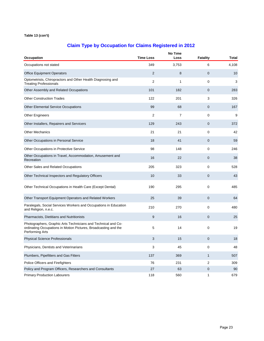| Occupation                                                                                                                                          | <b>Time Loss</b> | <b>No Time</b><br>Loss | <b>Fatality</b> | <b>Total</b> |
|-----------------------------------------------------------------------------------------------------------------------------------------------------|------------------|------------------------|-----------------|--------------|
| Occupations not stated                                                                                                                              | 349              | 3,753                  | 6               | 4,108        |
| <b>Office Equipment Operators</b>                                                                                                                   | 2                | 8                      | 0               | 10           |
| Optometrists, Chiropractors and Other Health Diagnosing and                                                                                         |                  |                        |                 |              |
| <b>Treating Professionals</b>                                                                                                                       | $\overline{2}$   | 1                      | 0               | 3            |
| Other Assembly and Related Occupations                                                                                                              | 101              | 182                    | 0               | 283          |
| <b>Other Construction Trades</b>                                                                                                                    | 122              | 201                    | 3               | 326          |
| <b>Other Elemental Service Occupations</b>                                                                                                          | 99               | 68                     | 0               | 167          |
| <b>Other Engineers</b>                                                                                                                              | $\overline{2}$   | $\overline{7}$         | 0               | 9            |
| Other Installers, Repairers and Servicers                                                                                                           | 129              | 243                    | 0               | 372          |
| <b>Other Mechanics</b>                                                                                                                              | 21               | 21                     | 0               | 42           |
| Other Occupations in Personal Service                                                                                                               | 18               | 41                     | 0               | 59           |
| Other Occupations in Protective Service                                                                                                             | 98               | 148                    | 0               | 246          |
| Other Occupations in Travel, Accommodation, Amusement and<br>Recreation                                                                             | 16               | 22                     | 0               | 38           |
| Other Sales and Related Occupations                                                                                                                 | 205              | 323                    | 0               | 528          |
| Other Technical Inspectors and Regulatory Officers                                                                                                  | 10               | 33                     | 0               | 43           |
| Other Technical Occupations in Health Care (Except Dental)                                                                                          | 190              | 295                    | 0               | 485          |
| Other Transport Equipment Operators and Related Workers                                                                                             | 25               | 39                     | 0               | 64           |
| Paralegals, Social Services Workers and Occupations in Education<br>and Religion, n.e.c.                                                            | 210              | 270                    | 0               | 480          |
| Pharmacists, Dietitians and Nutritionists                                                                                                           | 9                | 16                     | 0               | 25           |
| Photographers, Graphic Arts Technicians and Technical and Co-<br>ordinating Occupations in Motion Pictures, Broadcasting and the<br>Performing Arts | 5                | 14                     | 0               | 19           |
| <b>Physical Science Professionals</b>                                                                                                               | 3                | 15                     | 0               | 18           |
| Physicians, Dentists and Veterinarians                                                                                                              | 3                | 45                     | 0               | 48           |
| Plumbers, Pipefitters and Gas Fitters                                                                                                               | 137              | 369                    | $\mathbf{1}$    | 507          |
| Police Officers and Firefighters                                                                                                                    | 76               | 231                    | 2               | 309          |
| Policy and Program Officers, Researchers and Consultants                                                                                            | 27               | 63                     | 0               | 90           |
| <b>Primary Production Labourers</b>                                                                                                                 | 118              | 560                    | 1               | 679          |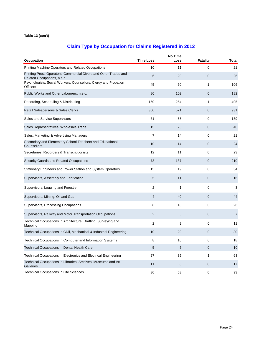| Occupation                                                                                      | <b>Time Loss</b> | <b>No Time</b><br>Loss | <b>Fatality</b> | <b>Total</b>   |
|-------------------------------------------------------------------------------------------------|------------------|------------------------|-----------------|----------------|
| Printing Machine Operators and Related Occupations                                              | 10               | 11                     | $\mathbf 0$     | 21             |
| Printing Press Operators, Commercial Divers and Other Trades and<br>Related Occupations, n.e.c. | 6                | 20                     | 0               | 26             |
| Psychologists, Social Workers, Counsellors, Clergy and Probation<br><b>Officers</b>             | 45               | 60                     | $\mathbf{1}$    | 106            |
| Public Works and Other Labourers, n.e.c.                                                        | 80               | 102                    | 0               | 182            |
| Recording, Scheduling & Distributing                                                            | 150              | 254                    | 1               | 405            |
| Retail Salespersons & Sales Clerks                                                              | 360              | 571                    | $\mathbf 0$     | 931            |
| Sales and Service Supervisors                                                                   | 51               | 88                     | 0               | 139            |
| Sales Representatives, Wholesale Trade                                                          | 15               | 25                     | $\overline{0}$  | 40             |
| Sales, Marketing & Advertising Managers                                                         | $\overline{7}$   | 14                     | 0               | 21             |
| Secondary and Elementary School Teachers and Educational<br>Counsellors                         | 10               | 14                     | $\mathbf 0$     | 24             |
| Secretaries, Recorders & Transcriptionists                                                      | 12               | 11                     | 0               | 23             |
| Security Guards and Related Occupations                                                         | 73               | 137                    | $\mathbf 0$     | 210            |
| Stationary Engineers and Power Station and System Operators                                     | 15               | 19                     | 0               | 34             |
| Supervisors, Assembly and Fabrication                                                           | 5                | 11                     | 0               | 16             |
| Supervisors, Logging and Forestry                                                               | $\overline{c}$   | $\mathbf{1}$           | $\mathbf 0$     | 3              |
| Supervisors, Mining, Oil and Gas                                                                | $\overline{4}$   | 40                     | 0               | 44             |
| Supervisors, Processing Occupations                                                             | 8                | 18                     | 0               | 26             |
| Supervisors, Railway and Motor Transportation Occupations                                       | $\overline{2}$   | 5                      | 0               | $\overline{7}$ |
| Technical Occupations in Architecture, Drafting, Surveying and<br>Mapping                       | $\overline{2}$   | 9                      | 0               | 11             |
| Technical Occupations in Civil, Mechanical & Industrial Engineering                             | 10               | 20                     | 0               | 30             |
| Technical Occupations in Computer and Information Systems                                       | 8                | 10                     | 0               | 18             |
| <b>Technical Occupations in Dental Health Care</b>                                              | 5                | 5                      | $\mathbf 0$     | 10             |
| Technical Occupations in Electronics and Electrical Engineering                                 | 27               | 35                     | 1               | 63             |
| Technical Occupations in Libraries, Archives, Museums and Art<br>Galleries                      | 11               | 6                      | 0               | 17             |
| <b>Technical Occupations in Life Sciences</b>                                                   | 30               | 63                     | 0               | 93             |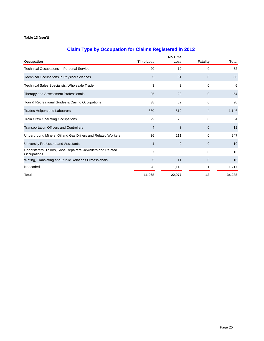|                                                                             | <b>Time Loss</b> | No Time |                 |              |
|-----------------------------------------------------------------------------|------------------|---------|-----------------|--------------|
| Occupation                                                                  |                  | Loss    | <b>Fatality</b> | <b>Total</b> |
| Technical Occupations in Personal Service                                   | 20               | 12      | 0               | 32           |
| <b>Technical Occupations in Physical Sciences</b>                           | 5                | 31      | $\mathbf 0$     | 36           |
| Technical Sales Specialists, Wholesale Trade                                | 3                | 3       | $\mathbf 0$     | 6            |
| Therapy and Assessment Professionals                                        | 25               | 29      | $\mathbf 0$     | 54           |
| Tour & Recreational Guides & Casino Occupations                             | 38               | 52      | $\mathbf 0$     | 90           |
| Trades Helpers and Labourers                                                | 330              | 812     | 4               | 1,146        |
| <b>Train Crew Operating Occupations</b>                                     | 29               | 25      | $\mathbf 0$     | 54           |
| <b>Transportation Officers and Controllers</b>                              | $\overline{4}$   | 8       | $\mathbf{0}$    | 12           |
| Underground Miners, Oil and Gas Drillers and Related Workers                | 36               | 211     | $\mathbf 0$     | 247          |
| University Professors and Assistants                                        | 1                | 9       | $\mathbf{0}$    | 10           |
| Upholsterers, Tailors, Shoe Repairers, Jewellers and Related<br>Occupations | 7                | 6       | $\mathbf 0$     | 13           |
| Writing, Translating and Public Relations Professionals                     | 5                | 11      | $\mathbf{0}$    | 16           |
| Not coded                                                                   | 98               | 1,118   | 1               | 1,217        |
| Total                                                                       | 11,068           | 22,977  | 43              | 34,088       |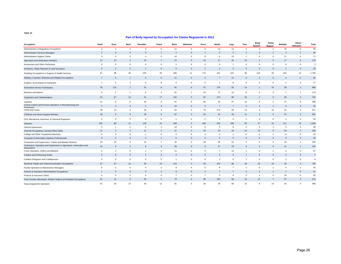| Occupation                                                                             | Head           | Eyes           | Neck           | Shoulder       | Chest          | <b>Back</b>    | Abdomen        | Arms           | Hands          | Legs           | Feet                     | <b>Body</b><br>System | Pelvic<br>Region <sup>®</sup> | <b>Multiple</b> | Other/<br><b>Unknown</b> | Total          |
|----------------------------------------------------------------------------------------|----------------|----------------|----------------|----------------|----------------|----------------|----------------|----------------|----------------|----------------|--------------------------|-----------------------|-------------------------------|-----------------|--------------------------|----------------|
| Administrative & Regulatory Occupations                                                | 3              | $\overline{1}$ | $\overline{2}$ | 5              | 5              | 11             | $\mathbf{0}$   | 3              | 13             | 13             | $\overline{4}$           | 3                     | $\overline{\phantom{a}}$      | 15              | $\overline{0}$           | 80             |
| <b>Administrative Services Managers</b>                                                | $\mathbf{1}$   | $\mathbf{0}$   | $\mathbf 0$    | $\mathbf 0$    | $\overline{1}$ | $\overline{2}$ | $\Omega$       | $\overline{1}$ | $\mathbf{3}$   | $\overline{2}$ |                          | $\overline{4}$        | -1                            | 3               | $\mathbf{1}$             | 20             |
| <b>Administrative Support Clerks</b>                                                   | 3              | $\overline{0}$ | 3              | $\overline{4}$ | $\mathbf 0$    | 10             | $\Omega$       | 8              | 6              | 13             | -1                       | 6                     | $\mathbf 0$                   | 17              | $\overline{0}$           | 71             |
| Agriculture and Horticulture Workers                                                   | 13             | 10             | $\overline{2}$ | 10             | $\overline{7}$ | 23             | $\mathbf{0}$   | 16             | 27             | 35             | 12                       | $\mathbf{1}$          | 5                             | 17              | $\overline{0}$           | 178            |
| Announcers and Other Performers                                                        | $^{\circ}$     | $\overline{0}$ | $^{\circ}$     | $\mathbf 0$    | $\mathbf 0$    |                | $\Omega$       | $\mathbf 0$    | $\mathbf 0$    | -1             | $\Omega$                 | $\mathbf 0$           | $\mathbf 0$                   | $\mathbf 0$     | $\overline{0}$           | $\overline{2}$ |
| Architects, Urban Planners & Land Surveyors                                            | $\mathbf{0}$   | $\overline{2}$ | $\overline{2}$ | $\overline{1}$ | $\mathbf 0$    | 5              | $\mathbf{0}$   | $\overline{1}$ | $\overline{4}$ | 3              | $\Omega$                 | $\mathbf 0$           | $\overline{0}$                | 1               | $\overline{0}$           | 19             |
| Assisting Occupations in Support of Health Services                                    | 51             | 38             | 45             | 220            | 25             | 465            | 11             | 174            | 151            | 121            | 46                       | 124                   | 33                            | 244             | 12                       | 1,760          |
| Athletes, Coaches, Referees and Related Occupations                                    | $\overline{7}$ | 6              | $\overline{1}$ | $\overline{4}$ | $\mathbf 0$    | 11             | $\mathbf{0}$   | $\overline{4}$ | $\overline{7}$ | 12             | $\overline{4}$           | $\overline{4}$        | $\overline{0}$                | $\overline{4}$  | $\overline{0}$           | 64             |
| Auditors, Accountants & Investment                                                     | $\overline{1}$ | $\overline{0}$ | $\mathfrak{p}$ | $\mathbf{0}$   | $\mathbf{0}$   | $\overline{4}$ | $\Omega$       | $\mathbf 0$    | $\overline{1}$ | 6              | $\Omega$                 | $\mathbf 0$           | $^{\circ}$                    | 3               | $\mathbf 0$              | 17             |
| Automotive Service Technicians                                                         | 79             | 113            | $\overline{7}$ | 41             | 8              | 91             | 6              | 57             | 176            | 56             | 14                       | $\mathbf{1}$          | 10                            | 28              | $\overline{2}$           | 689            |
| <b>Butchers and Bakers</b>                                                             | 6              | $\overline{2}$ | $\overline{1}$ | 8              | 3              | 31             |                | 23             | 71             | 10             | 8                        | 5                     | $\overline{2}$                | $\overline{7}$  | $\overline{1}$           | 179            |
| <b>Carpenters and Cabinetmakers</b>                                                    | 42             | 67             | 10             | 31             | 17             | 102            | 5              | 63             | 213            | 88             | 25                       | $\overline{2}$        | 9                             | 25              | $\overline{\mathbf{3}}$  | 702            |
| Cashiers                                                                               | 12             | 6              | 5              | 23             | $\overline{4}$ | 51             | $\mathbf{0}$   | 49             | 43             | 37             | 14                       | 5                     | $\overline{2}$                | 37              | $\mathbf 0$              | 288            |
| Central Control and Process Operators in Manufacturing and<br>Processing               | $\mathbf{1}$   | 3              | $\Omega$       | $\overline{2}$ | 3              | 10             | $\mathbf{0}$   | $\mathbf{0}$   | $\overline{7}$ | $\overline{7}$ | $\overline{\phantom{0}}$ | $\overline{2}$        | $\mathbf{1}$                  | $\overline{4}$  | $\overline{0}$           | 42             |
| Chefs and Cooks                                                                        | 28             | 13             | 3              | 24             | $\overline{4}$ | 52             | -5             | 72             | 273            | 45             | 13                       | 6                     | 10                            | 21              | $\overline{2}$           | 571            |
| Childcare and Home Support Workers                                                     | 18             | 9              | 8              | 18             | 6              | 67             | $\overline{2}$ | 29             | 24             | 40             | 11                       | 3                     | 6                             | 47              | $\overline{3}$           | 291            |
| Civil, Mechanical, Electrical, & Chemical Engineers                                    | $\overline{2}$ | $\mathbf 0$    | $\mathbf{3}$   | $\mathsf 0$    | $\mathsf 0$    | -1             | $\Omega$       | $\overline{2}$ | $\overline{2}$ | $\overline{4}$ | -1                       | $\mathbf 0$           | $\overline{0}$                | $\overline{1}$  | $\mathbf 0$              | 16             |
| Cleaners                                                                               | 100            | 89             | 11             | 128            | 24             | 309            | 5              | 168            | 252            | 188            | 53                       | 47                    | 31                            | 111             | 13                       | 1,529          |
| <b>Clerical Supervisors</b>                                                            | $\overline{2}$ | $\overline{1}$ | $\overline{2}$ | $\overline{2}$ |                | 10             | $\mathbf{0}$   | 9              | 5              | 8              | $\overline{2}$           | 3                     | -1                            | 3               | $\overline{0}$           | 49             |
| Clericial Occupations, General Office Skills                                           | 11             | $\overline{2}$ | $\overline{4}$ | 11             | 2              | 41             | $\overline{2}$ | 24             | 23             | 33             | 14                       | 13                    | 6                             | 49              | $\mathbf{1}$             | 236            |
| College and Other Vocational Instructors                                               | $\overline{4}$ | $\mathbf 0$    | $\mathbf 0$    | $\mathbf{1}$   | $\mathbf 0$    | $\overline{2}$ | $\Omega$       | $\mathbf{3}$   | 3              | $\overline{2}$ | $\Omega$                 | $\mathsf 0$           | $\overline{1}$                | 6               | $\mathbf 0$              | 22             |
| Computer & Information Systems Professionals                                           | $\mathbf{0}$   | $\overline{2}$ | $\mathbf{0}$   | $\overline{2}$ | $\mathbf{1}$   | 5              | $\Omega$       | 3              | $\mathbf{3}$   | 5              | $\overline{2}$           | $\mathbf{0}$          | $\mathbf 0$                   | 3               | $\overline{0}$           | 26             |
| Contractors and Supervisors, Trades and Related Workers                                | 23             | 20             | $\mathbf{3}$   | 12             | $\overline{7}$ | 32             | $\mathbf{0}$   | 18             | 59             | 41             | $\overline{7}$           | 5                     | $\overline{3}$                | 14              | $\overline{1}$           | 245            |
| Contractors, Operators and Supervisors in Agriculture, Horticulture and<br>Aquaculture | 15             | 6              | $\overline{2}$ | 6              | 3              | 26             | $\mathbf{0}$   | 8              | 37             | 23             | 5                        | $\overline{4}$        | 5                             | 11              | $\mathbf{1}$             | 152            |
| Crane Operators, Drillers and Blasters                                                 | 5              | $\overline{2}$ | $^{\circ}$     | $\mathbf{1}$   | $\mathbf{0}$   | 11             | $\Omega$       | $\overline{4}$ | $\overline{7}$ | 12             | -1                       | $\mathbf 0$           | $\overline{1}$                | 3               | $\mathbf 0$              | 47             |
| Creative and Performing Artists                                                        | $\overline{3}$ | $\mathbf{0}$   | $\overline{0}$ | $\mathbf{1}$   | $\mathbf 0$    | $\overline{2}$ | $\mathbf 0$    | $\mathbf{0}$   | $\mathbf 0$    | $\mathbf 0$    |                          | $\mathbf{0}$          | $\overline{0}$                | $\mathbf{0}$    | $\overline{0}$           | $\overline{7}$ |
| Creative Designers and Craftspersons                                                   | $\mathbf 0$    | $^{\circ}$     | $^{\circ}$     | $\mathbf 0$    | $\mathbf{0}$   |                | $\Omega$       | $\mathbf 0$    | $\overline{2}$ | 0              | -1                       | $^{\circ}$            | $^{\circ}$                    | $\overline{2}$  | $^{\circ}$               | 6              |
| Electrical Trades and Telecommunication Occupations                                    | 57             | 57             | 12             | 35             | 10             | 115            | -5             | 84             | 153            | 86             | 19                       | 22                    | 10                            | 32              | $\overline{3}$           | 700            |
| Facility Operation & Maintenance Managers                                              | 6              | $\overline{2}$ | $^{\circ}$     | $\overline{4}$ | 2              | 9              | $\mathbf{0}$   | 5              | 8              | $\overline{7}$ | $\overline{2}$           | $\mathbf 0$           | -1                            | 5               | 1                        | 52             |
| Finance & Insurance Administrative Occupations                                         | 1              | $\mathbf{0}$   | $\mathbf{0}$   | 3              | $\overline{2}$ | 9              | $\mathbf{0}$   | $\overline{2}$ | $\overline{7}$ | $\overline{7}$ | -5                       | 3                     | $\mathbf{1}$                  | $\overline{7}$  | $\mathbf 0$              | 47             |
| Finance & Insurance Clerks                                                             | $\overline{4}$ | $\mathbf{0}$   | $\overline{2}$ | 6              | $\mathbf{0}$   | $\overline{7}$ | $\mathbf{0}$   | $\overline{7}$ | 3              | 9              | 5                        | $\overline{4}$        | $\mathbf 0$                   | 15              | $\Omega$                 | 62             |
| Food Counter Attendants, Kitchen Helpers and Related Occupations                       | 24             | 12             | $\overline{9}$ | 35             | $\overline{4}$ | 79             | 5              | 86             | 164            | 58             | 16                       | 12                    | $\overline{7}$                | 57              | $\overline{4}$           | 572            |
| <b>Heavy Equipment Operators</b>                                                       | 41             | 28             | 14             | 30             | 12             | 91             | $\mathbf{3}$   | 33             | 78             | 66             | 13                       | 6                     | 14                            | 33              | $\Delta$                 | 466            |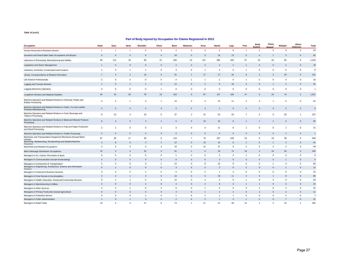| Occupation                                                                                        | Head            | Eyes           | Neck           | Shoulder       | Chest          | <b>Back</b>    | Abdomen        | Arms           | Hands           | Legs           | Feet           | <b>Body</b><br><b>System</b> | Pelvic<br>Region | <b>Multiple</b> | Other/<br>Unknown | Total          |
|---------------------------------------------------------------------------------------------------|-----------------|----------------|----------------|----------------|----------------|----------------|----------------|----------------|-----------------|----------------|----------------|------------------------------|------------------|-----------------|-------------------|----------------|
| Human Resources & Business Service                                                                | $\mathbf{1}$    | $\mathbf{1}$   | $\overline{1}$ | $\mathbf 0$    | $\mathsf 0$    | $\overline{3}$ | $\mathsf 0$    | $\mathbf{3}$   | $\overline{2}$  | 6              | $\overline{1}$ | $\overline{2}$               | $\mathbf 0$      | 9               | $\mathbf 0$       | 29             |
| Insurance and Real Estate Sales Occupations and Buyers                                            | 6               | 6              | $\mathbf 0$    | 8              | $\overline{4}$ | 18             | $\mathbf 0$    | 5              | 15              | 13             | $\Omega$       | $\overline{4}$               |                  | 3               | $\overline{0}$    | 83             |
| Labourers in Processing, Manufacturing and Utilities                                              | 80              | 114            | 16             | 85             | 21             | 205            | 14             | 137            | 385             | 183            | 57             | 16                           | 20               | 84              | 6                 | 1,423          |
| Legislators and Senior Management                                                                 | $\mathbf{1}$    | $\mathbf{0}$   | $\mathbf 0$    | $\overline{0}$ | $\mathbf 0$    | $\overline{4}$ | $\mathbf 0$    | $\overline{2}$ | $\overline{2}$  | $\overline{4}$ |                | $\mathbf 0$                  | $\overline{0}$   | $\overline{4}$  | $\overline{0}$    | 18             |
| Librarians, Archivists, Conservators and Curators                                                 | $\mathbf{1}$    | $\mathbf 0$    | $\mathbf{1}$   | $\overline{1}$ | $\mathbf 0$    | 3              | $\mathbf 0$    | $\overline{1}$ | $\mathbf 0$     | $\mathbf 0$    |                | 0                            | $\mathbf 0$      | $\mathbf 0$     | $\overline{0}$    | 8              |
| Library, Correspondence & Related Information                                                     | $\overline{7}$  | $\overline{4}$ | $\overline{2}$ | 10             | $\mathbf{3}$   | 31             | $\overline{1}$ | 17             | 17              | 20             | 8              | $\overline{2}$               | 3                | 26              | $\overline{0}$    | 151            |
| Life Science Professionals                                                                        | $\overline{2}$  | $\mathbf 0$    | $\mathbf 0$    | $\mathsf 0$    | $\mathbf 0$    | $\overline{4}$ | $\overline{1}$ | $\overline{1}$ | $\overline{2}$  | $\overline{4}$ |                | $\mathsf 0$                  | $\mathbf 0$      | 3               | $\mathbf 0$       | 18             |
| Logging and Forestry Workers                                                                      | $\mathbf{1}$    | $\mathbf{0}$   | $\mathbf{1}$   | $\overline{2}$ | $\overline{2}$ | 14             | $\Omega$       | $\overline{4}$ | 6               | 18             | $\mathbf{3}$   | $\mathbf 0$                  | $\mathbf{1}$     | $\overline{2}$  | $\overline{0}$    | 54             |
| Logging Machinery Operators                                                                       | $\mathbf 0$     | $\mathbf 0$    | $^{\circ}$     | $\mathbf 0$    | $\overline{1}$ | $\mathbf 0$    | $\mathbf{0}$   | $\mathbf 0$    | $\mathbf 0$     | $\mathbf 0$    | $\Omega$       | 0                            | $\mathbf 0$      | $\mathbf 0$     | $\overline{0}$    | $\overline{1}$ |
| Longshore Workers and Material Handlers                                                           | 45              | 32             | 20             | 78             | 23             | 253            | 5              | 87             | 157             | 169            | 47             | 5                            | 24               | 74              | $\overline{2}$    | 1,021          |
| Machine Operators and Related Workers in Chemical, Plastic and<br>Rubber Processing               | 3               | 5              | $\overline{1}$ | $\overline{4}$ | $\overline{1}$ | 16             | $\mathbf{0}$   | $\mathbf{3}$   | 10              | 11             | $\overline{2}$ | $\mathbf 0$                  |                  | 5               | $\mathbf 0$       | 62             |
| Machine Operators and Related Workers in Fabric, Fur and Leather<br><b>Products Manufacturing</b> | $\mathbf{0}$    | $\mathbf 0$    | $\mathbf 0$    | $\mathbf 0$    | $\mathbf 0$    | $\mathbf 0$    | $\mathbf{0}$   | $\mathbf{3}$   | $\overline{4}$  | $\mathbf 0$    | $\Omega$       | $\mathbf 0$                  | $\overline{0}$   | $\overline{2}$  | $\overline{0}$    | $\mathbf{q}$   |
| Machine Operators and Related Workers in Food, Beverage and<br><b>Tobacco Processing</b>          | 9               | 13             | 3              | 20             | 5              | 37             | $\overline{2}$ | 31             | 52              | 29             | $\overline{7}$ | 3                            | 5                | 20              | $\overline{1}$    | 237            |
| Machine Operators and Related Workers in Metal and Mineral Products<br>Processing                 | 6               | $\overline{4}$ | $\mathbf 0$    | $\mathbf{3}$   | $\overline{1}$ | 6              | $\mathbf{0}$   | 10             | 15              | 6              |                | $\mathbf{1}$                 | $\overline{1}$   | $\overline{4}$  | $\overline{0}$    | 58             |
| Machine Operators and Related Workers in Pulp and Paper Production<br>and Wood Processing         | $\overline{2}$  | $\overline{1}$ | $^{\circ}$     | $^{\circ}$     | $\overline{1}$ | $\overline{4}$ | $\mathbf 0$    | $\overline{4}$ | 11              | 6              |                | $\mathbf 0$                  | $\mathbf 0$      | 1               | $\overline{0}$    | 31             |
| Machine Operators and Related Workers in Textile Processing                                       | $\mathbf 0$     | $\mathbf{0}$   | $\mathbf 0$    | $\mathbf{0}$   | $\mathbf{0}$   | $\mathbf 0$    | $\mathbf 0$    | $\mathbf{0}$   | $\mathbf{0}$    | $\mathbf{0}$   | $\mathbf{0}$   | $\mathbf{0}$                 | $\mathbf 0$      | $\mathbf{1}$    | $\overline{0}$    | $\overline{1}$ |
| Machinery and Transportation Equipment Mechanics (Except Motor<br>Vehicle)                        | 87              | 95             | 17             | 40             | 9              | 119            | $\overline{7}$ | 76             | 207             | 100            | 22             | 9                            | 18               | 36              | $\overline{4}$    | 846            |
| Machining, Metalworking, Woodworking and Related Machine<br>Onerators                             | $\mathbf{3}$    | 8              | $\mathbf{0}$   | $\mathbf{3}$   | $\overline{1}$ | 12             | $\mathbf{0}$   | 10             | 42              | 8              |                | $\mathbf 0$                  | $\mathbf{1}$     | $\overline{2}$  | $\overline{0}$    | 91             |
| Machinists and Related Occupations                                                                | $\overline{4}$  | 6              | $\mathbf 0$    | $\mathbf{3}$   | $\overline{4}$ | 18             | $\mathbf{0}$   | 10             | 37              | 9              | $\overline{4}$ | $\mathsf 0$                  | $\overline{2}$   | $\overline{2}$  | $\mathbf 0$       | 99             |
| Mail & Message Distribution Occupations                                                           | 10 <sup>1</sup> | 3              | $\overline{4}$ | 25             | $\mathbf{3}$   | 51             | $\mathbf{1}$   | 6              | 18              | 72             | 10             | 3                            | 10               | 29              | $\overline{0}$    | 245            |
| Managers in Art, Culture, Recreation & Sport                                                      | $\mathbf{0}$    | $\mathbf 0$    | $\mathbf{0}$   | $\mathbf 0$    | $\mathbf{0}$   | $\overline{1}$ | $\mathbf{0}$   | $\mathbf 0$    | $\overline{2}$  | $\overline{2}$ | $\overline{1}$ | 0                            | $\mathbf{0}$     | 3               | $\mathbf 0$       | $\alpha$       |
| Managers in Communication (except broadcasting)                                                   | $\mathbf 0$     | $\mathbf{0}$   | $\mathbf 0$    | $\overline{0}$ | $\mathbf 0$    | $\mathbf 0$    | $\mathbf{0}$   | $\mathbf 0$    | $\mathbf{3}$    | $\mathbf 0$    | $\mathbf{0}$   | $\mathbf 0$                  | $\mathbf 0$      | $\mathbf{1}$    | $\overline{0}$    | $\overline{4}$ |
| Managers in Construction & Transportation                                                         | $\overline{2}$  | $\overline{4}$ | $^{\circ}$     | 3              | $\overline{1}$ | 12             | $\mathbf 0$    | 8              | 10              | 9              | 5              | 0                            | -1               | 3               | $\overline{2}$    | 60             |
| Managers in Engineering, Architecture, Science and Information<br>Systems                         | $\Omega$        | $\overline{1}$ | $\Omega$       | $\Omega$       | $\mathbf{0}$   | 3              | $\Omega$       | $\overline{4}$ | $\overline{2}$  | $\mathbf{0}$   | $\overline{2}$ | $\mathbf 0$                  | $\Omega$         | $\mathbf{1}$    | $\overline{0}$    | 13             |
| Managers in Financial & Business Services                                                         | 3               | $\mathbf 0$    | $\mathbf 0$    | $\mathbf{1}$   | $\mathbf 0$    | 5              | $\mathbf 0$    | $\overline{2}$ | $\mathbf{1}$    | $\overline{4}$ | $\mathbf{0}$   | 0                            | $\mathbf 0$      | 6               | $\overline{0}$    | 22             |
| Managers in Food Service & Accomodation                                                           | 3               | 3              | $\mathbf{1}$   | 3              | $\Omega$       | 14             | $\Omega$       | 6              | 33              | 11             | $\mathbf{3}$   | $\mathbf 0$                  | -1               | 8               | $\mathbf 0$       | 86             |
| Managers in Health, Education, Social and Community Services                                      | 5               | $\overline{2}$ | $\overline{1}$ | $\overline{2}$ | $\overline{2}$ | 14             | $\mathbf 0$    | $\mathbf{3}$   | $\overline{4}$  | 9              |                | 8                            | $\overline{2}$   | 9               | $\mathbf 0$       | 62             |
| Managers in Manufacturing & Utilities                                                             | 3               | $\mathbf{0}$   | $\overline{0}$ | $\overline{2}$ | $\mathbf{0}$   | $\overline{4}$ | $\Omega$       | $\overline{2}$ | $5\overline{5}$ | 3              |                | $\mathbf{1}$                 | $\mathbf 0$      | 3               | $\overline{0}$    | 24             |
| Managers in Other Services                                                                        | $\overline{2}$  | $\overline{2}$ | $\overline{1}$ | 5              | $\overline{1}$ | 6              | $\mathbf 0$    | $\overline{1}$ | $\overline{2}$  | 5              | 3              | $\mathbf{1}$                 | $^{\circ}$       | $\overline{2}$  | $\mathbf 0$       | 31             |
| Managers in Primary Production (except agriculture)                                               | $\mathbf{0}$    | $\Omega$       | $\mathbf{0}$   | $\mathbf{0}$   | $\mathbf{0}$   | 3              | $\Omega$       | $\overline{1}$ | $\overline{2}$  | $\overline{2}$ | $\mathbf{0}$   | $\overline{2}$               | $\mathbf 0$      | $\overline{2}$  | $\mathbf 0$       | 12             |
| Managers in Protective Service                                                                    | $\Omega$        | $\mathbf{0}$   | $\mathbf 0$    | $\overline{1}$ | $\mathbf 0$    | $\overline{1}$ | $\mathbf{0}$   | $\overline{1}$ | $\mathbf{1}$    | $\overline{1}$ | $\mathbf{0}$   | $\mathsf 0$                  | $\mathbf 0$      | $\overline{a}$  | $\mathbf{0}$      | $\overline{7}$ |
| Managers in Public Administration                                                                 | $\mathbf{1}$    | $\mathbf 0$    | $\overline{1}$ | $\mathbf{3}$   | $\mathbf 0$    | $\overline{2}$ | $\mathbf{0}$   | $\overline{2}$ | $\mathbf{1}$    | $\mathbf{3}$   |                | $\mathbf 0$                  | $\mathbf 0$      | $\overline{7}$  | $\overline{0}$    | 21             |
| Managers in Retail Trade                                                                          | 18              | $\overline{4}$ | 5              | 27             | 9              | 73             | $\overline{1}$ | 27             | 27              | 48             | 14             | $\mathbf{1}$                 | $\mathfrak{p}$   | 23              | $\overline{1}$    | 280            |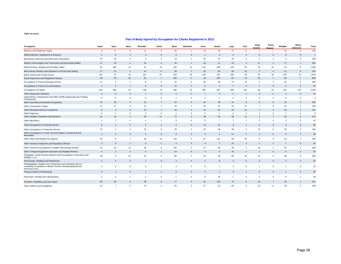| Occupation                                                                                                                                                 | Head           | Eyes           | Neck           | Shoulder         | Chest          | <b>Back</b>    | Abdomen        | Arms           | Hands          | Legs           | Feet                    | <b>Body</b><br>System | Pelvic<br>Region | <b>Multiple</b> | Other/<br>Unknown | Total        |
|------------------------------------------------------------------------------------------------------------------------------------------------------------|----------------|----------------|----------------|------------------|----------------|----------------|----------------|----------------|----------------|----------------|-------------------------|-----------------------|------------------|-----------------|-------------------|--------------|
| Masonry and Plastering Trades                                                                                                                              | 8              | 17             | 6              | 11               | 6              | 35             |                | 23             | 34             | 27             | 11                      | $\overline{2}$        | $\overline{1}$   | 10              | $\mathbf{0}$      | 192          |
| Mathematicians, Statisticians & Actuaries                                                                                                                  | $\mathbf{0}$   | $\mathbf{0}$   | $\mathbf{0}$   | $\mathbf{0}$     | $\overline{0}$ | $\mathbf{0}$   | $\mathbf 0$    | $\overline{1}$ | $\mathbf{0}$   | $\mathbf{0}$   | $\mathbf 0$             | $\mathbf{0}$          | $\mathbf{0}$     | $\mathbf{0}$    | $\mathbf{0}$      | $\mathbf{1}$ |
| Mechanical, Electrical and Electronics Assemblers                                                                                                          | 23             | 18             | $\overline{4}$ | 9                | $\mathbf{3}$   | 23             |                | 20             | 41             | 15             | 3                       | $\overline{2}$        |                  | $\overline{4}$  | $\overline{2}$    | 169          |
| Medical Technologists and Technicians (Except Dental Health)                                                                                               | 17             | 15             | $\overline{2}$ | 10 <sup>10</sup> | $\overline{0}$ | 33             | $\mathbf{1}$   | 20             | 71             | 15             | 3                       | 17                    | $\mathbf{1}$     | 17              | $\overline{1}$    | 223          |
| Metal Forming, Shaping and Erecting Trades                                                                                                                 | 83             | 385            | 14             | 51               | 19             | 186            | 11             | 103            | 369            | 129            | 50                      | 15                    | 20               | 40              | 8                 | 1,483        |
| Mine Service Workers and Operators in Oil and Gas Drilling                                                                                                 | 17             | 12             | $\mathbf{1}$   | 14               | 5              | 30             | $\overline{1}$ | 20             | 64             | 28             | 10                      | $\overline{2}$        | 3                | 12              | $\Omega$          | 219          |
| Motor Vehicle and Transit Drivers                                                                                                                          | 142            | 47             | 43             | 152              | 67             | 428            | 20             | 136            | 152            | 336            | 43                      | 15                    | 34               | 233             | 22                | 1,870        |
| Nurse Supervisors and Registered Nurses                                                                                                                    | 35             | 59             | 24             | 81               | $\overline{7}$ | 206            | 5              | 44             | 207            | 63             | 14                      | 52                    | $\overline{7}$   | 82              | $\overline{7}$    | 893          |
| Occupations in Food & Beverage Service                                                                                                                     | 11             | $\overline{4}$ | $\overline{1}$ | 8                | $\sqrt{5}$     | 37             | $\mathbf{3}$   | 40             | 90             | 37             | 12                      | 3                     | $\overline{7}$   | 22              | $\Omega$          | 280          |
| Occupations in Travel & Accommodation                                                                                                                      | $\overline{2}$ | $\mathbf{0}$   | $\mathbf{1}$   | 5                | $\overline{0}$ | 12             | $\Omega$       | 6              | $\overline{4}$ | $\overline{7}$ | $\mathbf{3}$            | $\mathbf{1}$          | $\mathbf{0}$     | 3               | $\mathbf{0}$      | 44           |
| Occupations not stated                                                                                                                                     | 240            | 386            | 53             | 168              | 74             | 485            | 22             | 360            | 967            | 466            | 135                     | 60                    | 52               | 230             | 410               | 4,108        |
| Office Equipment Operators                                                                                                                                 | $\Omega$       | $\mathbf{0}$   | $\mathbf{0}$   | $\mathbf{1}$     | $\overline{0}$ | $\mathfrak{p}$ | $\Omega$       | $\overline{1}$ | $\mathbf{0}$   | $\overline{2}$ |                         | $\mathbf{0}$          | $\overline{1}$   | $\mathfrak{p}$  | $\Omega$          | 10           |
| Optometrists, Chiropractors and Other Health Diagnosing and Treating<br>Professionals                                                                      | $\Omega$       | $\mathbf 0$    | $\mathbf 0$    | $\mathbf 0$      | $\mathbf 0$    | $\overline{1}$ | $\Omega$       | $\mathbf 0$    | $\mathbf{1}$   | $\mathbf{0}$   | $\Omega$                | $\mathbf 0$           | $\overline{1}$   | $\mathbf{0}$    | $\mathbf{0}$      | 3            |
| Other Assembly and Related Occupations                                                                                                                     | 14             | 34             | $\overline{4}$ | 12               | $\overline{7}$ | 54             | $\overline{2}$ | 34             | 48             | 34             | 9                       | 9                     | 6                | 14              | $\overline{2}$    | 283          |
| Other Construction Trades                                                                                                                                  | 11             | 17             | 6              | 21               | $\overline{7}$ | 54             | $\overline{1}$ | 30             | 81             | 44             | 17                      | $\overline{7}$        | 9                | 18              | 3                 | 326          |
| Other Elemental Service Occupations                                                                                                                        | 6              | $\mathcal{P}$  | $\mathbf{3}$   | 22               | $\overline{4}$ | 33             | $\Omega$       | 18             | 20             | 19             | 10                      | $\overline{7}$        | $\mathfrak{p}$   | 20              | $\overline{1}$    | 167          |
| <b>Other Engineers</b>                                                                                                                                     | $\Omega$       | $\overline{1}$ | $\Omega$       | $\mathbf 0$      | $\mathbf 0$    | $\overline{2}$ | $\mathbf{0}$   | $\mathsf 0$    | $\overline{1}$ | $\overline{4}$ | $\overline{0}$          | $\mathbf 0$           | $\mathbf{0}$     | $\overline{1}$  | $\mathbf 0$       | $_{9}$       |
| Other Installers, Repairers and Servicers                                                                                                                  | 31             | 31             | $\overline{4}$ | 19               | 11             | 71             | $\overline{2}$ | 38             | 81             | 39             | 12                      | $\mathbf{1}$          | $\overline{7}$   | 25              | $\Omega$          | 372          |
| Other Mechanics                                                                                                                                            | $\mathbf{1}$   | $\overline{2}$ | $\overline{1}$ | $\overline{4}$   | $\mathbf{1}$   | 6              | $\mathbf 0$    | 8              | $\overline{7}$ | $\overline{7}$ |                         | $\mathbf 0$           | 2                | $\overline{2}$  | $^{\circ}$        | 42           |
| Other Occupations in Personal Service                                                                                                                      | 8              | $\overline{1}$ | $\mathbf{0}$   | $\overline{2}$   | $\overline{2}$ | 3              | $\mathbf{0}$   | 13             | 21             | 5              | 1                       | $\mathbf{0}$          | $\mathbf{0}$     | 3               | $\mathbf{0}$      | 59           |
| Other Occupations in Protective Service                                                                                                                    | 12             | $\overline{2}$ | 3              | 19               | 6              | 38             | 3              | 20             | 36             | 46             | $\overline{\mathbf{4}}$ | 15                    | 6                | 33              | 3                 | 246          |
| Other Occupations in Travel, Accommodation, Amusement and<br>Recreation                                                                                    | $\mathbf{1}$   | $\overline{2}$ | $\mathbf{0}$   | $\overline{3}$   | $\overline{0}$ | 5              | $\mathbf 0$    | $\overline{4}$ | $\overline{4}$ | 11             | $\overline{2}$          | $\overline{2}$        | $\mathbf{0}$     | 3               | $\overline{1}$    | 38           |
| Other Sales and Related Occupations                                                                                                                        | 25             | 8              | $\overline{7}$ | 32               | 10             | 120            | 4              | 61             | 112            | 68             | 28                      | 9                     | 8                | 35              | $\overline{1}$    | 528          |
| Other Technical Inspectors and Regulatory Officers                                                                                                         | $\overline{2}$ | $\mathbf{0}$   | $\mathbf{1}$   | $\mathbf{0}$     | $\overline{2}$ | $\overline{9}$ | $\mathbf{0}$   | $\overline{4}$ | $\overline{2}$ | 10             | 3                       | $\overline{1}$        | $\overline{2}$   | $\overline{7}$  | $\mathbf 0$       | 43           |
| Other Technical Occupations in Health Care (Except Dental)                                                                                                 | 13             | 23             | 12             | 46               | 8              | 145            | $\overline{2}$ | 27             | 84             | 46             | $\overline{\mathbf{4}}$ | 18                    | $\overline{1}$   | 54              | $\overline{2}$    | 485          |
| Other Transport Equipment Operators and Related Workers                                                                                                    | 6              | $\overline{2}$ | $\mathbf{0}$   | 5                | $\mathbf{1}$   | 15             | $\mathbf{0}$   | 3              | 8              | 16             |                         | $\mathbf{1}$          | $\mathbf{0}$     | 6               | $\mathbf{0}$      | 64           |
| Paralegals, Social Services Workers and Occupations in Education and<br>Religion, n.e.c.                                                                   | 38             | 8              | 22             | 32               | 5              | 88             |                | 43             | 48             | 80             | 20                      | 16                    | 5                | 68              | 6                 | 480          |
| Pharmacists, Dietitians and Nutritionists                                                                                                                  | $\overline{2}$ | 3              | $\mathbf 0$    | $\mathbf{1}$     | $\overline{0}$ | 3              | $\mathbf 0$    | $\overline{1}$ | 8              | $\overline{4}$ | $\mathbf 0$             | $\mathbf 0$           | $\mathbf 0$      | $\overline{1}$  | $\overline{2}$    | 25           |
| Photographers, Graphic Arts Technicians and Technical and Co-<br>ordinating Occupations in Motion Pictures, Broadcasting and the<br><b>Parforming Arte</b> | 3              | $^{\circ}$     | $\mathbf 0$    | $\mathbf 0$      | 1              | $\overline{4}$ | $\Omega$       | $\mathbf 0$    | $\overline{7}$ | $\overline{2}$ | $\Omega$                | $\mathbf{1}$          | $\Omega$         |                 | $\Omega$          | 19           |
| <b>Physical Science Professionals</b>                                                                                                                      | 3              | $\overline{1}$ | $\mathbf 0$    | $\mathbf{1}$     | $\mathbf{1}$   | 5              | 0              | $\mathbf 0$    | $\overline{2}$ | 3              | 1                       | $\mathbf 0$           | $\mathbf 0$      | $\mathbf{1}$    | $\mathbf{0}$      | 18           |
| Physicians, Dentists and Veterinarians                                                                                                                     | $\overline{2}$ | 5              | $\overline{1}$ | $\mathbf{1}$     | $^{\circ}$     | -1             | $^{\circ}$     | $\overline{4}$ | 30             | $\overline{1}$ | $^{\circ}$              | $\overline{c}$        | $\mathbf 0$      | $^{\circ}$      | $\overline{1}$    | 48           |
| Plumbers, Pipefitters and Gas Fitters                                                                                                                      | 35             | 56             | 9              | 26               | 6              | 77             | 5              | 43             | 125            | 75             | 6                       | 16                    | $\overline{7}$   | 20              | $\mathbf{1}$      | 507          |
| Police Officers and Firefighters                                                                                                                           | 23             | $\overline{7}$ | $\overline{4}$ | 12               | $\overline{4}$ | 56             | $\mathcal{P}$  | 27             | 42             | 63             | $\Lambda$               | 15                    | 11               | 36              | 3                 | 309          |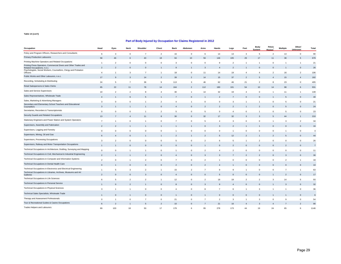| Occupation                                                                                                                                                          | Head           | Eyes           | Neck                     | Shoulder       | <b>Chest</b>             | Back           | Abdomen        | Arms                     | Hands           | Legs           | Feet           | Body<br><b>System</b> | Pelvic<br>Region         | <b>Multiple</b> | Other/<br>Unknown | <b>Total</b>   |
|---------------------------------------------------------------------------------------------------------------------------------------------------------------------|----------------|----------------|--------------------------|----------------|--------------------------|----------------|----------------|--------------------------|-----------------|----------------|----------------|-----------------------|--------------------------|-----------------|-------------------|----------------|
| Policy and Program Officers, Researchers and Consultants                                                                                                            | 6              | $\mathbf{3}$   | $\mathbf 0$              | $\overline{7}$ | $\overline{2}$           | 16             | $\mathbf 0$    | 6                        | 14              | 13             | $\mathbf{3}$   | 5                     | $\overline{2}$           | 13              | $\mathbf 0$       | 90             |
| <b>Primary Production Labourers</b>                                                                                                                                 | 58             | 46             | 6                        | 40             | 18                       | 94             | 10             | 56                       | 146             | 105            | 29             | 17                    | 11                       | 38              | 5                 | 679            |
| Printing Machine Operators and Related Occupations                                                                                                                  | -1             | $\overline{2}$ | $\mathbf 0$              | $\mathbf 0$    | $\mathbf 0$              | 3              | $\mathbf 0$    | $\mathbf 0$              | 9               | $\overline{2}$ | -1             | $\mathbf{1}$          | $\mathbf 0$              | -1              | $\overline{1}$    | 21             |
| Printing Press Operators, Commercial Divers and Other Trades and<br>Related Occupations, n.e.c.<br>Psychologists, Social Workers, Counsellors, Clergy and Probation | $\overline{2}$ | 2              | $\sqrt{ }$               | $\Omega$       |                          |                |                | 3                        | $\overline{4}$  | $\mathcal{P}$  |                | $\Omega$              |                          |                 | $\mathbf 0$       | 26             |
| Officers                                                                                                                                                            | $\overline{4}$ | $\overline{1}$ | 3                        | $\overline{7}$ | $\overline{1}$           | 18             | $\mathbf 0$    | 11                       | 14              | 19             | $\mathbf{A}$   | $\overline{4}$        | $\overline{2}$           | 16              | $\overline{2}$    | 106            |
| Public Works and Other Labourers, n.e.c.                                                                                                                            | 17             | 9              | 3                        | 14             | $\overline{\phantom{a}}$ | 39             | $\overline{2}$ | 14                       | 15              | 37             | $\overline{2}$ | 5                     | $\overline{4}$           | 15              | $\overline{4}$    | 182            |
| Recording, Scheduling & Distributing                                                                                                                                | 24             | 5              | $\overline{7}$           | 36             | 9                        | 113            | 3              | 46                       | 62              | 46             | 21             | $\overline{2}$        | 8                        | 23              | $\mathbf{0}$      | 405            |
| Retail Salespersons & Sales Clerks                                                                                                                                  | 65             | 22             | 11                       | 78             | 14                       | 164            | $\mathcal{P}$  | 112                      | 180             | 101            | 54             | 10                    | 14                       | 98              | 6                 | 931            |
| Sales and Service Supervisors                                                                                                                                       | 10             | $\overline{2}$ | $\overline{2}$           | 8              | $\overline{4}$           | 30             | $\overline{1}$ | 14                       | 32              | 19             | $\overline{4}$ | $\mathbf 0$           | $\mathbf{1}$             | 11              | $\mathbf{1}$      | 139            |
| Sales Representatives, Wholesale Trade                                                                                                                              | $\overline{4}$ |                | 6                        | 5              |                          |                | $\Omega$       |                          | $\overline{2}$  |                |                | $\overline{0}$        |                          | 5               | $\Omega$          | 40             |
| Sales, Marketing & Advertising Managers                                                                                                                             | 3              | $\mathbf 0$    | $^{\circ}$               | $\mathbf{1}$   | $\overline{2}$           | $\overline{4}$ | $\overline{1}$ | $\mathbf 0$              | $\mathbf 0$     | 3              |                | $\mathbf{1}$          | $\mathbf 0$              | 5               | $\mathbf{0}$      | 21             |
| Secondary and Elementary School Teachers and Educational<br>Counsellors                                                                                             | 3              |                |                          |                | $\mathbf{0}$             | $\overline{4}$ | $\Omega$       | $\overline{2}$           | $\overline{2}$  | $\overline{2}$ |                | $\overline{2}$        | $\overline{0}$           | 5               | $\overline{0}$    | 24             |
| Secretaries, Recorders & Transcriptionists                                                                                                                          | $\mathbf 0$    | $\mathbf 0$    | $\mathbf 0$              | $\mathbf{1}$   | $\overline{2}$           | 5              | $\mathbf{0}$   | -5                       | $\mathbf{0}$    | $\overline{4}$ | $\mathbf{0}$   | $\mathbf{1}$          | $\mathbf 0$              | 5               | $\overline{0}$    | 23             |
| Security Guards and Related Occupations                                                                                                                             | 13             |                |                          | 11             |                          | 30             | $\Omega$       | 32                       | 17              | 32             |                | 3                     | 5                        | 44              |                   | 210            |
| Stationary Engineers and Power Station and System Operators                                                                                                         | $\overline{7}$ | $\overline{1}$ | $\mathbf 0$              | $\mathbf{1}$   | $^{\circ}$               | $\overline{7}$ | $\mathbf 0$    | 5                        | $\overline{4}$  | 3              | $^{\circ}$     | 0                     | $\overline{1}$           | 3               | $\overline{2}$    | 34             |
| Supervisors, Assembly and Fabrication                                                                                                                               | $\overline{2}$ | $\overline{2}$ |                          |                |                          |                |                | $\mathbf{0}$             | $\mathbf{3}$    | $\overline{2}$ |                | $\mathbf{1}$          | $\mathbf 0$              | $\mathbf{0}$    | $\overline{0}$    | 16             |
| Supervisors, Logging and Forestry                                                                                                                                   | 0              | $\mathbf 0$    | $\mathbf 0$              | $\mathsf 0$    | $\mathbf 0$              | $\overline{1}$ | $\mathsf 0$    | $\mathsf 0$              | $\mathbf 0$     | $\overline{1}$ | $\mathbf{0}$   | $\mathsf 0$           | $\mathbf 0$              | 1               | $\mathbf 0$       | 3              |
| Supervisors, Mining, Oil and Gas                                                                                                                                    | $\epsilon$     | $\Delta$       | $\Omega$                 |                |                          | 2              |                | $\overline{\phantom{0}}$ | 5               | 12             |                |                       | $\overline{\phantom{a}}$ |                 | $\Omega$          | 44             |
| Supervisors, Processing Occupations                                                                                                                                 | 3              | $\overline{2}$ | $\mathbf 0$              | $^{\circ}$     | $^{\circ}$               | 5              | $\mathbf 0$    | $\overline{2}$           | 6               | 5              |                | $\overline{2}$        | $\Omega$                 | $\Omega$        | $\mathbf 0$       | 26             |
| Supervisors, Railway and Motor Transportation Occupations                                                                                                           |                |                | $\overline{0}$           | $\mathbf 0$    | $\mathbf 0$              | $\mathbf 0$    | $\mathbf 0$    |                          | $\mathbf 0$     | $\overline{2}$ |                | $\overline{0}$        | O                        | $\overline{2}$  | $\mathbf 0$       | $\overline{7}$ |
| Technical Occupations in Architecture, Drafting, Surveying and Mapping                                                                                              | 0              | $\mathbf 0$    | $\overline{1}$           | $\mathbf{1}$   | $^{\circ}$               | $\overline{1}$ | $\mathbf 0$    | $\overline{2}$           | $\overline{4}$  | $\overline{2}$ | $^{\circ}$     | $\mathbf 0$           | $^{\circ}$               | $\mathbf 0$     | $\mathbf 0$       | 11             |
| Technical Occupations in Civil, Mechanical & Industrial Engineering                                                                                                 | $\overline{2}$ |                |                          | $\mathfrak{p}$ | $\mathbf 0$              | Δ              | $\Omega$       | 3                        | 3               |                |                | $\overline{2}$        | $\Omega$                 | 3               | $\mathbf 0$       | 30             |
| Technical Occupations in Computer and Information Systems                                                                                                           | $\overline{c}$ | 0              | $\overline{1}$           | $\overline{2}$ | $^{\circ}$               | $\overline{7}$ | $\mathbf 0$    | $\overline{2}$           | $\mathbf{1}$    | $\mathbf 0$    | $\mathbf 0$    | 0                     | $\mathbf 0$              | $\overline{2}$  | $\overline{1}$    | 18             |
| Technical Occupations in Dental Health Care                                                                                                                         | $\mathbf{0}$   |                | $\Omega$                 | $\Omega$       | $\Omega$                 | $\mathfrak{p}$ |                | $\overline{2}$           | $\overline{4}$  |                |                | $\overline{0}$        | O                        |                 | $\mathbf 0$       | 10             |
| Technical Occupations in Electronics and Electrical Engineering                                                                                                     | $\mathbf{1}$   | $\overline{5}$ | 3                        | $\overline{2}$ | $\overline{1}$           | 15             | $\overline{2}$ | $\overline{7}$           | 9               | 9              |                | 0                     | $\mathbf 0$              | $\overline{7}$  | $\overline{1}$    | 63             |
| Technical Occupations in Libraries, Archives, Museums and Art<br>Galleries                                                                                          | $\overline{2}$ | $\mathbf{0}$   | $\mathbf 0$              | 3              | $\overline{0}$           | $\overline{4}$ | $\mathbf{0}$   | $\mathbf{0}$             | $5\overline{5}$ | $\mathbf{0}$   | $\Omega$       | $\mathbf 0$           |                          | $\overline{2}$  | $\overline{0}$    | 17             |
| Technical Occupations in Life Sciences                                                                                                                              | 6              | 5              | $\overline{2}$           | $\overline{2}$ | $\overline{1}$           | 12             | $\mathbf 0$    | $\overline{2}$           | 18              | 19             | $\overline{2}$ | $\overline{a}$        | 3                        | 14              | 5                 | 93             |
| Technical Occupations in Personal Service                                                                                                                           |                | $\Omega$       | $\overline{\phantom{0}}$ |                | $\Omega$                 |                | $\Omega$       | $\mathbf{3}$             | $\mathbf{9}$    | $\overline{4}$ |                | $\Omega$              |                          | 3               | $\overline{0}$    | 32             |
| Technical Occupations in Physical Sciences                                                                                                                          | 3              | $\overline{1}$ | $\overline{1}$           | $^{\circ}$     | $^{\circ}$               | $\overline{4}$ | $\mathbf 0$    | 8                        | $\overline{7}$  | 6              |                | 3                     | 1                        | 1               | $\mathbf 0$       | 36             |
| Technical Sales Specialists, Wholesale Trade                                                                                                                        |                | $\sqrt{ }$     |                          | $\mathbf 0$    | $\Omega$                 |                |                |                          | $\mathbf 0$     | $\Omega$       |                | $\overline{0}$        |                          |                 |                   |                |
| Therapy and Assessment Professionals                                                                                                                                | $\Omega$       |                | $\mathbf 0$              | $\overline{7}$ | $^{\circ}$               | 21             | $\Omega$       | $\overline{7}$           | $\overline{2}$  | 3              |                | 3                     | $^{\circ}$               | 9               | $\overline{0}$    | 54             |
| Tour & Recreational Guides & Casino Occupations                                                                                                                     | 6              |                |                          |                | $\overline{2}$           | 10             |                | $\overline{7}$           | 21              | 16             |                | 3                     |                          |                 |                   | 90             |
| Trades Helpers and Labourers                                                                                                                                        | 69             | 103            | 18                       | 50             | 17                       | 179            | 6              | 95                       | 278             | 173            | 44             | 19                    | 24                       | 65              | 6                 | 1146           |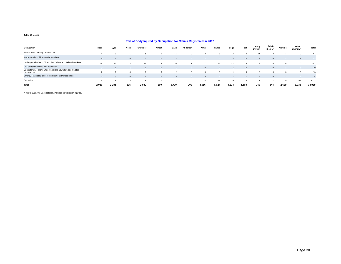#### **Part of Body Injured by Occupation for Claims Registered in 2012**

| Occupation                                                                  | Head     | Eyes  | Neck     | Shoulder | Chest    | <b>Back</b> | Abdomen | Arms  | Hands    | Legs  | Feet  | Body<br><b>System</b> | Pelvic<br><b>Region</b> | <b>Multiple</b> | Other/<br><b>Unknown</b> | Total  |
|-----------------------------------------------------------------------------|----------|-------|----------|----------|----------|-------------|---------|-------|----------|-------|-------|-----------------------|-------------------------|-----------------|--------------------------|--------|
| Train Crew Operating Occupations                                            |          |       |          |          |          | 11          |         |       |          | 14    |       | 11                    |                         |                 |                          | 54     |
| <b>Transportation Officers and Controllers</b>                              | $\Omega$ |       | $\Omega$ | $\Omega$ | $\Omega$ |             |         |       | $\Omega$ |       |       |                       |                         |                 |                          | 12     |
| Underground Miners, Oil and Gas Drillers and Related Workers                | 24       | 13    |          | 15       | 8        | 36          |         | 17    | 57       | 41    |       |                       |                         |                 |                          | 247    |
| University Professors and Assistants                                        |          |       |          |          |          |             |         |       |          |       |       |                       |                         |                 |                          | 10     |
| Upholsterers, Tailors, Shoe Repairers, Jewellers and Related<br>Occupations |          |       | $\Omega$ |          |          |             |         |       |          |       |       |                       |                         |                 |                          | 13     |
| Writing, Translating and Public Relations Professionals                     |          |       |          |          |          |             |         |       |          |       |       |                       |                         |                 |                          | 16     |
| Not coded                                                                   |          |       |          |          |          |             |         |       |          |       |       |                       |                         |                 | 1151                     | 1217   |
| Total                                                                       | 2.036    | 2.201 | 535      | 2,080    | 600      | 5,770       | 200     | 3,056 | 6,627    | 4,224 | 1,103 | 740                   | 544                     | 2,639           | 1,733                    | 34,088 |

\*Prior to 2010, the Back category included pelvic region injuries.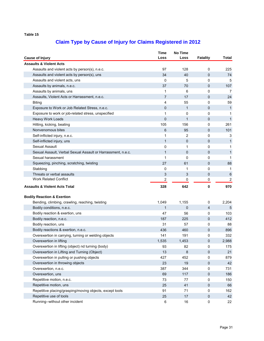| <b>Cause of Injury</b> |                                                              | Time<br>Loss            | <b>No Time</b><br>Loss | <b>Fatality</b> | Total                   |
|------------------------|--------------------------------------------------------------|-------------------------|------------------------|-----------------|-------------------------|
|                        | <b>Assaults &amp; Violent Acts</b>                           |                         |                        |                 |                         |
|                        | Assaults and violent acts by person(s), n.e.c.               | 97                      | 128                    | 0               | 225                     |
|                        | Assaults and violent acts by person(s), uns                  | 34                      | 40                     | 0               | 74                      |
|                        | Assaults and violent acts, uns                               | 0                       | 5                      | 0               | 5                       |
|                        | Assaults by animals, n.e.c.                                  | 37                      | 70                     | 0               | 107                     |
|                        | Assaults by animals, uns                                     | 1                       | 6                      | 0               | 7                       |
|                        | Assaults, Violent Acts or Harrassment, n.e.c.                | $\overline{7}$          | 17                     | 0               | 24                      |
| <b>Biting</b>          |                                                              | 4                       | 55                     | 0               | 59                      |
|                        | Exposure to Work or Job Related Stress, n.e.c.               | 0                       | $\mathbf{1}$           | 0               | 1                       |
|                        | Exposure to work or job-related stress, unspecified          | $\mathbf{1}$            | 0                      | 0               | 1                       |
|                        | <b>Heavy Work Loads</b>                                      | $\overline{0}$          | $\mathbf{1}$           | 0               | $\mathbf{1}$            |
|                        | Hitting, kicking, beating                                    | 105                     | 156                    | 0               | 261                     |
|                        | Nonvenomous bites                                            | 6                       | 95                     | 0               | 101                     |
|                        | Self-inflicted injury, n.e.c.                                | 1                       | 2                      | 0               | 3                       |
|                        | Self-inflicted injury, uns                                   | $\mathbf{1}$            | 0                      | 0               | $\mathbf{1}$            |
|                        | Sexual Assault                                               | 0                       | 1                      | 0               | 1                       |
|                        | Sexual Assault, Verbal Sexual Assault or Harrassment, n.e.c. | $\mathbf{1}$            | 0                      | 0               | $\mathbf{1}$            |
|                        | Sexual harassment                                            | 1                       | 0                      | 0               | 1                       |
|                        | Squeezing, pinching, scratching, twisting                    | 27                      | 61                     | 0               | 88                      |
|                        | Stabbing                                                     | 0                       | 1                      | 0               | $\mathbf{1}$            |
|                        | Threats or verbal assaults                                   | 3                       | 3                      | 0               | 6                       |
|                        | <b>Work Related Conflict</b>                                 | $\overline{\mathbf{c}}$ | 0                      | $\pmb{0}$       | $\overline{\mathbf{c}}$ |
|                        | <b>Assaults &amp; Violent Acts Total</b>                     | 328                     | 642                    | 0               | 970                     |
|                        |                                                              |                         |                        |                 |                         |
|                        | <b>Bodily Reaction &amp; Exertion</b>                        |                         |                        |                 |                         |
|                        | Bending, climbing, crawling, reaching, twisting              | 1,049                   | 1,155                  | 0               | 2,204                   |
|                        | Bodily conditions, n.e.c.                                    | $\mathbf{1}$            | 0                      | 4               | 5                       |
|                        | Bodily reaction & exertion, uns                              | 47                      | 56                     | 0               | 103                     |
|                        | Bodily reaction, n.e.c.                                      | 187                     | 225                    | 0               | 412                     |
|                        | Bodily reaction, uns                                         | 31                      | 57                     | 0               | 88                      |
|                        | Bodily reactions & exertion, n.e.c.                          | 436                     | 460                    | 0               | 896                     |
|                        | Overexertion in carrying, turning or welding objects         | 141                     | 191                    | 0               | 332                     |
|                        | Overexertion in lifting                                      | 1,535                   | 1,453                  | 0               | 2,988                   |
|                        | Overexertion in lifting (object) nd turning (body)           | 93                      | 82                     | 0               | 175                     |
|                        | Overexertion in Lifting and Turning (Object)                 | 13                      | 8                      | 0               | 21                      |
|                        | Overexertion in pulling or pushing objects                   | 427                     | 452                    | 0               | 879                     |
|                        | Overexertion in throwing objects                             | 23                      | 19                     | 0               | 42                      |
|                        | Overexertion, n.e.c.                                         | 387                     | 344                    | 0               | 731                     |
|                        | Overexertion, uns                                            | 69                      | 117                    | 0               | 186                     |
|                        | Repetitive motion, n.e.c.                                    | 73                      | 77                     | 0               | 150                     |
|                        | Repetitive motion, uns                                       | 25                      | 41                     | 0               | 66                      |
|                        | Repetitive placing/grasping/moving objects, except tools     | 91                      | 71                     | 0               | 162                     |
|                        | Repetitive use of tools                                      | 25                      | 17                     | 0               | 42                      |
|                        | Running--without other incident                              | $\,6\,$                 | 16                     | $\mathsf 0$     | 22                      |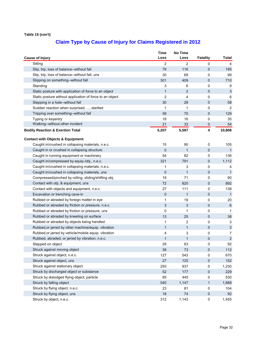|                                                          | <b>Time</b>  | <b>No Time</b> |                 |                |
|----------------------------------------------------------|--------------|----------------|-----------------|----------------|
| <b>Cause of Injury</b>                                   | Loss         | Loss           | <b>Fatality</b> | Total          |
| Sitting                                                  | 2            | 2              | 0               | 4              |
| Slip, trip, loss of balance--without fall                | 79           | 116            | 0               | 195            |
| Slip, trip, loss of balance--without fall, uns           | 30           | 69             | 0               | 99             |
| Slipping on something--without fall                      | 301          | 409            | 0               | 710            |
| Standing                                                 | 3            | 6              | 0               | 9              |
| Static posture with application of force to an object    | $\mathbf{1}$ | 2              | 0               | $\mathfrak{Z}$ |
| Static posture without application of force to an object | 2            | 4              | 0               | 6              |
| Stepping in a hole--without fall                         | 30           | 28             | 0               | 58             |
| Sudden reaction when surprised, , startled               | 1            | 1              | 0               | 2              |
| Tripping over something--without fall                    | 59           | 70             | 0               | 129            |
| Typing or keyentry                                       | 19           | 16             | 0               | 35             |
| Walking--without other incident                          | 21           | 33             | 0               | 54             |
| <b>Bodily Reaction &amp; Exertion Total</b>              | 5,207        | 5,597          | 4               | 10,808         |
| <b>Contact with Objects &amp; Equipment</b>              |              |                |                 |                |
| Caught in/crushed in collapsing materials, n.e.c.        | 15           | 90             | 0               | 105            |
| Caught in or crushed in collapsing structure             | $\mathbf 0$  | $\mathbf{1}$   | 0               | $\mathbf{1}$   |
| Caught in running equipment or machinery                 | 54           | 82             | 0               | 136            |
| Caught in/compressed by equip./obj., n.e.c.              | 321          | 791            | 0               | 1,112          |
| Caught in/crushed in collapsing materials, n.e.c.        | 1            | 3              | 0               | 4              |
| Caught in/crushed in collapsing materials, uns           | $\mathbf 0$  | $\mathbf{1}$   | 0               | $\mathbf{1}$   |
| Compressed/pinched by rolling, sliding/shifting obj.     | 19           | 71             | 0               | 90             |
| Contact with obj. & equipment, uns                       | 72           | 820            | 0               | 892            |
| Contact with objects and equipment, n.e.c.               | 27           | 111            | 0               | 138            |
| Excavation or trenching cave-in                          | 0            | 1              | 0               | $\mathbf{1}$   |
| Rubbed or abraded by foreign matter in eye               | 1            | 19             | 0               | 20             |
| Rubbed or abraded by friction or pressure, n.e.c.        | 3            | 3              | 0               | $\,6\,$        |
| Rubbed or abraded by friction or pressure, uns           | 0            | 1              | 0               | 1              |
| Rubbed or abraded by kneeling on surface                 | 13           | 25             | 0               | 38             |
| Rubbed or abraded by objects being handled               | 1            | 2              | 0               | 3              |
| Rubbed, or jarred by other machine/equip. vibration      | $\mathbf{1}$ | 1              | 0               | $\overline{2}$ |
| Rubbed, or jarred by vehicle/mobile equip. vibration     | 4            | 3              | 0               | 7              |
| Rubbed, abraded, or jarred by vibration, n.e.c.          | 1            | 1              | 0               | $\sqrt{2}$     |
| Stepped on object                                        | 29           | 63             | U               | 92             |
| Struck against moving object                             | 39           | 73             | 0               | 112            |
| Struck against object, n.e.c.                            | 127          | 543            | 0               | 670            |
| Struck against object, uns                               | 27           | 125            | 0               | 152            |
| Struck against stationary object                         | 293          | 937            | 0               | 1,230          |
| Struck by discharged object or substance                 | 52           | 177            | 0               | 229            |
| Struck by dislodged flying object, particle              | 85           | 445            | 0               | 530            |
| Struck by falling object                                 | 540          | 1,147          | $\mathbf{1}$    | 1,688          |
| Struck by flying object, n.e.c.                          | 23           | 81             | 0               | 104            |
| Struck by flying object, uns                             | 18           | 74             | 0               | 92             |
| Struck by object, n.e.c.                                 | 312          | 1,143          | 0               | 1,455          |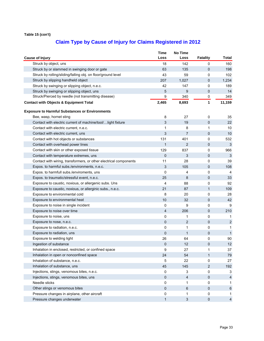|                                                                   | <b>Time</b>  | No Time        |                 |                |
|-------------------------------------------------------------------|--------------|----------------|-----------------|----------------|
| <b>Cause of Injury</b>                                            | Loss         | Loss           | <b>Fatality</b> | Total          |
| Struck by object, uns                                             | 18           | 142            | 0               | 160            |
| Struck by or slammed in swinging door or gate                     | 63           | 135            | 0               | 198            |
| Struck by rolling/sliding/falling obj. on floor/ground level      | 43           | 59             | 0               | 102            |
| Struck by slipping handheld object                                | 207          | 1,027          | 0               | 1,234          |
| Struck by swinging or slipping object, n.e.c.                     | 42           | 147            | 0               | 189            |
| Struck by swinging or slipping object, uns                        | 5            | 9              | 0               | 14             |
| Struck/Pierced by needle (not transmitting disease)               | 9            | 340            | 0               | 349            |
| <b>Contact with Objects &amp; Equipment Total</b>                 | 2,465        | 8,693          | 1               | 11,159         |
| <b>Exposure to Harmful Substances or Environments</b>             |              |                |                 |                |
| Bee, wasp, hornet sting                                           | 8            | 27             | 0               | 35             |
| Contact with electric current of machine/tool/light fixture       | 3            | 19             | 0               | 22             |
| Contact with electric current, n.e.c.                             | 1            | 8              | 1               | 10             |
| Contact with electric current, uns                                | 3            | $\overline{7}$ | 0               | 10             |
| Contact with hot objects or substances                            | 131          | 401            | 0               | 532            |
| Contact with overhead power lines                                 | $\mathbf{1}$ | 2              | 0               | 3              |
| Contact with skin or other exposed tissue                         | 129          | 837            | 0               | 966            |
| Contact with temperature extremes, uns                            | 0            | 3              | 0               | 3              |
| Contact with wiring, transformers, or other electrical components | 11           | 28             | 0               | 39             |
| Expos. to harmful subs./environments, n.e.c.                      | 3            | 105            | 0               | 108            |
| Expos. to harmfull subs./enviroments, uns                         | 0            | 4              | 0               | 4              |
| Expos. to traumatic/stressful event, n.e.c.                       | 25           | 8              | 0               | 33             |
| Exposure to caustic, noxious, or allergenic subs. Uns             | 4            | 88             | 0               | 92             |
| Exposure to caustic, noxious, or allerginic subs., n.e.c.         | 21           | 87             | 1               | 109            |
| Exposure to environmental cold                                    | 8            | 20             | 0               | 28             |
| Exposure to environmental heat                                    | 10           | 32             | 0               | 42             |
| Exposure to noise in single incident                              | 0            | 9              | 0               | 9              |
| Exposure to noise over time                                       | 4            | 206            | 0               | 210            |
| Exposure to noise, uns                                            | 0            | 1              | 0               | 1              |
| Exposure to nose, n.e.c.                                          | $\mathbf 0$  | 2              | 0               | $\overline{c}$ |
| Exposure to radiation, n.e.c.                                     | 0            | 1              | 0               | 1              |
| Exposure to radiation, uns                                        | 0            | $\mathbf{1}$   | 0               | $\mathbf{1}$   |
| Exposure to welding light                                         | 26           | 64             | 0               | 90             |
| Ingestion of substance                                            | $\pmb{0}$    | 12             | 0               | 12             |
| Inhalation in enclosed, restricted, or confined space             | 9            | 27             | 1               | 37             |
| Inhalation in open or nonconfined space                           | 24           | 54             | 1               | 79             |
| Inhalation of substance, n.e.c.                                   | 5            | 22             | 0               | 27             |
| Inhalation of substance, uns                                      | 45           | 145            | 2               | 192            |
| Injections, stings, venomous bites, n.e.c.                        | 0            | 3              | 0               | 3              |
| Injections, stings, venomous bites, uns                           | 0            | 4              | 0               | $\overline{4}$ |
| Needle sticks                                                     | 0            | 1              | 0               | 1              |
| Other stings or venomous bites                                    | 0            | 6              | 0               | 6              |
| Pressure changes in airplane, other aircraft                      | 0            | 1              | 0               | 1              |
| Pressure changes underwater                                       | 1            | 3              | 0               | $\overline{4}$ |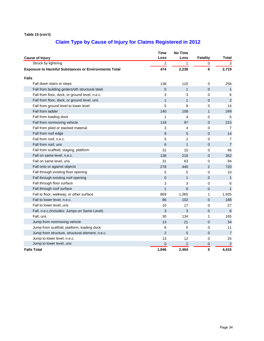|                                                             | <b>Time</b><br>Loss | No Time<br>Loss | <b>Fatality</b> | <b>Total</b>    |
|-------------------------------------------------------------|---------------------|-----------------|-----------------|-----------------|
| <b>Cause of Injury</b><br>Struck by lightning               |                     | 1               |                 | 3               |
|                                                             | 2                   |                 | 0               |                 |
| <b>Exposure to Harmful Substances or Environments Total</b> | 474                 | 2,239           | 6               | 2,719           |
| <b>Falls</b>                                                |                     |                 |                 |                 |
| Fall down stairs or steps                                   | 138                 | 120             | 0               | 258             |
| Fall from building girders/oth structural steel             | $\overline{0}$      | $\mathbf{1}$    | $\mathbf 0$     | $\mathbf{1}$    |
| Fall from floor, dock, or ground level, n.e.c.              | 3                   | 3               | 0               | 6               |
| Fall from floor, dock, or ground level, uns                 | $\mathbf{1}$        | $\mathbf{1}$    | $\mathbf 0$     | 2               |
| Fall from ground level to lower level                       | 5                   | 9               | 0               | 14              |
| Fall from ladder                                            | 140                 | 108             | 1               | 249             |
| Fall from loading dock                                      | 1                   | 4               | 0               | 5               |
| Fall from nonmoving vehicle                                 | 118                 | 97              | 0               | 215             |
| Fall from piled or stacked material                         | 3                   | 4               | 0               | $\overline{7}$  |
| Fall from roof edge                                         | 9                   | 5               | $\overline{0}$  | 14              |
| Fall from roof, n.e.c.                                      | 5                   | 2               | 0               | 7               |
| Fall from roof, uns                                         | 6                   | $\mathbf{1}$    | $\overline{0}$  | $\overline{7}$  |
| Fall from scaffold, staging, platform                       | 31                  | 15              | 0               | 46              |
| Fall on same level, n.e.c.                                  | 136                 | 216             | $\mathbf 0$     | 352             |
| Fall on same level, uns                                     | 31                  | 63              | 0               | 94              |
| Fall onto or against objects                                | 278                 | 440             | $\overline{2}$  | 720             |
| Fall through existing floor opening                         | 5                   | 5               | 0               | 10              |
| Fall through existing roof opening                          | $\overline{0}$      | $\mathbf{1}$    | $\overline{0}$  | $\mathbf{1}$    |
| Fall through floor surface                                  | 3                   | 3               | 0               | 6               |
| Fall through roof surface                                   | $\mathbf{1}$        | $\mathbf{0}$    | 0               | $\mathbf{1}$    |
| Fall to floor, walkway, or other surface                    | 869                 | 1,065           | 1               | 1,935           |
| Fall to lower level, n.e.c.                                 | 86                  | 102             | $\overline{0}$  | 188             |
| Fall to lower level, uns                                    | 10                  | 17              | 0               | 27              |
| Fall, n.e.c. (Includes: Jumps on Same Level)                | 3                   | 3               | $\overline{0}$  | $6\phantom{1}6$ |
| Fall, uns                                                   | 30                  | 134             | 1               | 165             |
| Jump from nonmoving vehicle                                 | 13                  | 21              | $\overline{0}$  | 34              |
| Jump from scaffold, platform, loading dock                  | 6                   | 5               | 0               | 11              |
| Jump from structure, structural element, n.e.c.             | $\overline{2}$      | 5               | $\overline{0}$  | $\overline{7}$  |
| Jump to lower level, n.e.c.                                 | 13                  | 12              | 0               | 25              |
| Jump to lower level, uns                                    | 0                   | $\mathbf 2$     | 0               | $\sqrt{2}$      |
| <b>Falls Total</b>                                          | 1,946               | 2,464           | 5               | 4,415           |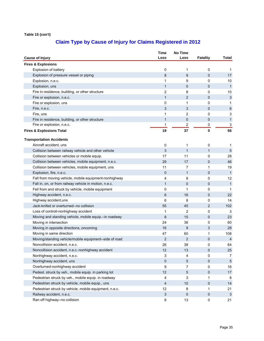| <b>Cause of Injury</b>                                   | Time<br>Loss   | <b>No Time</b><br>Loss | <b>Fatality</b> | Total          |
|----------------------------------------------------------|----------------|------------------------|-----------------|----------------|
| <b>Fires &amp; Explosions</b>                            |                |                        |                 |                |
| Explosion of battery                                     | 0              | 1                      | 0               | 1              |
| Explosion of pressure vessel or piping                   | 8              | 9                      | 0               | 17             |
| Explosion, n.e.c.                                        | 1              | 9                      | 0               | 10             |
| Explosion, uns                                           | $\mathbf{1}$   | 0                      | 0               | $\mathbf{1}$   |
| Fire in residence, building, or other structure          | $\overline{2}$ | 8                      | 0               | 10             |
| Fire or explosion, n.e.c.                                | 1              | 2                      | 0               | $\sqrt{3}$     |
| Fire or explosion, uns                                   | 0              | 1                      | 0               | 1              |
| Fire, n.e.c.                                             | 3              | 3                      | 0               | $\,6\,$        |
| Fire, uns                                                | 1              | 2                      | 0               | 3              |
| Fire in residence, building, or other structure          | $\mathbf 1$    | 0                      | 0               | $\mathbf{1}$   |
| Fire or explosion, n.e.c.                                | 1              | 2                      | 0               | 3              |
| <b>Fires &amp; Explosions Total</b>                      | 19             | 37                     | 0               | 56             |
| <b>Transportation Accidents</b>                          |                |                        |                 |                |
| Aircraft accident, uns                                   | 0              | 1                      | 0               | $\mathbf{1}$   |
| Collision between railway vehicle and other vehicle      | 3              | $\mathbf{1}$           | $\mathbf{1}$    | 5              |
| Collision between vehicles or mobile equip.              | 17             | 11                     | 0               | 28             |
| Collision between vehicles, mobile equipment, n.e.c.     | 29             | 17                     | 0               | 46             |
| Collision between vehicles, mobile equipment, uns        | 11             | 7                      | 1               | 19             |
| Explosion, fire, n.e.c.                                  | $\mathbf{0}$   | 1                      | 0               | $\mathbf{1}$   |
| Fall from moving vehicle, mobile equipment-nonhighway    | 4              | 8                      | 0               | 12             |
| Fall in, on, or from railway vehicle in motion, n.e.c.   | $\mathbf{1}$   | 0                      | 0               | $\mathbf{1}$   |
| Fell from and struck by vehicle, mobile equipment        | 0              | 1                      | 0               | $\mathbf{1}$   |
| Highway accident, n.e.c.                                 | 6              | 16                     | 0               | 22             |
| Highway accident, uns                                    | 6              | 8                      | 0               | 14             |
| Jack-knifed or overturned--no collision                  | 55             | 45                     | 2               | 102            |
| Loss of controll-nonhighway accident                     | 1              | 2                      | 0               | 3              |
| Moving and standing vehicle, mobile equip .-- in roadway | 8              | 15                     | 0               | 23             |
| Moving in intersection                                   | 24             | 36                     | 0               | 60             |
| Moving in opposite directions, oncoming                  | 16             | 9                      | 3               | 28             |
| Moving in same direction                                 | 47             | 60                     | 1               | 108            |
| Moving/standing vehicle/mobile equipment--side of road   | 2              | $\overline{2}$         | 0               | $\overline{4}$ |
| Noncollision accident, n.e.c.                            | 26             | 38                     | 0               | 64             |
| Noncollision accident, n.e.c.-nonhighway accident        | 12             | 13                     | 0               | 25             |
| Nonhighway accident, n.e.c.                              | 3              | 4                      | 0               | 7              |
| Nonhighway accident, uns                                 | 0              | 5                      | 0               | 5              |
| Overturned-nonhighway accident                           | 9              | 7                      | 0               | 16             |
| Pedest. struck by veh., mobile equip. in parking lot     | 12             | 5                      | 0               | 17             |
| Pedestrian struck by veh., mobile equip. in roadway      | 4              | 3                      | 1               | 8              |
| Pedestrian struck by vehicle, mobile equip., uns         | $\overline{4}$ | 10                     | 0               | 14             |
| Pedestrian struck by vehicle, mobile equipment, n.e.c.   | 12             | 8                      | 1               | 21             |
| Railway accident, n.e.c.                                 | $\mathfrak{S}$ | $\mathbf 0$            | 0               | 3              |
| Ran off highway--no collision                            | 8              | 13                     | 0               | 21             |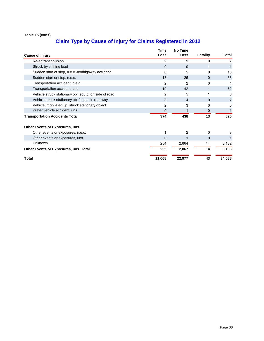|                                                        | <b>Time</b>  | <b>No Time</b> |                 |                |
|--------------------------------------------------------|--------------|----------------|-----------------|----------------|
| <b>Cause of Injury</b>                                 | Loss         | Loss           | <b>Fatality</b> | Total          |
| Re-entrant collision                                   | 2            | 5              | 0               | 7              |
| Struck by shifting load                                | $\mathbf{0}$ | 0              | 1               |                |
| Sudden start of stop, n.e.c.-nonhighway accident       | 8            | 5              | 0               | 13             |
| Sudden start or stop, n.e.c.                           | 13           | 25             | $\Omega$        | 38             |
| Transportation accident, n.e.c.                        | 2            | 2              | 0               | 4              |
| Transportation accident, uns                           | 19           | 42             | 1               | 62             |
| Vehicle struck stationary obj., equip. on side of road | 2            | 5              | 1               | 8              |
| Vehicle struck stationary obj./equip. in roadway       | 3            | 4              | $\Omega$        | $\overline{7}$ |
| Vehicle, mobile equip. struck stationary object        | 2            | 3              | 0               | 5              |
| Water vehicle accident, uns                            | 0            |                | 0               |                |
| <b>Transportation Accidents Total</b>                  | 374          | 438            | 13              | 825            |
| Other Events or Exposures, uns.                        |              |                |                 |                |
| Other events or exposures, n.e.c.                      |              | 2              | 0               | 3              |
| Other events or exposures, uns                         | $\mathbf{0}$ | 1              | 0               |                |
| Unknown                                                | 254          | 2,864          | 14              | 3,132          |
| Other Events or Exposures, uns. Total                  | 255          | 2,867          | 14              | 3,136          |
| Total                                                  | 11,068       | 22,977         | 43              | 34,088         |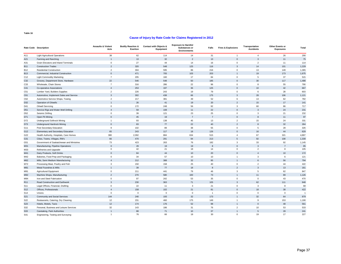### **Cause of Injury by Rate Code for Claims Registered in 2012**

|                 | Rate Code Description                     | <b>Assaults &amp; Violent</b><br>Acts | <b>Bodily Reaction &amp;</b><br><b>Exertion</b> | Contact with Objects &<br>Equipment | <b>Exposure to Harmful</b><br><b>Substances or</b><br><b>Environments</b> | Falls          | <b>Fires &amp; Explosions</b> | Transportation<br><b>Accidents</b> | Other Events or<br><b>Exposures</b> | Total          |
|-----------------|-------------------------------------------|---------------------------------------|-------------------------------------------------|-------------------------------------|---------------------------------------------------------------------------|----------------|-------------------------------|------------------------------------|-------------------------------------|----------------|
| A11             | <b>Light Agricultural Operations</b>      | 38                                    | 62                                              | 114                                 | 14                                                                        | 31             | $\overline{1}$                | $\overline{4}$                     | 26                                  | 290            |
| A21             | Farming and Ranching                      | $\overline{1}$                        | 13                                              | 32                                  | 2                                                                         | 13             | $\mathbf{0}$                  | $\overline{3}$                     | 11                                  | 75             |
| A31             | Grain Elevators and Inland Terminals      | $\mathsf 0$                           | 27                                              | 44                                  | 14                                                                        | 16             | $\mathbf 0$                   | $\overline{2}$                     | 11                                  | 114            |
| <b>B11</b>      | <b>Construction Trades</b>                | $\overline{2}$                        | 320                                             | 548                                 | 125                                                                       | 116            | $\overline{3}$                | 14                                 | 101                                 | 1,229          |
| <b>B12</b>      | <b>Residential Construction</b>           | $\overline{2}$                        | 304                                             | 595                                 | 86                                                                        | 216            | $\mathsf 0$                   | 13                                 | 149                                 | 1,365          |
| <b>B13</b>      | Commercial, Industrial Construction       | $\Omega$                              | 471                                             | 705                                 | 103                                                                       | 203            | $\overline{1}$                | 19                                 | 173                                 | 1,675          |
| C <sub>12</sub> | <b>Light Commodity Marketing</b>          | $\overline{7}$                        | 205                                             | 160                                 | 17                                                                        | 84             | $\mathbf{0}$                  | $\overline{5}$                     | 37                                  | 515            |
| C32             | Grocery, Department Store, Hardware       | 22                                    | 546                                             | 548                                 | 50                                                                        | 185            | $\mathbf{0}$                  | 30                                 | 117                                 | 1,498          |
| C33             | Wholesale, Chain Stores                   | $\overline{7}$                        | 316                                             | 286                                 | 22                                                                        | 96             | $\mathsf 0$                   | 8                                  | 55                                  | 790            |
| C41             | Co-operative Associations                 | $\overline{4}$                        | 253                                             | 197                                 | 36                                                                        | 125            | $\mathbf{0}$                  | 10                                 | 42                                  | 667            |
| C <sub>51</sub> | Lumber Yard, Builders Supplies            | $\overline{2}$                        | 226                                             | 243                                 | 19                                                                        | 79             | $\mathsf{O}\xspace$           | 6                                  | 28                                  | 603            |
| C61             | Automotive, Implement Sales and Service   | $\mathbf{3}$                          | 302                                             | 438                                 | 66                                                                        | 175            | $\overline{3}$                | 28                                 | 106                                 | 1,121          |
| C62             | Automotive Service Shops, Towing          | $\overline{a}$                        | 217                                             | 381                                 | 49                                                                        | 52             | 6                             | 13                                 | 62                                  | 782            |
| D32             | Operation of Oilwells                     | $\overline{1}$                        | 26                                              | 41                                  | 19                                                                        | 20             | $\overline{2}$                | 15                                 | 17                                  | 141            |
| D41             | <b>Oilwell Servicing</b>                  | $\mathbf{0}$                          | 172                                             | 248                                 | 56                                                                        | 92             | $\overline{3}$                | 60                                 | 86                                  | 717            |
| D <sub>51</sub> | Service Rigs and Water Well Drilling      | $\overline{4}$                        | 59                                              | 108                                 | 11                                                                        | 22             | $\mathbf{0}$                  | $\overline{3}$                     | 24                                  | 231            |
| D <sub>52</sub> | Seismic Drilling                          | $\mathbf{0}$                          | 39                                              | 121                                 | 23                                                                        | 25             | $\mathsf 0$                   | 3                                  | 21                                  | 232            |
| D71             | Open Pit Mining                           | $\mathbf{0}$                          | 45                                              | 19                                  | $\overline{7}$                                                            | $\overline{7}$ | $\mathsf{O}\xspace$           | 8                                  | 11                                  | 97             |
| D72             | <b>Underground Softrock Mining</b>        | $\mathbf{1}$                          | 93                                              | 138                                 | 45                                                                        | 13             | $\overline{2}$                | 15                                 | 24                                  | 331            |
| D73             | <b>Underground Hardrock Mining</b>        | $\Omega$                              | 83                                              | 77                                  | 22                                                                        | 40             | $\overline{2}$                | $\mathbf{8}$                       | 32                                  | 264            |
| G11             | Post Secondary Education                  | 9                                     | 102                                             | 89                                  | 38                                                                        | 55             | $\mathbf 0$                   | 5                                  | 28                                  | 326            |
| G12             | Elementary and Secondary Education        | 65                                    | 243                                             | 117                                 | 18                                                                        | 126            | $\mathbf{0}$                  | 16                                 | 44                                  | 629            |
| G22             | Health Authority, Hospitals, Care Homes   | 380                                   | 2,092                                           | 884                                 | 634                                                                       | 515            | $\overline{4}$                | 67                                 | 321                                 | 4,897          |
| G31             | Cities, Towns, Villages, RM's             | 66                                    | 470                                             | 291                                 | 94                                                                        | 213            | $\overline{5}$                | 92                                 | 108                                 | 1,339          |
| G51             | Government of Saskatchewan and Ministries | 73                                    | 423                                             | 263                                 | 76                                                                        | 182            | 3                             | 33                                 | 92                                  | 1,145          |
| M31             | Manufacturing, Pipeline Operations        | $\mathbf{0}$                          | 29                                              | 19                                  | 19                                                                        | 8              | $\mathbf{0}$                  | $\mathbf{3}$                       | $\overline{7}$                      | 85             |
| M33             | Refineries and Upgrader                   | $\mathbf{0}$                          | 42                                              | 21                                  | 18                                                                        | 14             | $\mathsf 0$                   | $\overline{2}$                     | 8                                   | 105            |
| M41             | Dairy Products, Soft Drinks               | $\mathbf{0}$                          | 84                                              | 44                                  | 10                                                                        | 20             | $\mathsf{O}\xspace$           | $\mathbf{A}$                       | 10                                  | 172            |
| M42             | Bakeries, Food Prep and Packaging         | $\mathbf{0}$                          | 34                                              | 57                                  | 10                                                                        | 10             | $\overline{1}$                | $\mathbf{3}$                       | $\,6\,$                             | 121            |
| M62             | Mills, Semi Medium Manufacturing          | $\overline{4}$                        | 212                                             | 388                                 | 32                                                                        | 95             | $\overline{1}$                | 6                                  | 56                                  | 794            |
| M72             | Processing Meat, Poultry and Fish         | $\mathbf{3}$                          | 150                                             | 158                                 | 25                                                                        | 40             | $\mathsf{O}\xspace$           | $\overline{2}$                     | 44                                  | 422            |
| M81             | Metal Foundries & Mills                   | $\overline{1}$                        | 39                                              | 77                                  | 18                                                                        | $\mathbf{8}$   | $\overline{2}$                | 3                                  | 13                                  | 161            |
| M91             | <b>Agricultural Equipment</b>             | $\mathsf 0$                           | 211                                             | 441                                 | 79                                                                        | 46             | 3                             | 5                                  | 62                                  | 847            |
| M92             | Machine Shops, Manufacturing              | $\overline{2}$                        | 270                                             | 580                                 | 100                                                                       | 73             | $\overline{1}$                | 11                                 | 89                                  | 1,126          |
| M94             | Iron and Steel Fabrication                | $\mathbf{0}$                          | 97                                              | 242                                 | 53                                                                        | 35             | $\mathbf 0$                   | $\mathbf 0$                        | 43                                  | 470            |
| R <sub>11</sub> | Road Construction and Earthwork           | $\overline{3}$                        | 230                                             | 363                                 | 71                                                                        | 105            | $\mathbf{3}$                  | 62                                 | 111                                 | 948            |
| S <sub>11</sub> | Legal Offices, Financial, Drafting        | $\mathbf{0}$                          | 22                                              | 11                                  | $\mathbf{3}$                                                              | 21             | $\mathsf 0$                   | 3                                  | 8                                   | 68             |
| S <sub>12</sub> | Offices, Professionals                    | $\overline{4}$                        | 158                                             | 102                                 | 21                                                                        | 81             | $\mathsf{O}\xspace$           | 18                                 | 38                                  | 422            |
| S14             | Unions                                    | $\mathbf{0}$                          | $\Omega$                                        | $\mathbf 0$                         | $\circ$                                                                   | $\overline{1}$ | $\mathbf{0}$                  | $\Omega$                           | $\mathbf 0$                         | $\overline{1}$ |
| S21             | Community and Social Services             | 144                                   | 240                                             | 193                                 | 32                                                                        | 173            | $\overline{1}$                | 32                                 | 64                                  | 879            |
| S22             | Restaurants, Catering, Dry Cleaning       | 12                                    | 231                                             | 460                                 | 175                                                                       | 149            | $\mathbf{1}$                  | 9                                  | 153                                 | 1,190          |
| S <sub>23</sub> | Hotels, Motels, Taxis                     | 12                                    | 174                                             | 176                                 | 52                                                                        | 98             | $\overline{1}$                | $\mathbf{0}$                       | 48                                  | 561            |
| S32             | Personal, Business and Leisure Services   | 32                                    | 143                                             | 186                                 | 31                                                                        | 76             | $\overline{2}$                | 10                                 | 53                                  | 533            |
| S33             | Caretaking, Park Authorities              | $\overline{1}$                        | 88                                              | 71                                  | 10                                                                        | 37             | $\overline{1}$                | $\overline{5}$                     | 28                                  | 241            |
| S41             | Engineering, Testing and Surveying        | 1                                     | 76                                              | 66                                  | 18                                                                        | 30             | $\mathsf 0$                   | 19                                 | 17                                  | 227            |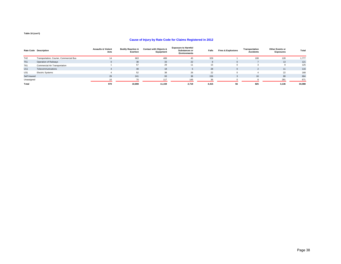### **Cause of Injury by Rate Code for Claims Registered in 2012**

|              | <b>Rate Code Description</b>            | <b>Assaults &amp; Violent</b><br>Acts | <b>Bodily Reaction &amp;</b><br>Exertion | <b>Contact with Objects &amp;</b><br>Equipment | <b>Exposure to Harmful</b><br><b>Substances or</b><br><b>Environments</b> | Falls | <b>Fires &amp; Explosions</b> | Transportation<br><b>Accidents</b> | <b>Other Events or</b><br><b>Exposures</b> | Total  |
|--------------|-----------------------------------------|---------------------------------------|------------------------------------------|------------------------------------------------|---------------------------------------------------------------------------|-------|-------------------------------|------------------------------------|--------------------------------------------|--------|
| T42          | Transportation, Courier, Commercial Bus | 14                                    | 663                                      | 489                                            | 45                                                                        | 329   |                               | 108                                | 128                                        | 1,777  |
| <b>T51</b>   | Operation of Railways                   |                                       | 38                                       | 33                                             | 22                                                                        | 8     | $\Omega$                      |                                    | 13                                         | 121    |
| T61          | Commercial Air Transportation           |                                       | 57                                       | 29                                             | 11                                                                        | 15    | $\Omega$                      |                                    |                                            | 125    |
| U11          | Telecommunications                      |                                       | 48                                       | 18                                             |                                                                           | 28    | $\mathbf{0}$                  |                                    | 11                                         | 116    |
| U31          | <b>Electric Systems</b>                 |                                       | 52                                       | 38                                             | 26                                                                        | 22    |                               |                                    | 22                                         | 168    |
| Self Insured |                                         | 29                                    | 241                                      | 93                                             | 38                                                                        | 156   | -3                            | 16                                 | 88                                         | 664    |
| Unassigned   |                                         |                                       | 70                                       | 117                                            | 149                                                                       |       |                               |                                    | 281                                        | 671    |
| Total        |                                         | 970                                   | 10.808                                   | 11.159                                         | 2.719                                                                     | 4.415 | 56                            | 825                                | 3.136                                      | 34.088 |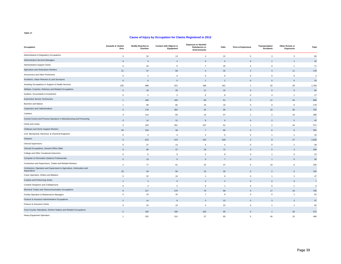| Occupation                                                                             | <b>Assaults &amp; Violent</b><br>Acts | <b>Bodily Reaction &amp;</b><br>Exertion | <b>Contact with Objects &amp;</b><br>Equipment | <b>Exposure to Harmful</b><br><b>Substances or</b><br><b>Environments</b> | Falls                    | <b>Fires &amp; Explosions</b> | Transportation<br><b>Accidents</b> | <b>Other Events or</b><br><b>Exposures</b> | Total          |
|----------------------------------------------------------------------------------------|---------------------------------------|------------------------------------------|------------------------------------------------|---------------------------------------------------------------------------|--------------------------|-------------------------------|------------------------------------|--------------------------------------------|----------------|
| Administrative & Regulatory Occupations                                                | 3                                     | 32                                       | 13                                             | $\overline{4}$                                                            | 22                       | $\mathsf 0$                   | $\mathbf{3}$                       | $\overline{3}$                             | 80             |
| Administrative Services Managers                                                       | $\mathbf 0$                           | $\overline{4}$                           | $\overline{4}$                                 | 5                                                                         | 5                        | $\mathbf 0$                   |                                    |                                            | 20             |
| Administrative Support Clerks                                                          | $\mathbf 0$                           | 34                                       | 9                                              | $\overline{7}$                                                            | 20                       | $\mathbf 0$                   | $\mathbf 0$                        | $\overline{1}$                             | 71             |
| Agriculture and Horticulture Workers                                                   | 21                                    | 37                                       | 68                                             | $\overline{4}$                                                            | 32                       | $\overline{2}$                | 3                                  | 11                                         | 178            |
| Announcers and Other Performers                                                        | $\mathsf 0$                           | $\overline{2}$                           | $\mathbf 0$                                    | $\mathsf 0$                                                               | $\mathbf 0$              | $\mathbf 0$                   | $\mathsf 0$                        | $\mathbf 0$                                | $\overline{2}$ |
| Architects, Urban Planners & Land Surveyors                                            | $\Omega$                              | 6                                        | 5                                              | -1                                                                        | $\overline{\phantom{a}}$ | $\Omega$                      | $-5$                               | $\Omega$                                   | 19             |
| Assisting Occupations in Support of Health Services                                    | 232                                   | 898                                      | 221                                            | 186                                                                       | 161                      | $\overline{1}$                | 32                                 | 29                                         | 1,760          |
| Athletes, Coaches, Referees and Related Occupations                                    | $\sqrt{5}$                            | 18                                       | 20                                             | 11                                                                        | 10                       | $\Omega$                      | $\Omega$                           | $\Omega$                                   | 64             |
| Auditors, Accountants & Investment                                                     | $\mathbf{0}$                          | 2                                        | $\overline{2}$                                 | $\mathbf 0$                                                               | 8                        | $\mathbf{0}$                  | $\overline{4}$                     | $\overline{1}$                             | 17             |
| Automotive Service Technicians                                                         |                                       | 189                                      | 333                                            | 60                                                                        | 61                       | $\Omega$                      | 11                                 | 34                                         | 689            |
| <b>Butchers and Bakers</b>                                                             | $\mathbf{1}$                          | 58                                       | 82                                             | 16                                                                        | 16                       | $\mathbf 0$                   | $\mathbf 0$                        | 6                                          | 179            |
| <b>Carpenters and Cabinetmakers</b>                                                    | $\mathbf{0}$                          | 178                                      | 352                                            | 32                                                                        | 95                       | $\Omega$                      | 10 <sup>10</sup>                   | 35                                         | 702            |
| Cashiers                                                                               | 3                                     | 114                                      | 93                                             | 13                                                                        | 47                       | $\overline{1}$                | $\overline{2}$                     | 15                                         | 288            |
| Central Control and Process Operators in Manufacturing and Processing                  | $\Omega$                              | 14                                       | 12                                             | $\mathbf{8}$                                                              | 6                        | $\Omega$                      | $\mathcal{P}$                      | $\Omega$                                   | 42             |
| Chefs and Cooks                                                                        | $\overline{2}$                        | 103                                      | 251                                            | 107                                                                       | 61                       | $\overline{1}$                | $\overline{2}$                     | 44                                         | 571            |
| Childcare and Home Support Workers                                                     | 56                                    | 103                                      | 48                                             | $\overline{7}$                                                            | 65                       | $\Omega$                      | 6                                  | 6                                          | 291            |
| Civil, Mechanical, Electrical, & Chemical Engineers                                    | $\mathbf{0}$                          | 3                                        | $\overline{4}$                                 | $\overline{2}$                                                            | 5                        | $\mathbf{0}$                  | $\overline{1}$                     | $\overline{1}$                             | 16             |
| Cleaners                                                                               | $\mathsf{Q}$                          | 615                                      | 473                                            | 145                                                                       | 228                      | $\Delta$                      | $\mathbf{R}$                       | 47                                         | 1,529          |
| <b>Clerical Supervisors</b>                                                            | $\mathbf{0}$                          | 27                                       | 13                                             | $\overline{4}$                                                            | $\overline{4}$           | $\mathbf 0$                   | $\mathbf 0$                        | $\overline{1}$                             | 49             |
| Clericial Occupations, General Office Skills                                           | 6                                     | 95                                       | 37                                             | 18                                                                        | 72                       | $\Omega$                      | 5                                  | 3                                          | 236            |
| College and Other Vocational Instructors                                               | $\mathbf 0$                           | 5                                        | 6                                              | $\overline{2}$                                                            | 8                        | $\mathbf 0$                   | $\overline{1}$                     | $\mathbf 0$                                | 22             |
| Computer & Information Systems Professionals                                           | $\mathbf{0}$                          | 13                                       | 5                                              | $\mathbf 0$                                                               | $\overline{7}$           | $\mathbf{0}$                  |                                    | $\overline{0}$                             | 26             |
| Contractors and Supervisors, Trades and Related Workers                                | $\overline{2}$                        | 77                                       | 91                                             | 22                                                                        | 37                       | $\mathbf 0$                   | 10                                 | 6                                          | 245            |
| Contractors, Operators and Supervisors in Agriculture, Horticulture and<br>Aquaculture | 20                                    | 34                                       | 56                                             | 15                                                                        | 20                       | $\mathbf{0}$                  | $\mathcal{P}$                      | 5                                          | 152            |
| Crane Operators, Drillers and Blasters                                                 | $\mathsf 0$                           | 22                                       | 16                                             | $\overline{1}$                                                            | 6                        | $\mathbf 0$                   | $\overline{1}$                     | $\overline{1}$                             | 47             |
| Creative and Performing Artists                                                        | $\overline{1}$                        | 2                                        | $\mathbf{0}$                                   | $\overline{2}$                                                            | $\overline{2}$           | $\mathbf{0}$                  | $\Omega$                           | $\Omega$                                   | $\overline{7}$ |
| Creative Designers and Craftspersons                                                   | $\mathbf 0$                           | 2                                        | $\overline{2}$                                 | $\Omega$                                                                  | $\overline{1}$           | $\mathbf{0}$                  | $\mathbf 0$                        | $\overline{1}$                             | 6              |
| Electrical Trades and Telecommunication Occupations                                    | 6                                     | 217                                      | 275                                            | 79                                                                        | 88                       | $\Omega$                      | 17                                 | 18                                         | 700            |
| Facility Operation & Maintenance Managers                                              | $\mathbf 0$                           | 19                                       | 16                                             | $\overline{7}$                                                            | 9                        | $\mathbf 0$                   | $\mathbf 0$                        | $\overline{1}$                             | 52             |
| Finance & Insurance Administrative Occupations                                         | $\overline{2}$                        | 14                                       | 9                                              | 3                                                                         | 13                       | $\mathbf 0$                   | 3                                  | 3                                          | $47\,$         |
| Finance & Insurance Clerks                                                             | $\mathbf 0$                           | 24                                       | 10                                             | $\overline{4}$                                                            | 22                       | $\mathbf{0}$                  | $\overline{1}$                     | $\overline{1}$                             | 62             |
| Food Counter Attendants, Kitchen Helpers and Related Occupations                       | $5\overline{5}$                       | 155                                      | 185                                            | 103                                                                       | 95                       | $\Omega$                      |                                    | 28                                         | 572            |
| <b>Heavy Equipment Operators</b>                                                       | $\blacktriangleleft$                  | 152                                      | 151                                            | 37                                                                        | 60                       | 5                             | 45                                 | 15                                         | 466            |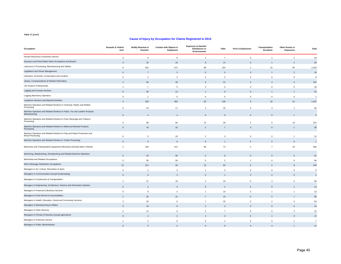| Occupation                                                                                 | <b>Assaults &amp; Violent</b><br>Acts | <b>Bodily Reaction &amp;</b><br>Exertion | <b>Contact with Objects &amp;</b><br>Equipment | <b>Exposure to Harmful</b><br>Substances or<br><b>Environments</b> | Falls          | <b>Fires &amp; Explosions</b> | Transportation<br><b>Accidents</b> | Other Events or<br><b>Exposures</b> | Total          |
|--------------------------------------------------------------------------------------------|---------------------------------------|------------------------------------------|------------------------------------------------|--------------------------------------------------------------------|----------------|-------------------------------|------------------------------------|-------------------------------------|----------------|
| Human Resources & Business Service                                                         | $\mathbf{0}$                          | 9                                        | 8                                              | $\overline{2}$                                                     | $\overline{7}$ | $\mathbf{0}$                  | $\overline{1}$                     | $\overline{2}$                      | 29             |
| Insurance and Real Estate Sales Occupations and Buyers                                     | $\Omega$                              | 32                                       | 26                                             | $\mathbf{a}$                                                       | 14             | $\Omega$                      |                                    | $\overline{\phantom{a}}$            | 83             |
| Labourers in Processing, Manufacturing and Utilities                                       | 6                                     | 432                                      | 672                                            | 88                                                                 | 153            | $\overline{1}$                | 15                                 | 56                                  | 1,423          |
| Legislators and Senior Management                                                          | $\Omega$                              | $\overline{7}$                           | $\overline{3}$                                 | $\mathsf 0$                                                        | $\overline{5}$ | $\Omega$                      | $\mathbf{1}$                       | $\overline{2}$                      | $18\,$         |
| Librarians, Archivists, Conservators and Curators                                          | $\mathbf{0}$                          | $\overline{4}$                           | $\overline{2}$                                 | $\mathbf 0$                                                        | $\overline{2}$ | $\Omega$                      | $\mathsf 0$                        | $\mathbf{0}$                        | 8              |
| Library, Correspondence & Related Information                                              | $\mathfrak{p}$                        | 66                                       | 35                                             | 8                                                                  | 31             | $\Omega$                      | $\Delta$                           | .5                                  | 151            |
| Life Science Professionals                                                                 | $\mathbf{1}$                          | $\overline{7}$                           | 5                                              | $\overline{2}$                                                     | 3              | $\Omega$                      | $\mathbf 0$                        | $\mathbf 0$                         | 18             |
| Logging and Forestry Workers                                                               | $\mathbf{0}$                          | 30                                       | 13                                             | $\overline{1}$                                                     | 8              | $\mathbf 0$                   | $\overline{1}$                     |                                     | 54             |
| Logging Machinery Operators                                                                | $\mathsf 0$                           | $\overline{1}$                           | $\mathsf 0$                                    | $\mathbf 0$                                                        | $\,0\,$        | $\mathbf 0$                   | $\mathsf 0$                        | $\mathsf 0$                         | $\overline{1}$ |
| Longshore Workers and Material Handlers                                                    | $\mathfrak{p}$                        | 429                                      | 382                                            | 25                                                                 | 136            | $\Omega$                      | 32                                 | 15                                  | 1,021          |
| Machine Operators and Related Workers in Chemical, Plastic and Rubber<br>Processing        | $\mathbf 0$                           | 23                                       | 17                                             | 3                                                                  | 15             | $\mathbf 0$                   | 3                                  | $\overline{1}$                      | 62             |
| Machine Operators and Related Workers in Fabric, Fur and Leather Products<br>Manufacturing | $\mathbf{0}$                          | $\overline{4}$                           | $\overline{4}$                                 | $\mathbf{0}$                                                       | $\Omega$       | $\Omega$                      | $\mathbf{0}$                       |                                     | 9              |
| Machine Operators and Related Workers in Food, Beverage and Tobacco<br>Processing          | $\mathbf 0$                           | 98                                       | 84                                             | 14                                                                 | 26             | $\mathcal{P}$                 | $\mathsf 0$                        | 13                                  | 237            |
| Machine Operators and Related Workers in Metal and Mineral Products<br>Processing          | $\mathbf 0$                           | 16                                       | 32                                             | $\overline{2}$                                                     | $\overline{7}$ | $\overline{0}$                | $\mathbf 0$                        | $\overline{1}$                      | 58             |
| Machine Operators and Related Workers in Pulp and Paper Production and<br>Wood Processing  | $\mathbf{0}$                          | 5                                        | 20                                             | $\overline{2}$                                                     | 3              | $\Omega$                      | $\mathbf 0$                        | $\overline{1}$                      | 31             |
| Machine Operators and Related Workers in Textile Processing                                | $\mathbf 0$                           | $\overline{0}$                           | $\overline{0}$                                 | $\mathbf{0}$                                                       |                | $\Omega$                      | $\mathbf{0}$                       | $\overline{0}$                      | $\overline{1}$ |
| Machinery and Transportation Equipment Mechanics (Except Motor Vehicle)                    | $\overline{2}$                        | 240                                      | 413                                            | 86                                                                 | 72             | 3                             | $\overline{7}$                     | 23                                  | 846            |
| Machining, Metalworking, Woodworking and Related Machine Operators                         | $\mathbf 0$                           | 25                                       | 56                                             | $\overline{4}$                                                     | 6              | $\mathbf 0$                   | $\mathbf{0}$                       | $\mathbf 0$                         | 91             |
| Machinists and Related Occupations                                                         | $\mathbf 0$                           | 35                                       | 56                                             | 5                                                                  | $\overline{2}$ | $\overline{1}$                | $\mathbf 0$                        | $\mathbf 0$                         | 99             |
| Mail & Message Distribution Occupations                                                    | 13                                    | 121                                      | 28                                             | 10                                                                 | 63             | $\Omega$                      | $\overline{2}$                     | 8                                   | 245            |
| Managers in Art, Culture, Recreation & Sport                                               | $\mathbf 0$                           | $\overline{2}$                           | 3                                              | $\mathbf{1}$                                                       | 3              | $\Omega$                      | $\mathsf 0$                        | $\mathbf 0$                         | 9              |
| Managers in Communication (except broadcasting)                                            | $\mathbf{0}$                          | $\overline{0}$                           | 3                                              | $\mathbf 0$                                                        |                | $\mathbf 0$                   | $\mathbf 0$                        | $\mathbf 0$                         | $\overline{4}$ |
| Managers in Construction & Transportation                                                  | $\mathbf{1}$                          | 21                                       | 19                                             | $\overline{2}$                                                     | 10             | $\Omega$                      | 3                                  | $\overline{4}$                      | 60             |
| Managers in Engineering, Architecture, Science and Information Systems                     | $\Omega$                              | $\mathbf{3}$                             | $\sqrt{5}$                                     | $\Omega$                                                           |                |                               |                                    |                                     | 13             |
| Managers in Financial & Business Services                                                  | $\mathbf 0$                           | 6                                        | 3                                              | $\overline{1}$                                                     | 10             | $\mathbf 0$                   | $\overline{1}$                     | $\overline{1}$                      | 22             |
| Managers in Food Service & Accomodation                                                    |                                       | 25                                       | 31                                             | $\overline{7}$                                                     | 15             | $\Omega$                      | $\Omega$                           |                                     | 86             |
| Managers in Health, Education, Social and Community Services                               | $\overline{2}$                        | 20                                       | 6                                              | $\overline{7}$                                                     | 25             | $\mathbf 0$                   | $\overline{2}$                     | $\mathbf 0$                         | 62             |
| Managers in Manufacturing & Utilities                                                      | $\Omega$                              | 10                                       | 9                                              | 3                                                                  | $\mathcal{P}$  | $\Omega$                      | $\Omega$                           | $\Omega$                            | 24             |
| Managers in Other Services                                                                 | $\overline{2}$                        | 12                                       | 5                                              | $\overline{2}$                                                     | $\overline{7}$ | $\mathbf 0$                   | $\mathsf 0$                        | 3                                   | 31             |
| Managers in Primary Production (except agriculture)                                        | $\Omega$                              | $\mathbf{A}$                             | 3                                              | $\overline{\phantom{0}}$                                           | $\mathcal{P}$  | $\Omega$                      |                                    | $\Omega$                            | $12$           |
| Managers in Protective Service                                                             | $\mathbf{1}$                          | $\overline{4}$                           | $\mathsf 0$                                    | $\mathbf 0$                                                        | $\overline{1}$ | $\overline{0}$                | $\mathsf 0$                        | $\overline{1}$                      | $\overline{7}$ |
| Managers in Public Administration                                                          | $\mathbf{0}$                          | $\overline{3}$                           | $\Delta$                                       | $\Omega$                                                           | $\mathsf{Q}$   | $\Omega$                      | $\overline{4}$                     | $\overline{1}$                      | 21             |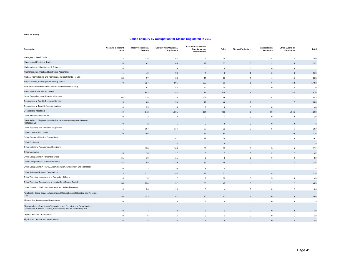| Occupation                                                                                                                                      | <b>Assaults &amp; Violent</b><br>Acts | <b>Bodily Reaction &amp;</b><br>Exertion | Contact with Objects &<br>Equipment | <b>Exposure to Harmful</b><br>Substances or<br><b>Environments</b> | Falls          | <b>Fires &amp; Explosions</b> | Transportation<br><b>Accidents</b> | Other Events or<br><b>Exposures</b> | Total                   |
|-------------------------------------------------------------------------------------------------------------------------------------------------|---------------------------------------|------------------------------------------|-------------------------------------|--------------------------------------------------------------------|----------------|-------------------------------|------------------------------------|-------------------------------------|-------------------------|
| Managers in Retail Trade                                                                                                                        | 3                                     | 139                                      | 82                                  | 6                                                                  | 38             | $\mathbf 0$                   | 8                                  | $\overline{4}$                      | 280                     |
| Masonry and Plastering Trades                                                                                                                   | $\mathbf{0}$                          | 62                                       | 66                                  | 12                                                                 | 37             | $\Omega$                      | $\overline{2}$                     | 13                                  | 192                     |
| Mathematicians, Statisticians & Actuaries                                                                                                       | $\mathbf 0$                           | $\overline{1}$                           | $\mathbf{0}$                        | $\mathbf 0$                                                        | $\overline{0}$ | $\Omega$                      | $\mathbf 0$                        | $\mathbf{0}$                        | $\overline{1}$          |
| Mechanical, Electrical and Electronics Assemblers                                                                                               |                                       | 49                                       | 96                                  | $\boldsymbol{8}$                                                   | $\mathbf{8}$   | $\overline{\phantom{0}}$      | $\mathfrak{p}$                     | $\mathbf{3}$                        | 169                     |
| Medical Technologists and Technicians (Except Dental Health)                                                                                    | 38                                    | 57                                       | 63                                  | 40                                                                 | 20             | $\mathbf 0$                   | $\mathbf{1}$                       | $\overline{4}$                      | 223                     |
| Metal Forming, Shaping and Erecting Trades                                                                                                      | $\mathbf{0}$                          | 327                                      | 805                                 | 199                                                                | 93             |                               | 6                                  | 52                                  | 1,483                   |
| Mine Service Workers and Operators in Oil and Gas Drilling                                                                                      | $\overline{1}$                        | 67                                       | 88                                  | 22                                                                 | 18             | $\mathfrak{p}$                | 9                                  | 12                                  | 219                     |
| Motor Vehicle and Transit Drivers                                                                                                               | 21                                    | 683                                      | 385                                 | 71                                                                 | 430            | $\overline{\Lambda}$          | 213                                | 63                                  | 1,870                   |
| Nurse Supervisors and Registered Nurses                                                                                                         | 64                                    | 338                                      | 228                                 | 151                                                                | 86             | $\mathbf 0$                   | 14                                 | 12                                  | 893                     |
| Occupations in Food & Beverage Service                                                                                                          |                                       | 68                                       | 99                                  | 42                                                                 | 46             | $\overline{\phantom{a}}$      |                                    | 17                                  | 280                     |
| Occupations in Travel & Accommodation                                                                                                           | $\mathbf{0}$                          | 25                                       | 8                                   | $\overline{2}$                                                     | 8              | $\mathbf 0$                   | $\mathbf 0$                        | $\overline{1}$                      | 44                      |
| Occupations not stated                                                                                                                          | 49                                    | 842                                      | 1,361                               | 334                                                                | 403            | 5                             | 69                                 | 1,045                               | 4,108                   |
| Office Equipment Operators                                                                                                                      | $\mathbf 0$                           | 3                                        | 3                                   | $\mathbf 0$                                                        | $\overline{4}$ | $\mathbf 0$                   | $\mathbf 0$                        | $\mathbf 0$                         | 10                      |
| Optometrists, Chiropractors and Other Health Diagnosing and Treating<br>Professionals                                                           | $\mathbf 0$                           | $\overline{2}$                           | $\mathbf{1}$                        | $\mathbf 0$                                                        | $\mathbf 0$    | $\Omega$                      | $\mathbf{0}$                       | $\Omega$                            | $\overline{\mathbf{3}}$ |
| Other Assembly and Related Occupations                                                                                                          | $\overline{1}$                        | 107                                      | 114                                 | 28                                                                 | 22             | $\mathbf 0$                   | 5                                  | 6                                   | 283                     |
| Other Construction Trades                                                                                                                       | $\mathbf{0}$                          | 106                                      | 127                                 | 17                                                                 | 54             | $\Omega$                      | $\mathfrak{p}$                     | 20                                  | 326                     |
| Other Elemental Service Occupations                                                                                                             | $\overline{1}$                        | 77                                       | 42                                  | 12                                                                 | 30             | $\Omega$                      | $\overline{2}$                     | $\mathbf{3}$                        | 167                     |
| Other Engineers                                                                                                                                 |                                       | $\overline{2}$                           | $\overline{4}$                      | $\mathbf 0$                                                        | $\overline{0}$ | $\overline{0}$                |                                    |                                     | 9                       |
| Other Installers, Repairers and Servicers                                                                                                       | $\overline{1}$                        | 128                                      | 166                                 | 22                                                                 | 35             | 6                             | 5                                  | 9                                   | 372                     |
| <b>Other Mechanics</b>                                                                                                                          | $\Omega$                              | 16                                       | 12                                  | 3                                                                  | $\overline{7}$ | $\overline{0}$                | $\mathfrak{p}$                     | $\mathfrak{p}$                      | 42                      |
| Other Occupations in Personal Service                                                                                                           | 31                                    | 10                                       | 11                                  | $\overline{2}$                                                     | 5              | $\Omega$                      | $\Omega$                           | $\mathbf{0}$                        | 59                      |
| Other Occupations in Protective Service                                                                                                         | 37                                    | 88                                       | 49                                  | 13                                                                 | 48             | $\overline{\phantom{0}}$      | $\Delta$                           | 5                                   | 246                     |
| Other Occupations in Travel, Accommodation, Amusement and Recreation                                                                            | $\mathbf 0$                           | 13                                       | 10                                  | 5                                                                  | 8              | $\Omega$                      | $\mathbf{1}$                       | $\overline{1}$                      | 38                      |
| Other Sales and Related Occupations                                                                                                             | $\mathbf{3}$                          | 217                                      | 194                                 | 23                                                                 | 72             | $\Omega$                      | $\mathbf{R}$                       | 11                                  | 528                     |
| Other Technical Inspectors and Regulatory Officers                                                                                              | 3                                     | 13                                       | $\overline{7}$                      | $\overline{2}$                                                     | 13             | $\mathbf 0$                   | 5                                  | $\mathbf 0$                         | 43                      |
| Other Technical Occupations in Health Care (Except Dental)                                                                                      | 38                                    | 234                                      | 92                                  | 53                                                                 | 45             | $\Omega$                      | 11                                 | 12                                  | 485                     |
| Other Transport Equipment Operators and Related Workers                                                                                         | $\mathbf 0$                           | 34                                       | 19                                  | 5                                                                  | $\overline{4}$ | $\mathbf 0$                   | $\mathbf 0$                        | $\overline{2}$                      | 64                      |
| Paralegals, Social Services Workers and Occupations in Education and Religion,<br>n.e.c.                                                        | 98                                    | 153                                      | 81                                  | 26                                                                 | 87             |                               | 26                                 |                                     | 480                     |
| Pharmacists, Dietitians and Nutritionists                                                                                                       | $\,0\,$                               | $\overline{7}$                           | 8                                   | 3                                                                  | $\overline{4}$ | $\mathbf 0$                   | $\mathbf 0$                        | 3                                   | 25                      |
| Photographers, Graphic Arts Technicians and Technical and Co-ordinating<br>Occupations in Motion Pictures, Broadcasting and the Performing Arts |                                       |                                          |                                     |                                                                    |                |                               |                                    |                                     |                         |
| Physical Science Professionals                                                                                                                  | $\mathbf 0$                           | 6                                        | 6                                   | $\overline{2}$                                                     | 3              | $\mathbf 0$                   | $\mathbf 0$                        | $\overline{1}$                      | 18                      |
| Physicians, Dentists and Veterinarians                                                                                                          | 6                                     | $\overline{4}$                           | 28                                  |                                                                    | $\mathbf{0}$   | $\Omega$                      | $\overline{0}$                     | $\mathbf{3}$                        | 48                      |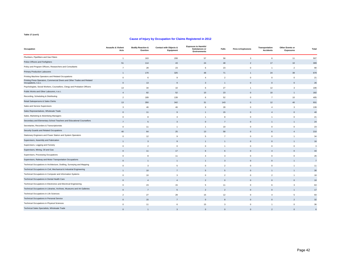| Occupation                                                                                      | <b>Assaults &amp; Violent</b><br>Acts | <b>Bodily Reaction &amp;</b><br>Exertion | <b>Contact with Objects &amp;</b><br>Equipment | <b>Exposure to Harmful</b><br>Substances or<br><b>Environments</b> | Falls                    | <b>Fires &amp; Explosions</b> | Transportation<br><b>Accidents</b> | Other Events or<br><b>Exposures</b> | Total          |
|-------------------------------------------------------------------------------------------------|---------------------------------------|------------------------------------------|------------------------------------------------|--------------------------------------------------------------------|--------------------------|-------------------------------|------------------------------------|-------------------------------------|----------------|
| Plumbers, Pipefitters and Gas Fitters                                                           | $\overline{1}$                        | 163                                      | 208                                            | 57                                                                 | 58                       | 3                             | 6                                  | 11                                  | 507            |
| Police Officers and Firefighters                                                                | 51                                    | 114                                      | 43                                             | 24                                                                 | 48                       | $\overline{\phantom{a}}$      | 17                                 | 10                                  | 309            |
| Policy and Program Officers, Researchers and Consultants                                        | $\overline{7}$                        | 28                                       | 23                                             | 6                                                                  | 23                       | $\mathbf 0$                   | $\mathbf{1}$                       | $\overline{2}$                      | 90             |
| <b>Primary Production Labourers</b>                                                             |                                       | 170                                      | 325                                            | 48                                                                 | 71                       |                               | 24                                 | 39                                  | 679            |
| Printing Machine Operators and Related Occupations                                              | $\mathsf 0$                           | 6                                        | 9                                              | $\overline{4}$                                                     | $\overline{2}$           | $\mathbf 0$                   | $\overline{0}$                     | $\mathbf 0$                         | 21             |
| Printing Press Operators, Commercial Divers and Other Trades and Related<br>Occupations, n.e.c. | $\Omega$                              | 13                                       | $\alpha$                                       | 3                                                                  |                          | $\sqrt{ }$                    | $\Omega$                           |                                     | 26             |
| Psychologists, Social Workers, Counsellors, Clergy and Probation Officers                       | 13                                    | 34                                       | 10                                             | 6                                                                  | 27                       | 1                             | 12                                 | $\mathbf{3}$                        | 106            |
| Public Works and Other Labourers, n.e.c.                                                        | $\overline{4}$                        | 82                                       | 52                                             | 10                                                                 | 23                       | $\Omega$                      | 10                                 |                                     | 182            |
| Recording, Scheduling & Distributing                                                            | $\overline{2}$                        | 189                                      | 139                                            | 6                                                                  | 52                       | $\Omega$                      | $\overline{7}$                     | 10                                  | 405            |
| Retail Salespersons & Sales Clerks                                                              | 13                                    | 350                                      | 342                                            | 31                                                                 | 143                      | $\Omega$                      | 12                                 | 40                                  | 931            |
| Sales and Service Supervisors                                                                   | 3                                     | 46                                       | 46                                             | 9                                                                  | 28                       | $^{\circ}$                    | $\overline{4}$                     | 3                                   | 139            |
| Sales Representatives, Wholesale Trade                                                          | $\Omega$                              | 11                                       |                                                |                                                                    | 15                       | $\Omega$                      |                                    |                                     | 40             |
| Sales, Marketing & Advertising Managers                                                         | $\mathbf 0$                           | 8                                        | 3                                              | $\overline{1}$                                                     | 8                        | $\mathbf 0$                   | $\mathbf{1}$                       | $\Omega$                            | 21             |
| Secondary and Elementary School Teachers and Educational Counsellors                            |                                       | 5                                        | $\mathbf{3}$                                   | $\mathbf 0$                                                        | $\overline{7}$           | $\Omega$                      |                                    |                                     | 24             |
| Secretaries, Recorders & Transcriptionists                                                      | $\mathbf 0$                           | 11                                       | $\overline{1}$                                 | $\overline{1}$                                                     | 10                       | $\Omega$                      | $\Omega$                           | $\Omega$                            | 23             |
| Security Guards and Related Occupations                                                         | 40                                    | 64                                       | 25                                             | 13                                                                 | 58                       | $\Omega$                      | 6                                  |                                     | 210            |
| Stationary Engineers and Power Station and System Operators                                     | $\mathsf 0$                           | 12                                       | 9                                              | 5                                                                  | $\overline{7}$           | $\mathbf 0$                   | $\mathbf 0$                        | $\overline{1}$                      | 34             |
| Supervisors, Assembly and Fabrication                                                           |                                       | 3                                        | $\mathsf{Q}$                                   |                                                                    |                          | $\Omega$                      | $\Omega$                           |                                     | 16             |
| Supervisors, Logging and Forestry                                                               | $\mathsf 0$                           | $\overline{\phantom{a}}$                 | $\mathbf{0}$                                   | $\mathsf 0$                                                        | $\mathbf{1}$             | $\Omega$                      | $\Omega$                           | $\mathbf 0$                         | 3              |
| Supervisors, Mining, Oil and Gas                                                                | $\mathbf 0$                           | 11                                       | 17                                             | 6                                                                  | 6                        | $\mathbf{0}$                  | $\overline{4}$                     | $\mathbf{0}$                        | 44             |
| Supervisors, Processing Occupations                                                             | $\mathsf 0$                           | 8                                        | 11                                             | $\overline{4}$                                                     | 3                        | $\mathbf 0$                   | $\mathbf 0$                        | $^{\circ}$                          | 26             |
| Supervisors, Railway and Motor Transportation Occupations                                       | $\Omega$                              |                                          |                                                |                                                                    | $\mathbf{A}$             | $\Omega$                      | $\Omega$                           |                                     | $\overline{7}$ |
| Technical Occupations in Architecture, Drafting, Surveying and Mapping                          | $\mathsf 0$                           | 3                                        | 5                                              | $\mathsf 0$                                                        | $\overline{2}$           | $\Omega$                      | $\mathbf 0$                        |                                     | 11             |
| Technical Occupations in Civil, Mechanical & Industrial Engineering                             |                                       | 10                                       |                                                | 5                                                                  | 5                        | $\Omega$                      |                                    |                                     | 30             |
| Technical Occupations in Computer and Information Systems                                       | $\mathbf 0$                           | 10                                       | $\mathbf{3}$                                   | $\mathbf 0$                                                        | $\overline{2}$           | $\mathbf 0$                   | $\overline{2}$                     | $\overline{1}$                      | 18             |
| Technical Occupations in Dental Health Care                                                     | $\mathbf{0}$                          | $\overline{4}$                           | $\overline{4}$                                 | $\mathfrak{p}$                                                     | $\Omega$                 | $\Omega$                      | $\Omega$                           | $\Omega$                            | 10             |
| Technical Occupations in Electronics and Electrical Engineering                                 | $\mathsf 0$                           | 23                                       | 15                                             | 5                                                                  | 11                       | $\Omega$                      | 6                                  | 3                                   | 63             |
| Technical Occupations in Libraries, Archives, Museums and Art Galleries                         | $\Omega$                              | $\overline{7}$                           | $\overline{5}$                                 | $\mathfrak{p}$                                                     | $\overline{\phantom{0}}$ | $\Omega$                      | $\Omega$                           |                                     | 17             |
| Technical Occupations in Life Sciences                                                          | $\overline{2}$                        | 27                                       | 28                                             | 15                                                                 | 12                       | $\Omega$                      | $\overline{4}$                     | 5                                   | 93             |
| <b>Technical Occupations in Personal Service</b>                                                | $\Omega$                              | 15                                       | $\overline{7}$                                 | $\mathbf 0$                                                        | $\mathbf{8}$             | $\Omega$                      | $\Omega$                           |                                     | 32             |
| Technical Occupations in Physical Sciences                                                      | $\mathsf 0$                           | 11                                       | 6                                              | 15                                                                 | 3                        | $\Omega$                      | $\mathbf{1}$                       | $\mathbf{0}$                        | 36             |
| Technical Sales Specialists, Wholesale Trade                                                    | $\Omega$                              | $\overline{1}$                           | $\mathbf{3}$                                   | $\Omega$                                                           | $\Omega$                 | $\Omega$                      | $\mathfrak{p}$                     | $\Omega$                            | 6              |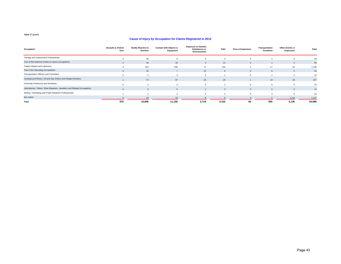| Occupation                                                               | <b>Assaults &amp; Violent</b><br>Acts | <b>Bodily Reaction &amp;</b><br>Exertion | <b>Contact with Objects &amp;</b><br>Equipment | <b>Exposure to Harmful</b><br><b>Substances or</b><br><b>Environments</b> | Falls          | <b>Fires &amp; Explosions</b> | Transportation<br><b>Accidents</b> | <b>Other Events or</b><br><b>Exposures</b> | <b>Total</b> |
|--------------------------------------------------------------------------|---------------------------------------|------------------------------------------|------------------------------------------------|---------------------------------------------------------------------------|----------------|-------------------------------|------------------------------------|--------------------------------------------|--------------|
| Therapy and Assessment Professionals                                     |                                       | 35                                       |                                                |                                                                           |                |                               |                                    |                                            | 54           |
| Tour & Recreational Guides & Casino Occupations                          | $\mathcal{P}$                         | 40                                       | 29                                             | $\overline{4}$                                                            | 11             | $\Omega$                      |                                    |                                            | 90           |
| Trades Helpers and Labourers                                             |                                       | 322                                      | 536                                            | 71                                                                        | 152            |                               | 17                                 | 43                                         | 1,146        |
| <b>Train Crew Operating Occupations</b>                                  | $\Omega$                              | 22                                       |                                                | 12                                                                        |                |                               | 6                                  |                                            | 54           |
| Transportation Officers and Controllers                                  |                                       |                                          |                                                |                                                                           |                |                               |                                    |                                            | 12           |
| Underground Miners, Oil and Gas Drillers and Related Workers             |                                       | 74                                       | 97                                             | 25                                                                        | 25             |                               | 14                                 | 10                                         | 247          |
| University Professors and Assistants                                     | $\Omega$                              | $\sim$                                   |                                                | $\overline{2}$                                                            | $\mathfrak{p}$ |                               | $\Omega$                           |                                            | 10           |
| Upholsterers, Tailors, Shoe Repairers, Jewellers and Related Occupations | $\Omega$                              |                                          | $6\overline{6}$                                |                                                                           |                | $\Omega$                      | $\mathbf{0}$                       |                                            | 13           |
| Writing, Translating and Public Relations Professionals                  |                                       | $\sim$                                   | $\mathbf{R}$                                   |                                                                           |                |                               |                                    |                                            | 16           |
| Not coded                                                                |                                       | 20                                       |                                                |                                                                           |                |                               |                                    | 1.154                                      | 1,217        |
| Total                                                                    | 970                                   | 10,808                                   | 11,159                                         | 2,719                                                                     | 4,415          | 56                            | 825                                | 3,136                                      | 34,088       |